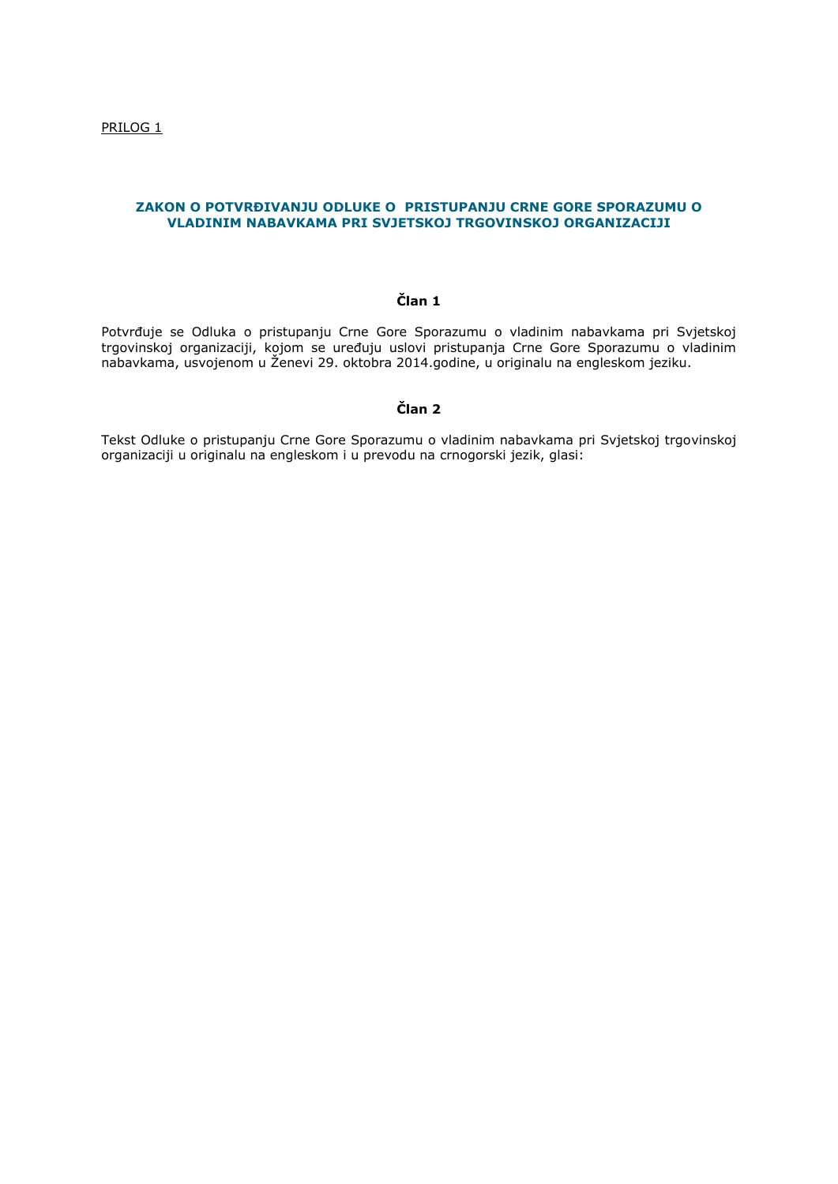# **ZAKON O POTVRĐIVANJU ODLUKE O PRISTUPANJU CRNE GORE SPORAZUMU O VLADINIM NABAVKAMA PRI SVJETSKOJ TRGOVINSKOJ ORGANIZACIJI**

# **Član 1**

Potvrđuje se Odluka o pristupanju Crne Gore Sporazumu o vladinim nabavkama pri Svjetskoj trgovinskoj organizaciji, kojom se uređuju uslovi pristupanja Crne Gore Sporazumu o vladinim nabavkama, usvojenom u Ženevi 29. oktobra 2014.godine, u originalu na engleskom jeziku.

# **Član 2**

Tekst Odluke o pristupanju Crne Gore Sporazumu o vladinim nabavkama pri Svjetskoj trgovinskoj organizaciji u originalu na engleskom i u prevodu na crnogorski jezik, glasi: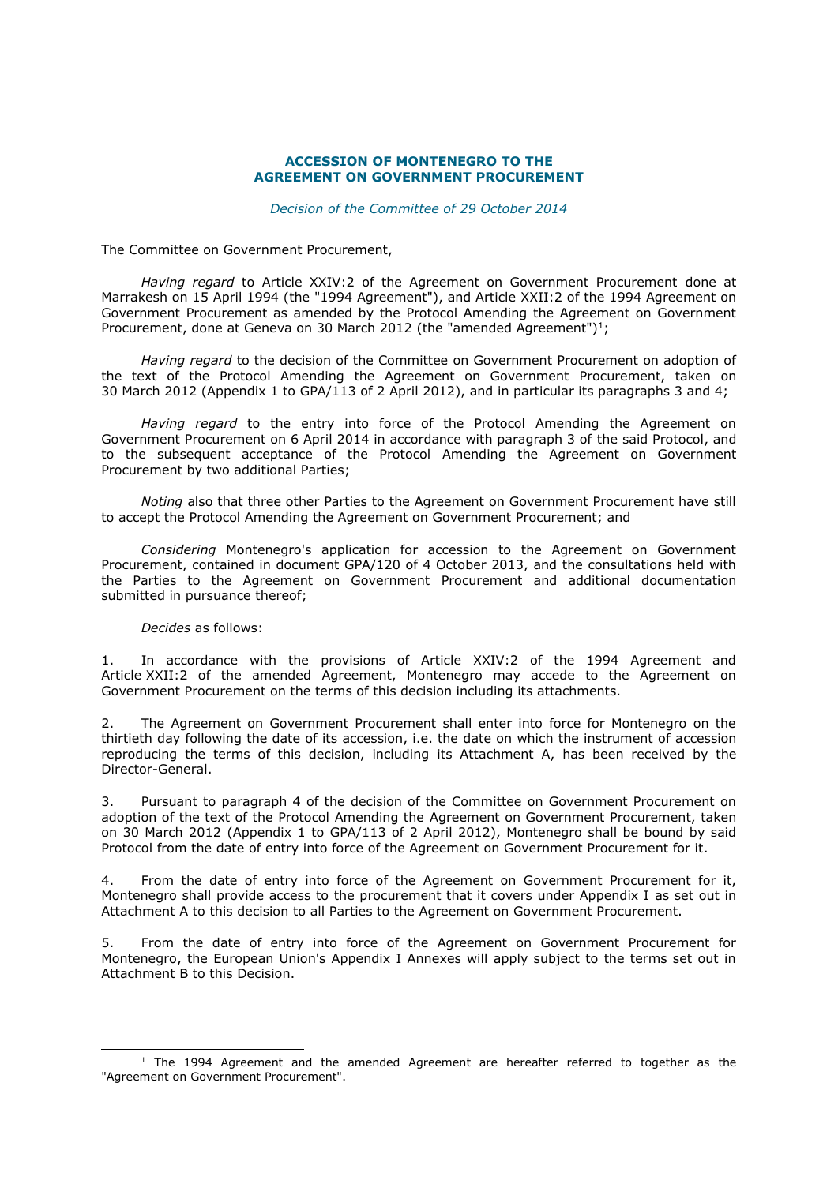#### **ACCESSION OF MONTENEGRO TO THE AGREEMENT ON GOVERNMENT PROCUREMENT**

*Decision of the Committee of 29 October 2014*

The Committee on Government Procurement,

*Having regard* to Article XXIV:2 of the Agreement on Government Procurement done at Marrakesh on 15 April 1994 (the "1994 Agreement"), and Article XXII:2 of the 1994 Agreement on Government Procurement as amended by the Protocol Amending the Agreement on Government Procurement, done at Geneva on 30 March 2012 (the "amended Agreement")<sup>1</sup>;

*Having regard* to the decision of the Committee on Government Procurement on adoption of the text of the Protocol Amending the Agreement on Government Procurement, taken on 30 March 2012 (Appendix 1 to GPA/113 of 2 April 2012), and in particular its paragraphs 3 and 4;

*Having regard* to the entry into force of the Protocol Amending the Agreement on Government Procurement on 6 April 2014 in accordance with paragraph 3 of the said Protocol, and to the subsequent acceptance of the Protocol Amending the Agreement on Government Procurement by two additional Parties;

*Noting* also that three other Parties to the Agreement on Government Procurement have still to accept the Protocol Amending the Agreement on Government Procurement; and

*Considering* Montenegro's application for accession to the Agreement on Government Procurement, contained in document GPA/120 of 4 October 2013, and the consultations held with the Parties to the Agreement on Government Procurement and additional documentation submitted in pursuance thereof;

#### *Decides* as follows:

-

1. In accordance with the provisions of Article XXIV:2 of the 1994 Agreement and Article XXII:2 of the amended Agreement, Montenegro may accede to the Agreement on Government Procurement on the terms of this decision including its attachments.

2. The Agreement on Government Procurement shall enter into force for Montenegro on the thirtieth day following the date of its accession, i.e. the date on which the instrument of accession reproducing the terms of this decision, including its Attachment A, has been received by the Director-General.

3. Pursuant to paragraph 4 of the decision of the Committee on Government Procurement on adoption of the text of the Protocol Amending the Agreement on Government Procurement, taken on 30 March 2012 (Appendix 1 to GPA/113 of 2 April 2012), Montenegro shall be bound by said Protocol from the date of entry into force of the Agreement on Government Procurement for it.

4. From the date of entry into force of the Agreement on Government Procurement for it, Montenegro shall provide access to the procurement that it covers under Appendix I as set out in Attachment A to this decision to all Parties to the Agreement on Government Procurement.

5. From the date of entry into force of the Agreement on Government Procurement for Montenegro, the European Union's Appendix I Annexes will apply subject to the terms set out in Attachment B to this Decision.

 $1$  The 1994 Agreement and the amended Agreement are hereafter referred to together as the "Agreement on Government Procurement".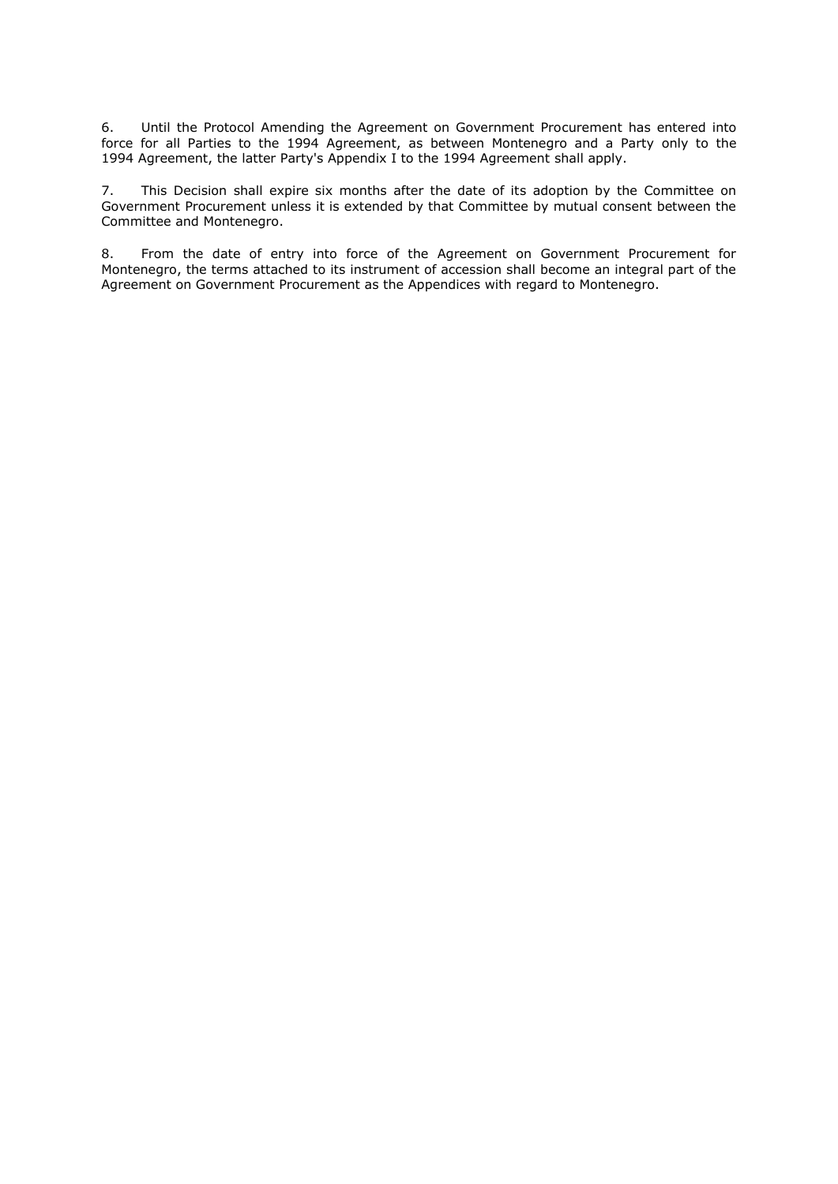6. Until the Protocol Amending the Agreement on Government Procurement has entered into force for all Parties to the 1994 Agreement, as between Montenegro and a Party only to the 1994 Agreement, the latter Party's Appendix I to the 1994 Agreement shall apply.

7. This Decision shall expire six months after the date of its adoption by the Committee on Government Procurement unless it is extended by that Committee by mutual consent between the Committee and Montenegro.

8. From the date of entry into force of the Agreement on Government Procurement for Montenegro, the terms attached to its instrument of accession shall become an integral part of the Agreement on Government Procurement as the Appendices with regard to Montenegro.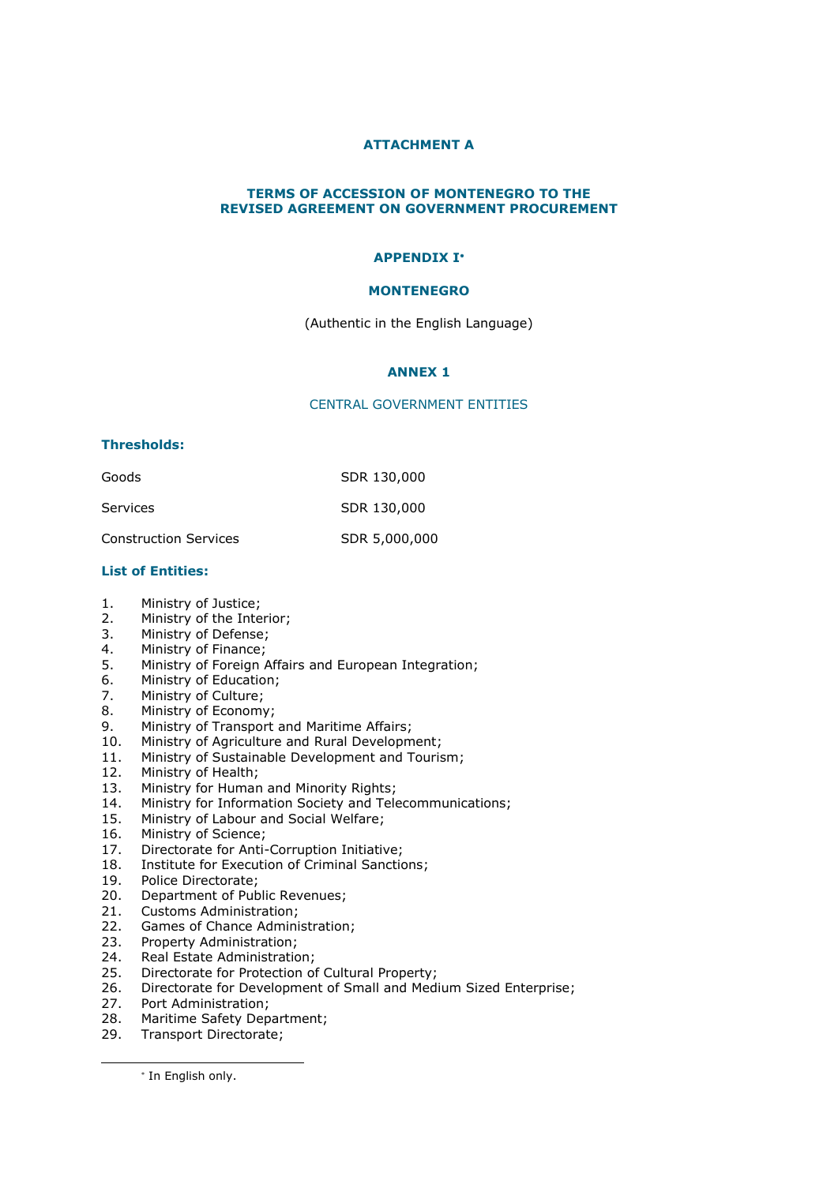# **ATTACHMENT A**

# **TERMS OF ACCESSION OF MONTENEGRO TO THE REVISED AGREEMENT ON GOVERNMENT PROCUREMENT**

# **APPENDIX I**

# **MONTENEGRO**

(Authentic in the English Language)

#### **ANNEX 1**

#### CENTRAL GOVERNMENT ENTITIES

#### **Thresholds:**

| Goods                        | SDR 130,000   |
|------------------------------|---------------|
| Services                     | SDR 130,000   |
| <b>Construction Services</b> | SDR 5,000,000 |

#### **List of Entities:**

- 1. Ministry of Justice;
- 2. Ministry of the Interior;
- 3. Ministry of Defense;
- 4. Ministry of Finance;
- 5. Ministry of Foreign Affairs and European Integration;
- 6. Ministry of Education;
- 7. Ministry of Culture;
- 8. Ministry of Economy;
- 9. Ministry of Transport and Maritime Affairs;
- 10. Ministry of Agriculture and Rural Development;
- 11. Ministry of Sustainable Development and Tourism;
- 12. Ministry of Health;
- 13. Ministry for Human and Minority Rights;
- 14. Ministry for Information Society and Telecommunications;
- 15. Ministry of Labour and Social Welfare;
- 16. Ministry of Science;
- 17. Directorate for Anti-Corruption Initiative;
- 18. Institute for Execution of Criminal Sanctions;
- 19. Police Directorate;
- 20. Department of Public Revenues;
- 21. Customs Administration;
- 22. Games of Chance Administration;
- 23. Property Administration;
- 24. Real Estate Administration;
- 25. Directorate for Protection of Cultural Property;<br>26. Directorate for Development of Small and Med
- Directorate for Development of Small and Medium Sized Enterprise;
- 27. Port Administration;
- 28. Maritime Safety Department;
- 29. Transport Directorate;

\* In English only.

-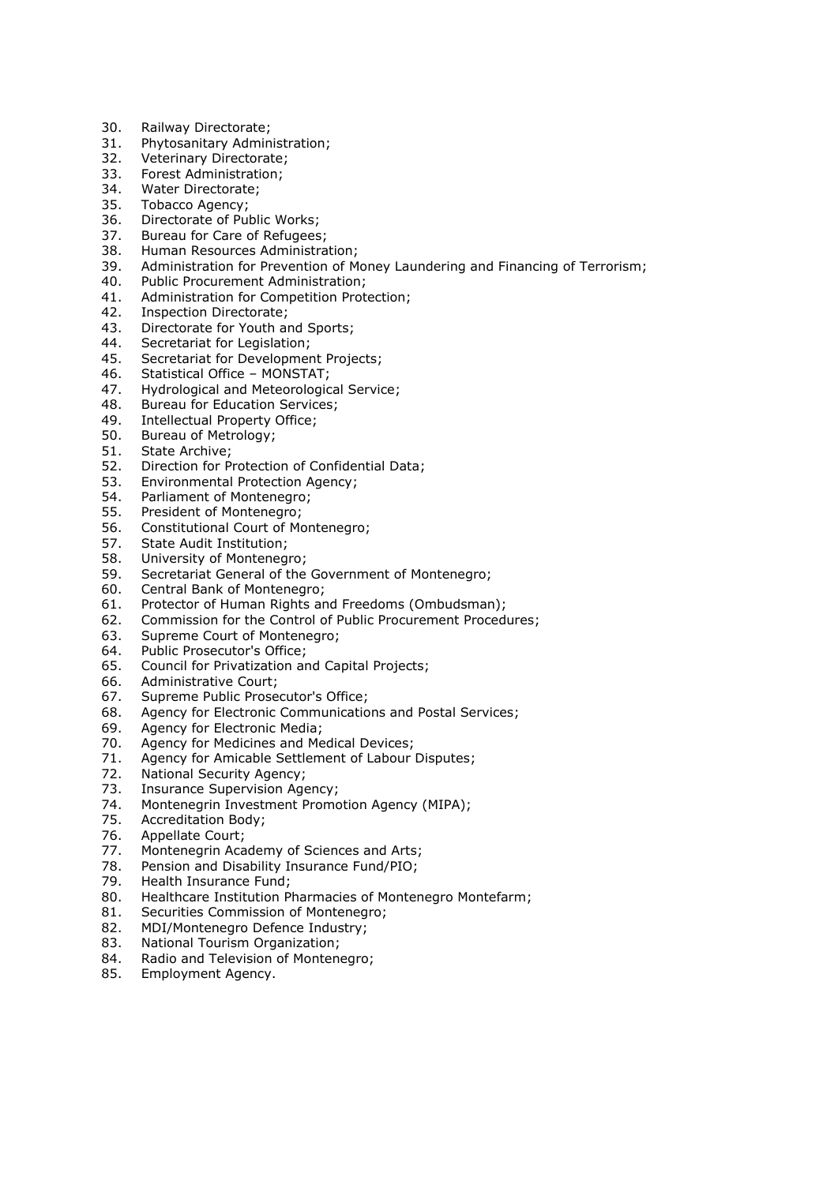- 30. Railway Directorate;
- 31. Phytosanitary Administration;
- 32. Veterinary Directorate;
- 33. Forest Administration;
- 34. Water Directorate;
- 35. Tobacco Agency;
- 36. Directorate of Public Works;
- 37. Bureau for Care of Refugees;
- 38. Human Resources Administration;
- 39. Administration for Prevention of Money Laundering and Financing of Terrorism;
- 40. Public Procurement Administration;
- 41. Administration for Competition Protection;
- 42. Inspection Directorate;
- 43. Directorate for Youth and Sports;
- 44. Secretariat for Legislation;
- 45. Secretariat for Development Projects;
- 46. Statistical Office MONSTAT;
- 47. Hydrological and Meteorological Service;
- 48. Bureau for Education Services;<br>49. Intellectual Property Office;
- 49. Intellectual Property Office;<br>50. Bureau of Metrology;
- Bureau of Metrology;
- 51. State Archive;
- 52. Direction for Protection of Confidential Data;
- 53. Environmental Protection Agency;
- 54. Parliament of Montenegro;
- 55. President of Montenegro;
- 56. Constitutional Court of Montenegro;
- 57. State Audit Institution;
- 58. University of Montenegro;
- 59. Secretariat General of the Government of Montenegro;
- 60. Central Bank of Montenegro;
- 61. Protector of Human Rights and Freedoms (Ombudsman);
- 62. Commission for the Control of Public Procurement Procedures;
- 63. Supreme Court of Montenegro;
- 64. Public Prosecutor's Office;
- 65. Council for Privatization and Capital Projects;
- 66. Administrative Court;
- 67. Supreme Public Prosecutor's Office;
- 68. Agency for Electronic Communications and Postal Services;
- 69. Agency for Electronic Media;
- 70. Agency for Medicines and Medical Devices;
- 71. Agency for Amicable Settlement of Labour Disputes;
- 72. National Security Agency;
- 73. Insurance Supervision Agency;
- 74. Montenegrin Investment Promotion Agency (MIPA);
- 75. Accreditation Body;
- 76. Appellate Court;
- 77. Montenegrin Academy of Sciences and Arts;
- 78. Pension and Disability Insurance Fund/PIO;
- 79. Health Insurance Fund;
- 80. Healthcare Institution Pharmacies of Montenegro Montefarm;
- 81. Securities Commission of Montenegro;
- 82. MDI/Montenegro Defence Industry;
- 83. National Tourism Organization;
- 84. Radio and Television of Montenegro;
- 85. Employment Agency.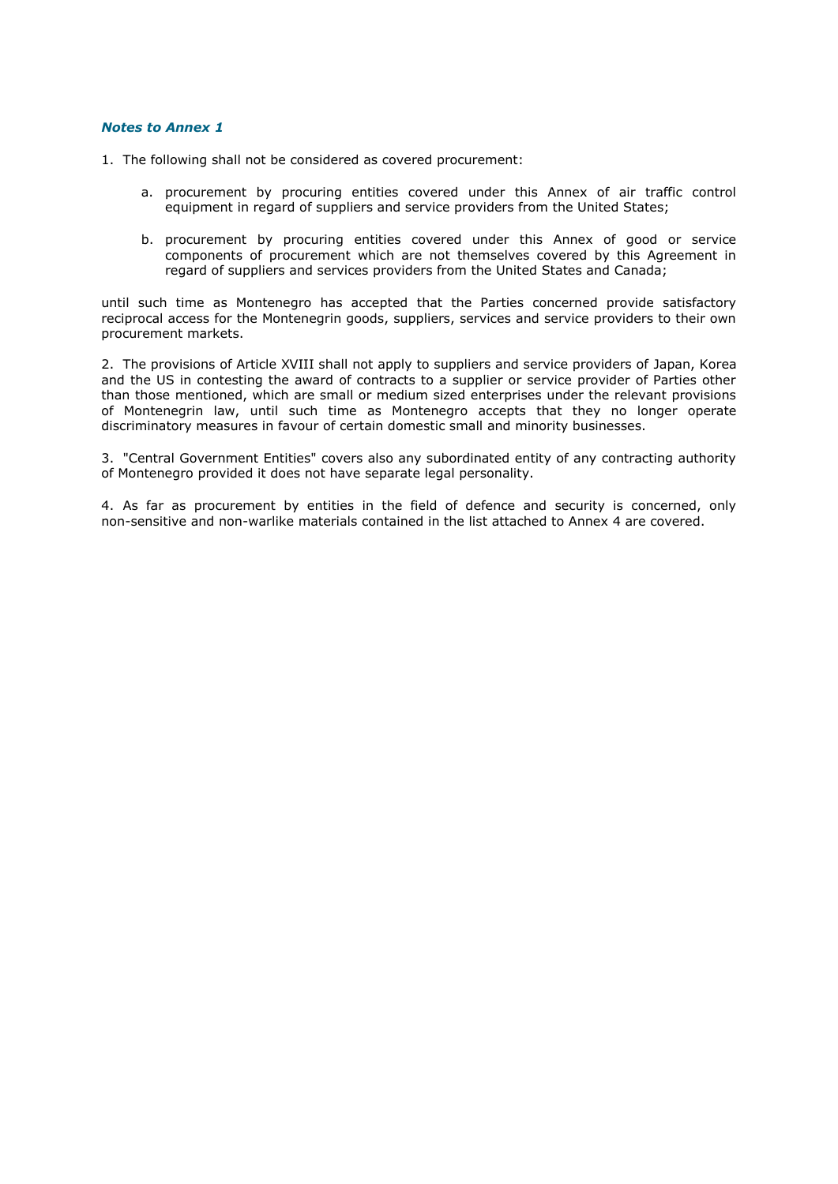# *Notes to Annex 1*

- 1. The following shall not be considered as covered procurement:
	- a. procurement by procuring entities covered under this Annex of air traffic control equipment in regard of suppliers and service providers from the United States;
	- b. procurement by procuring entities covered under this Annex of good or service components of procurement which are not themselves covered by this Agreement in regard of suppliers and services providers from the United States and Canada;

until such time as Montenegro has accepted that the Parties concerned provide satisfactory reciprocal access for the Montenegrin goods, suppliers, services and service providers to their own procurement markets.

2. The provisions of Article XVIII shall not apply to suppliers and service providers of Japan, Korea and the US in contesting the award of contracts to a supplier or service provider of Parties other than those mentioned, which are small or medium sized enterprises under the relevant provisions of Montenegrin law, until such time as Montenegro accepts that they no longer operate discriminatory measures in favour of certain domestic small and minority businesses.

3. "Central Government Entities" covers also any subordinated entity of any contracting authority of Montenegro provided it does not have separate legal personality.

4. As far as procurement by entities in the field of defence and security is concerned, only non-sensitive and non-warlike materials contained in the list attached to Annex 4 are covered.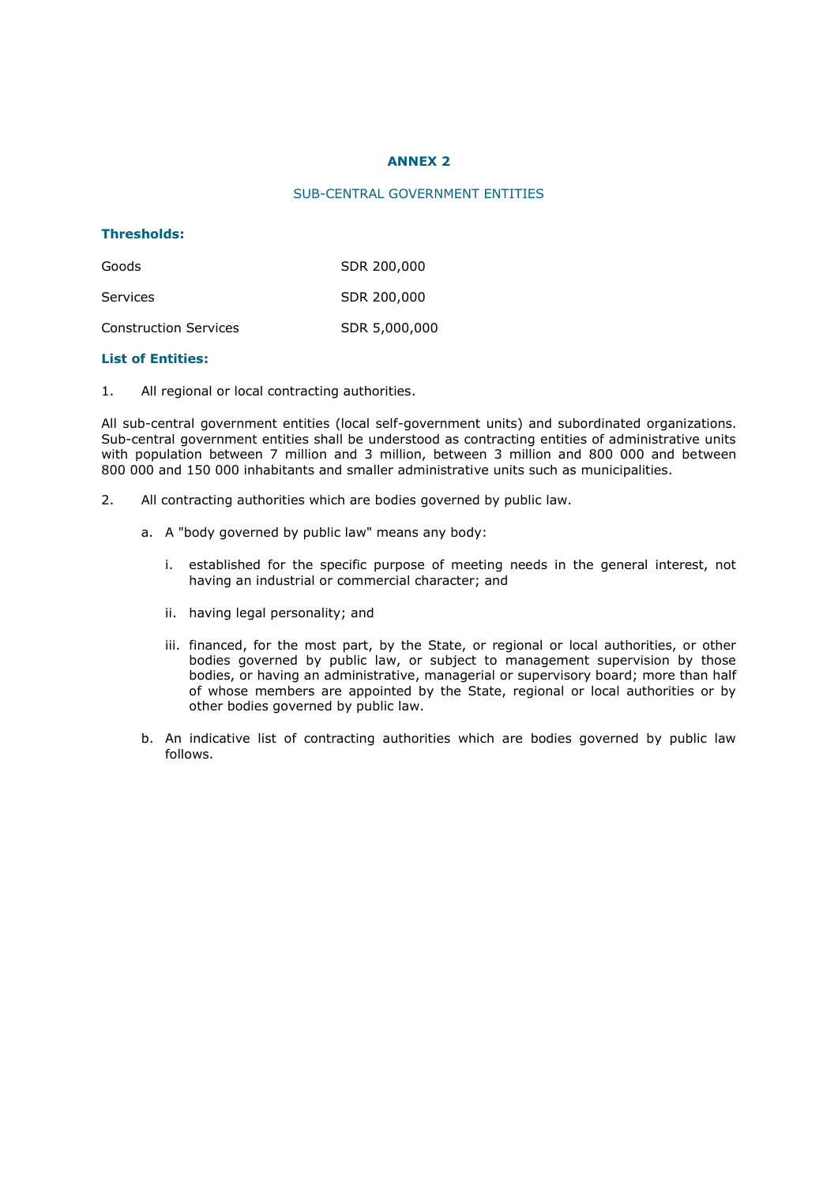# **ANNEX 2**

# SUB-CENTRAL GOVERNMENT ENTITIES

# **Thresholds:**

| Goods                        | SDR 200,000   |
|------------------------------|---------------|
| Services                     | SDR 200,000   |
| <b>Construction Services</b> | SDR 5,000,000 |

#### **List of Entities:**

1. All regional or local contracting authorities.

All sub-central government entities (local self-government units) and subordinated organizations. Sub-central government entities shall be understood as contracting entities of administrative units with population between 7 million and 3 million, between 3 million and 800 000 and between 800 000 and 150 000 inhabitants and smaller administrative units such as municipalities.

- 2. All contracting authorities which are bodies governed by public law.
	- a. A "body governed by public law" means any body:
		- i. established for the specific purpose of meeting needs in the general interest, not having an industrial or commercial character; and
		- ii. having legal personality; and
		- iii. financed, for the most part, by the State, or regional or local authorities, or other bodies governed by public law, or subject to management supervision by those bodies, or having an administrative, managerial or supervisory board; more than half of whose members are appointed by the State, regional or local authorities or by other bodies governed by public law.
	- b. An indicative list of contracting authorities which are bodies governed by public law follows.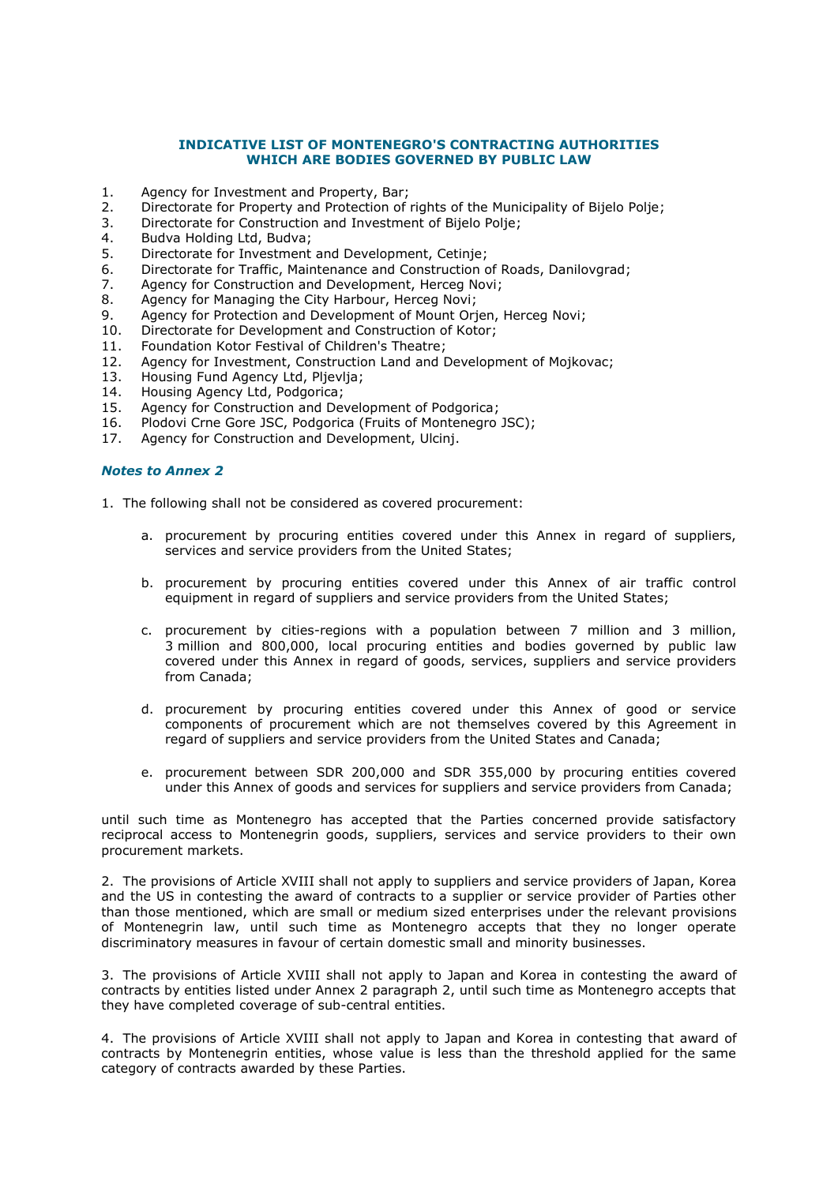# **INDICATIVE LIST OF MONTENEGRO'S CONTRACTING AUTHORITIES WHICH ARE BODIES GOVERNED BY PUBLIC LAW**

- 1. Agency for Investment and Property, Bar;
- 2. Directorate for Property and Protection of rights of the Municipality of Bijelo Polje;
- 3. Directorate for Construction and Investment of Bijelo Polje;
- 4. Budva Holding Ltd, Budva;
- 5. Directorate for Investment and Development, Cetinje;
- 6. Directorate for Traffic, Maintenance and Construction of Roads, Danilovgrad;
- 7. Agency for Construction and Development, Herceg Novi;
- 8. Agency for Managing the City Harbour, Herceg Novi;
- 9. Agency for Protection and Development of Mount Orjen, Herceg Novi;
- 10. Directorate for Development and Construction of Kotor;
- 11. Foundation Kotor Festival of Children's Theatre;
- 12. Agency for Investment, Construction Land and Development of Mojkovac;<br>13. Housing Fund Agency Ltd, Plievlia;
- Housing Fund Agency Ltd, Pljevlja;
- 14. Housing Agency Ltd, Podgorica;
- 15. Agency for Construction and Development of Podgorica;
- 16. Plodovi Crne Gore JSC, Podgorica (Fruits of Montenegro JSC);
- 17. Agency for Construction and Development, Ulcinj.

# *Notes to Annex 2*

- 1. The following shall not be considered as covered procurement:
	- a. procurement by procuring entities covered under this Annex in regard of suppliers, services and service providers from the United States;
	- b. procurement by procuring entities covered under this Annex of air traffic control equipment in regard of suppliers and service providers from the United States;
	- c. procurement by cities-regions with a population between 7 million and 3 million, 3 million and 800,000, local procuring entities and bodies governed by public law covered under this Annex in regard of goods, services, suppliers and service providers from Canada;
	- d. procurement by procuring entities covered under this Annex of good or service components of procurement which are not themselves covered by this Agreement in regard of suppliers and service providers from the United States and Canada;
	- e. procurement between SDR 200,000 and SDR 355,000 by procuring entities covered under this Annex of goods and services for suppliers and service providers from Canada;

until such time as Montenegro has accepted that the Parties concerned provide satisfactory reciprocal access to Montenegrin goods, suppliers, services and service providers to their own procurement markets.

2. The provisions of Article XVIII shall not apply to suppliers and service providers of Japan, Korea and the US in contesting the award of contracts to a supplier or service provider of Parties other than those mentioned, which are small or medium sized enterprises under the relevant provisions of Montenegrin law, until such time as Montenegro accepts that they no longer operate discriminatory measures in favour of certain domestic small and minority businesses.

3. The provisions of Article XVIII shall not apply to Japan and Korea in contesting the award of contracts by entities listed under Annex 2 paragraph 2, until such time as Montenegro accepts that they have completed coverage of sub-central entities.

4. The provisions of Article XVIII shall not apply to Japan and Korea in contesting that award of contracts by Montenegrin entities, whose value is less than the threshold applied for the same category of contracts awarded by these Parties.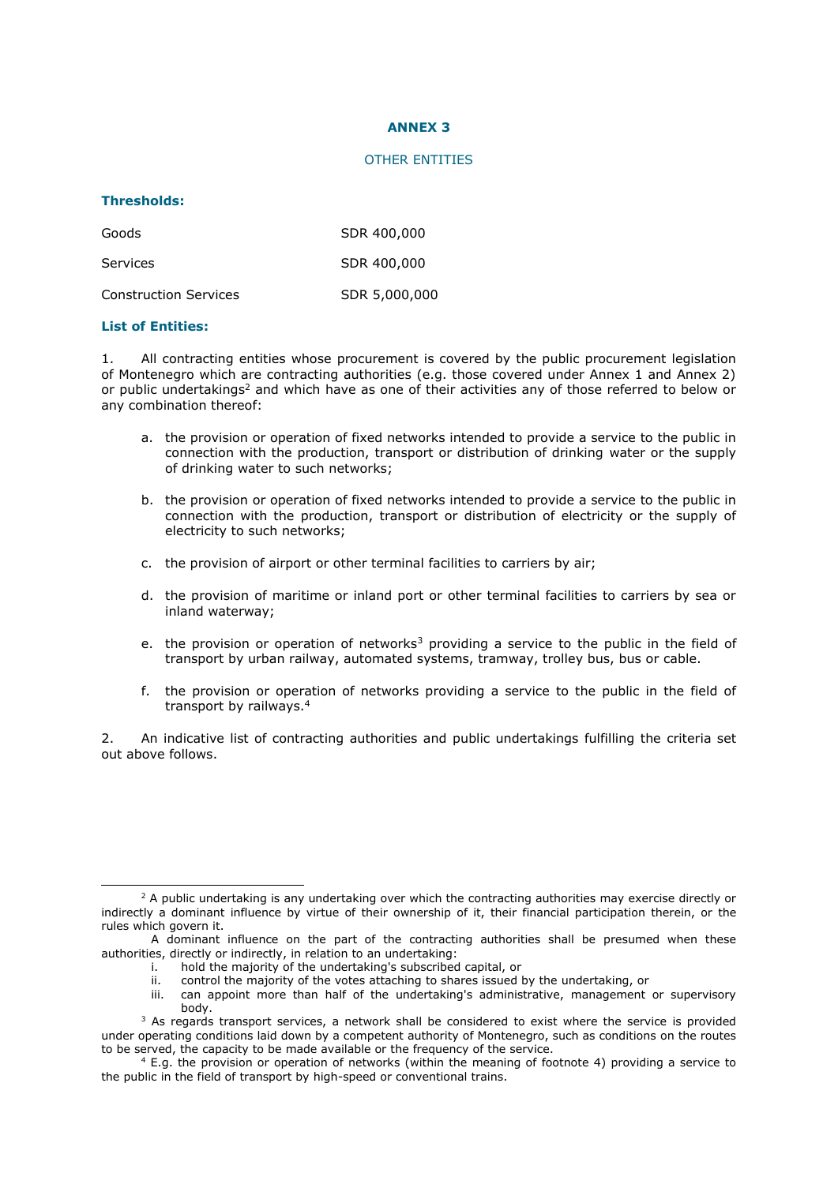# **ANNEX 3**

#### OTHER ENTITIES

#### **Thresholds:**

| Goods                        | SDR 400,000   |
|------------------------------|---------------|
| Services                     | SDR 400,000   |
| <b>Construction Services</b> | SDR 5,000,000 |

#### **List of Entities:**

-

1. All contracting entities whose procurement is covered by the public procurement legislation of Montenegro which are contracting authorities (e.g. those covered under Annex 1 and Annex 2) or public undertakings<sup>2</sup> and which have as one of their activities any of those referred to below or any combination thereof:

- a. the provision or operation of fixed networks intended to provide a service to the public in connection with the production, transport or distribution of drinking water or the supply of drinking water to such networks;
- b. the provision or operation of fixed networks intended to provide a service to the public in connection with the production, transport or distribution of electricity or the supply of electricity to such networks;
- c. the provision of airport or other terminal facilities to carriers by air;
- d. the provision of maritime or inland port or other terminal facilities to carriers by sea or inland waterway;
- e. the provision or operation of networks<sup>3</sup> providing a service to the public in the field of transport by urban railway, automated systems, tramway, trolley bus, bus or cable.
- f. the provision or operation of networks providing a service to the public in the field of transport by railways.<sup>4</sup>

2. An indicative list of contracting authorities and public undertakings fulfilling the criteria set out above follows.

- i. hold the majority of the undertaking's subscribed capital, or<br>ii control the majority of the votes attaching to shares issued l
- ii. control the majority of the votes attaching to shares issued by the undertaking, or
- can appoint more than half of the undertaking's administrative, management or supervisory body.

 $2$  A public undertaking is any undertaking over which the contracting authorities may exercise directly or indirectly a dominant influence by virtue of their ownership of it, their financial participation therein, or the rules which govern it.

A dominant influence on the part of the contracting authorities shall be presumed when these authorities, directly or indirectly, in relation to an undertaking:<br>i. hold the maiority of the undertaking's subscribed

 $3$  As regards transport services, a network shall be considered to exist where the service is provided under operating conditions laid down by a competent authority of Montenegro, such as conditions on the routes to be served, the capacity to be made available or the frequency of the service.

<sup>4</sup> E.g. the provision or operation of networks (within the meaning of footnote 4) providing a service to the public in the field of transport by high-speed or conventional trains.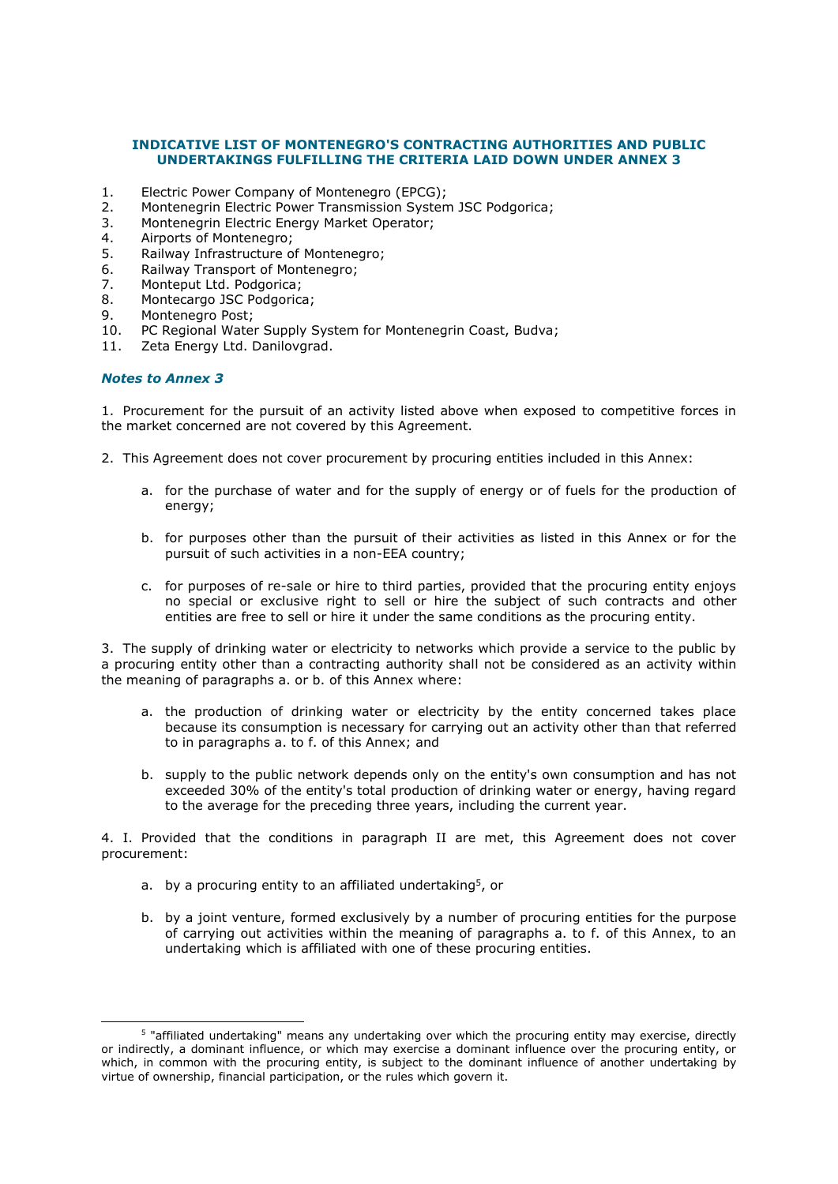# **INDICATIVE LIST OF MONTENEGRO'S CONTRACTING AUTHORITIES AND PUBLIC UNDERTAKINGS FULFILLING THE CRITERIA LAID DOWN UNDER ANNEX 3**

- 1. Electric Power Company of Montenegro (EPCG);
- 2. Montenegrin Electric Power Transmission System JSC Podgorica;
- 3. Montenegrin Electric Energy Market Operator;
- 4. Airports of Montenegro;
- 5. Railway Infrastructure of Montenegro;
- 6. Railway Transport of Montenegro;
- 7. Monteput Ltd. Podgorica;
- 8. Montecargo JSC Podgorica;
- 9. Montenegro Post;
- 10. PC Regional Water Supply System for Montenegrin Coast, Budva;
- 11. Zeta Energy Ltd. Danilovgrad.

# *Notes to Annex 3*

-

1. Procurement for the pursuit of an activity listed above when exposed to competitive forces in the market concerned are not covered by this Agreement.

- 2. This Agreement does not cover procurement by procuring entities included in this Annex:
	- a. for the purchase of water and for the supply of energy or of fuels for the production of energy;
	- b. for purposes other than the pursuit of their activities as listed in this Annex or for the pursuit of such activities in a non-EEA country;
	- c. for purposes of re-sale or hire to third parties, provided that the procuring entity enjoys no special or exclusive right to sell or hire the subject of such contracts and other entities are free to sell or hire it under the same conditions as the procuring entity.

3. The supply of drinking water or electricity to networks which provide a service to the public by a procuring entity other than a contracting authority shall not be considered as an activity within the meaning of paragraphs a. or b. of this Annex where:

- a. the production of drinking water or electricity by the entity concerned takes place because its consumption is necessary for carrying out an activity other than that referred to in paragraphs a. to f. of this Annex; and
- b. supply to the public network depends only on the entity's own consumption and has not exceeded 30% of the entity's total production of drinking water or energy, having regard to the average for the preceding three years, including the current year.

4. I. Provided that the conditions in paragraph II are met, this Agreement does not cover procurement:

- a. by a procuring entity to an affiliated undertaking<sup>5</sup>, or
- b. by a joint venture, formed exclusively by a number of procuring entities for the purpose of carrying out activities within the meaning of paragraphs a. to f. of this Annex, to an undertaking which is affiliated with one of these procuring entities.

<sup>5</sup> "affiliated undertaking" means any undertaking over which the procuring entity may exercise, directly or indirectly, a dominant influence, or which may exercise a dominant influence over the procuring entity, or which, in common with the procuring entity, is subject to the dominant influence of another undertaking by virtue of ownership, financial participation, or the rules which govern it.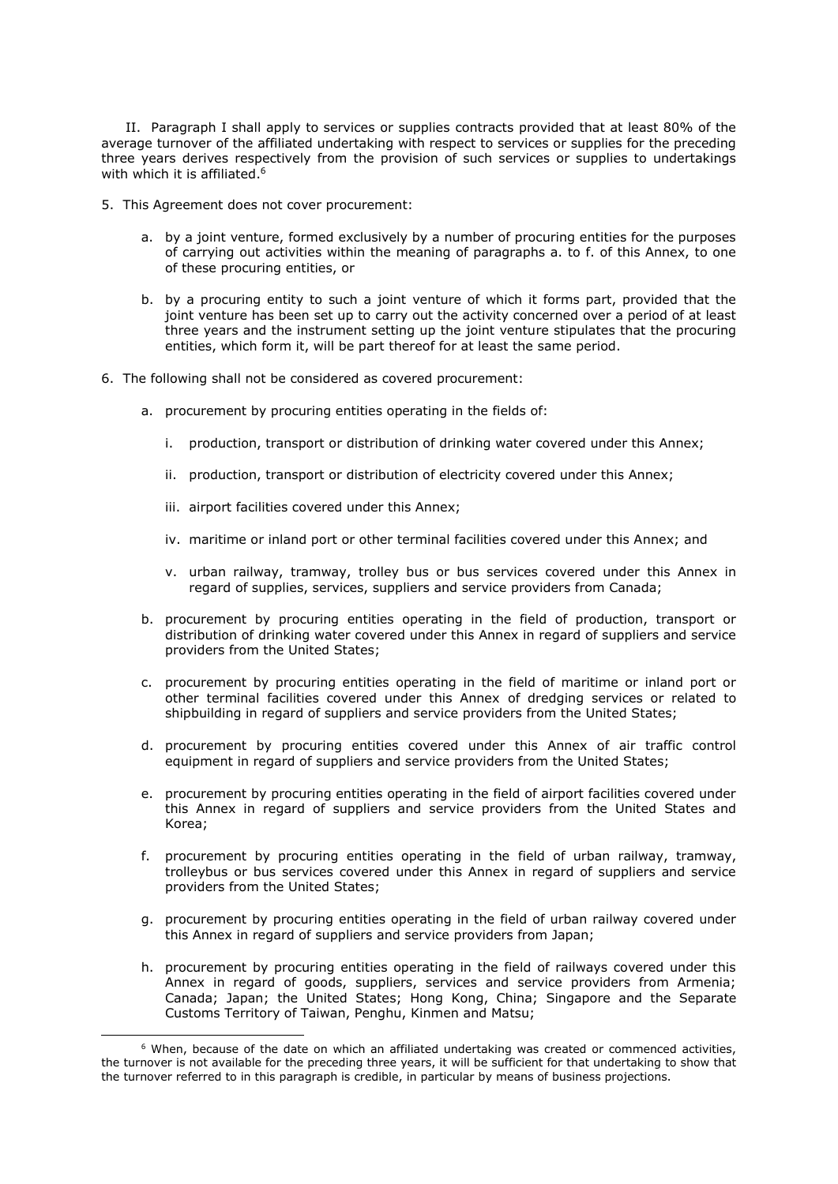II. Paragraph I shall apply to services or supplies contracts provided that at least 80% of the average turnover of the affiliated undertaking with respect to services or supplies for the preceding three years derives respectively from the provision of such services or supplies to undertakings with which it is affiliated.<sup>6</sup>

- 5. This Agreement does not cover procurement:
	- a. by a joint venture, formed exclusively by a number of procuring entities for the purposes of carrying out activities within the meaning of paragraphs a. to f. of this Annex, to one of these procuring entities, or
	- b. by a procuring entity to such a joint venture of which it forms part, provided that the joint venture has been set up to carry out the activity concerned over a period of at least three years and the instrument setting up the joint venture stipulates that the procuring entities, which form it, will be part thereof for at least the same period.
- 6. The following shall not be considered as covered procurement:
	- a. procurement by procuring entities operating in the fields of:
		- i. production, transport or distribution of drinking water covered under this Annex;
		- ii. production, transport or distribution of electricity covered under this Annex;
		- iii. airport facilities covered under this Annex;

-

- iv. maritime or inland port or other terminal facilities covered under this Annex; and
- v. urban railway, tramway, trolley bus or bus services covered under this Annex in regard of supplies, services, suppliers and service providers from Canada;
- b. procurement by procuring entities operating in the field of production, transport or distribution of drinking water covered under this Annex in regard of suppliers and service providers from the United States;
- c. procurement by procuring entities operating in the field of maritime or inland port or other terminal facilities covered under this Annex of dredging services or related to shipbuilding in regard of suppliers and service providers from the United States;
- d. procurement by procuring entities covered under this Annex of air traffic control equipment in regard of suppliers and service providers from the United States;
- e. procurement by procuring entities operating in the field of airport facilities covered under this Annex in regard of suppliers and service providers from the United States and Korea;
- f. procurement by procuring entities operating in the field of urban railway, tramway, trolleybus or bus services covered under this Annex in regard of suppliers and service providers from the United States;
- g. procurement by procuring entities operating in the field of urban railway covered under this Annex in regard of suppliers and service providers from Japan;
- h. procurement by procuring entities operating in the field of railways covered under this Annex in regard of goods, suppliers, services and service providers from Armenia; Canada; Japan; the United States; Hong Kong, China; Singapore and the Separate Customs Territory of Taiwan, Penghu, Kinmen and Matsu;

<sup>&</sup>lt;sup>6</sup> When, because of the date on which an affiliated undertaking was created or commenced activities, the turnover is not available for the preceding three years, it will be sufficient for that undertaking to show that the turnover referred to in this paragraph is credible, in particular by means of business projections.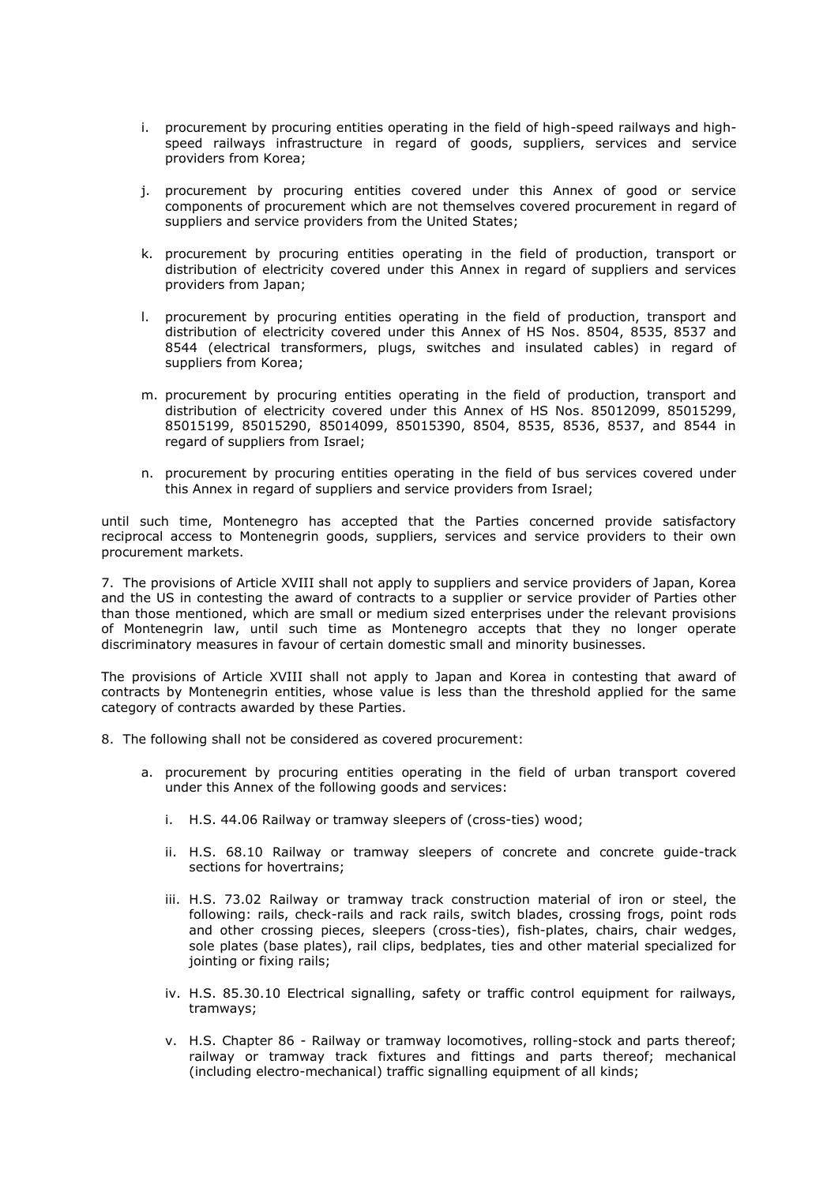- i. procurement by procuring entities operating in the field of high-speed railways and highspeed railways infrastructure in regard of goods, suppliers, services and service providers from Korea;
- j. procurement by procuring entities covered under this Annex of good or service components of procurement which are not themselves covered procurement in regard of suppliers and service providers from the United States;
- k. procurement by procuring entities operating in the field of production, transport or distribution of electricity covered under this Annex in regard of suppliers and services providers from Japan;
- l. procurement by procuring entities operating in the field of production, transport and distribution of electricity covered under this Annex of HS Nos. 8504, 8535, 8537 and 8544 (electrical transformers, plugs, switches and insulated cables) in regard of suppliers from Korea;
- m. procurement by procuring entities operating in the field of production, transport and distribution of electricity covered under this Annex of HS Nos. 85012099, 85015299, 85015199, 85015290, 85014099, 85015390, 8504, 8535, 8536, 8537, and 8544 in regard of suppliers from Israel;
- n. procurement by procuring entities operating in the field of bus services covered under this Annex in regard of suppliers and service providers from Israel;

until such time, Montenegro has accepted that the Parties concerned provide satisfactory reciprocal access to Montenegrin goods, suppliers, services and service providers to their own procurement markets.

7. The provisions of Article XVIII shall not apply to suppliers and service providers of Japan, Korea and the US in contesting the award of contracts to a supplier or service provider of Parties other than those mentioned, which are small or medium sized enterprises under the relevant provisions of Montenegrin law, until such time as Montenegro accepts that they no longer operate discriminatory measures in favour of certain domestic small and minority businesses.

The provisions of Article XVIII shall not apply to Japan and Korea in contesting that award of contracts by Montenegrin entities, whose value is less than the threshold applied for the same category of contracts awarded by these Parties.

- 8. The following shall not be considered as covered procurement:
	- a. procurement by procuring entities operating in the field of urban transport covered under this Annex of the following goods and services:
		- i. H.S. 44.06 Railway or tramway sleepers of (cross-ties) wood;
		- ii. H.S. 68.10 Railway or tramway sleepers of concrete and concrete guide-track sections for hovertrains;
		- iii. H.S. 73.02 Railway or tramway track construction material of iron or steel, the following: rails, check-rails and rack rails, switch blades, crossing frogs, point rods and other crossing pieces, sleepers (cross-ties), fish-plates, chairs, chair wedges, sole plates (base plates), rail clips, bedplates, ties and other material specialized for jointing or fixing rails;
		- iv. H.S. 85.30.10 Electrical signalling, safety or traffic control equipment for railways, tramways;
		- v. H.S. Chapter 86 Railway or tramway locomotives, rolling-stock and parts thereof; railway or tramway track fixtures and fittings and parts thereof; mechanical (including electro-mechanical) traffic signalling equipment of all kinds;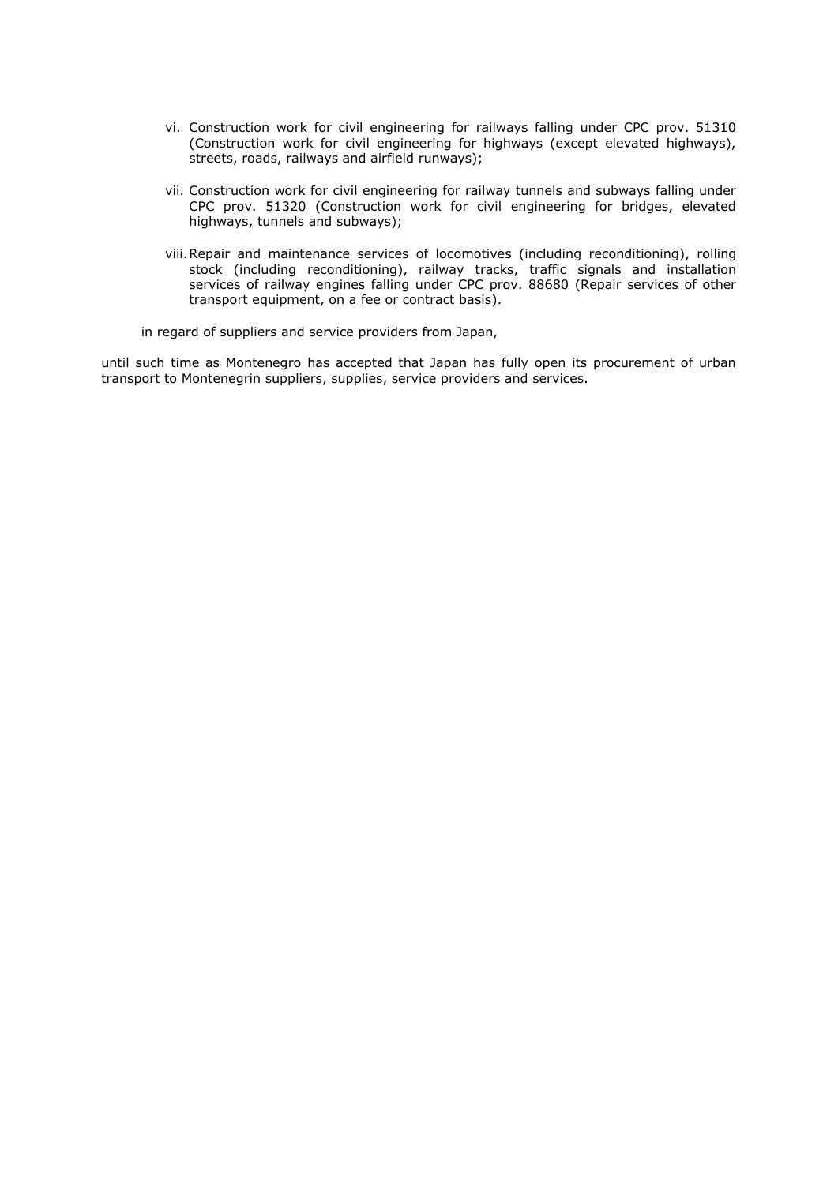- vi. Construction work for civil engineering for railways falling under CPC prov. 51310 (Construction work for civil engineering for highways (except elevated highways), streets, roads, railways and airfield runways);
- vii. Construction work for civil engineering for railway tunnels and subways falling under CPC prov. 51320 (Construction work for civil engineering for bridges, elevated highways, tunnels and subways);
- viii.Repair and maintenance services of locomotives (including reconditioning), rolling stock (including reconditioning), railway tracks, traffic signals and installation services of railway engines falling under CPC prov. 88680 (Repair services of other transport equipment, on a fee or contract basis).

in regard of suppliers and service providers from Japan,

until such time as Montenegro has accepted that Japan has fully open its procurement of urban transport to Montenegrin suppliers, supplies, service providers and services.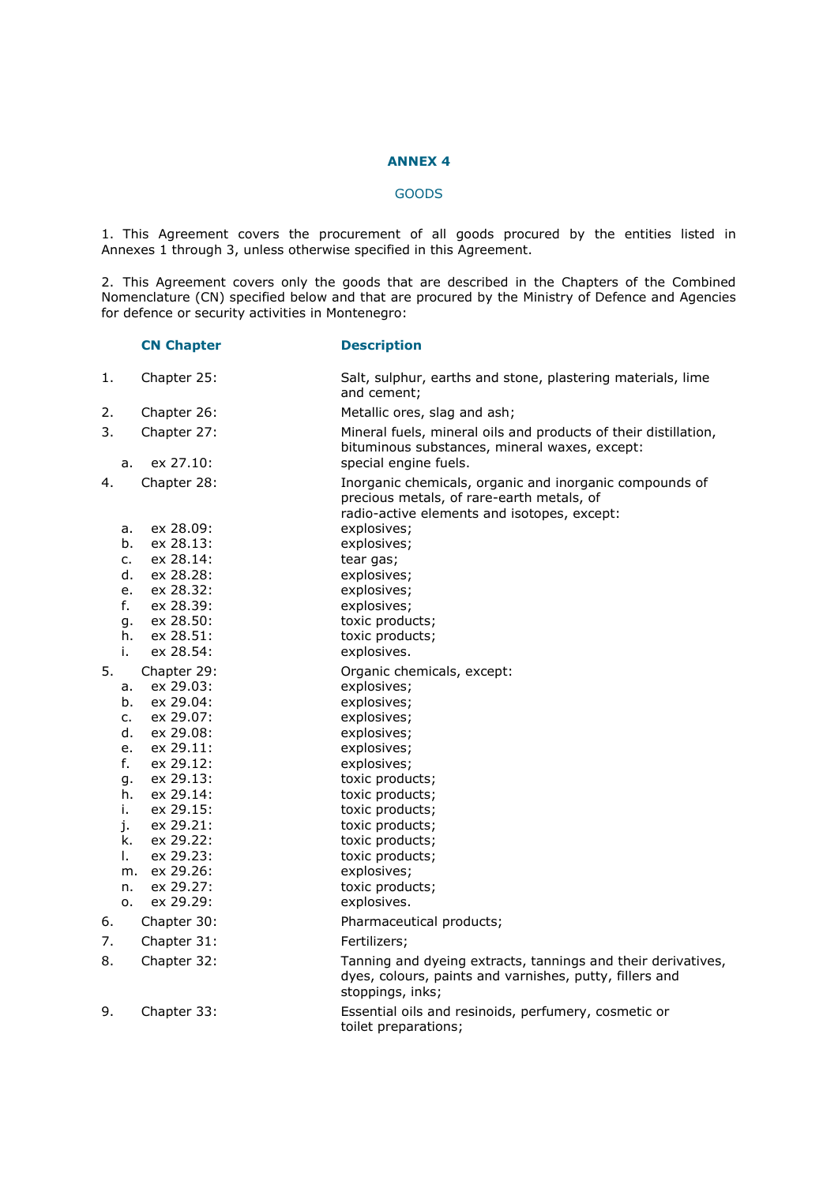# **ANNEX 4**

# GOODS

1. This Agreement covers the procurement of all goods procured by the entities listed in Annexes 1 through 3, unless otherwise specified in this Agreement.

2. This Agreement covers only the goods that are described in the Chapters of the Combined Nomenclature (CN) specified below and that are procured by the Ministry of Defence and Agencies for defence or security activities in Montenegro:

|                            | <b>CN Chapter</b>                                               | <b>Description</b>                                                                                                                                                                             |
|----------------------------|-----------------------------------------------------------------|------------------------------------------------------------------------------------------------------------------------------------------------------------------------------------------------|
| 1.                         | Chapter 25:                                                     | Salt, sulphur, earths and stone, plastering materials, lime<br>and cement;                                                                                                                     |
| 2.                         | Chapter 26:                                                     | Metallic ores, slag and ash;                                                                                                                                                                   |
| 3.                         | Chapter 27:                                                     | Mineral fuels, mineral oils and products of their distillation,<br>bituminous substances, mineral waxes, except:                                                                               |
| a.                         | ex 27.10:                                                       | special engine fuels.                                                                                                                                                                          |
| 4.<br>а.<br>b.<br>c.       | Chapter 28:<br>ex 28.09:<br>ex 28.13:<br>ex 28.14:              | Inorganic chemicals, organic and inorganic compounds of<br>precious metals, of rare-earth metals, of<br>radio-active elements and isotopes, except:<br>explosives;<br>explosives;<br>tear gas; |
| d.                         | ex 28.28:                                                       | explosives;                                                                                                                                                                                    |
| e.                         | ex 28.32:                                                       | explosives;                                                                                                                                                                                    |
| f.                         | ex 28.39:                                                       | explosives;                                                                                                                                                                                    |
| g.                         | ex 28.50:                                                       | toxic products;                                                                                                                                                                                |
| h.                         | ex 28.51:                                                       | toxic products;                                                                                                                                                                                |
| i.                         | ex 28.54:                                                       | explosives.                                                                                                                                                                                    |
| 5.<br>а.<br>b.<br>c.<br>d. | Chapter 29:<br>ex 29.03:<br>ex 29.04:<br>ex 29.07:<br>ex 29.08: | Organic chemicals, except:<br>explosives;<br>explosives;<br>explosives;<br>explosives;                                                                                                         |
| e.                         | ex 29.11:                                                       | explosives;                                                                                                                                                                                    |
| f.                         | ex 29.12:                                                       | explosives;                                                                                                                                                                                    |
| g.                         | ex 29.13:                                                       | toxic products;                                                                                                                                                                                |
| h.<br>i.                   | ex 29.14:<br>ex 29.15:                                          | toxic products;<br>toxic products;                                                                                                                                                             |
| j.                         | ex 29.21:                                                       | toxic products;                                                                                                                                                                                |
| k.                         | ex 29.22:                                                       | toxic products;                                                                                                                                                                                |
| Ι.                         | ex 29.23:                                                       | toxic products;                                                                                                                                                                                |
| m.                         | ex 29.26:                                                       | explosives;                                                                                                                                                                                    |
| n.                         | ex 29.27:                                                       | toxic products;                                                                                                                                                                                |
| 0.                         | ex 29.29:                                                       | explosives.                                                                                                                                                                                    |
| 6.                         | Chapter 30:                                                     | Pharmaceutical products;                                                                                                                                                                       |
| 7.                         | Chapter 31:                                                     | Fertilizers;                                                                                                                                                                                   |
| 8.                         | Chapter 32:                                                     | Tanning and dyeing extracts, tannings and their derivatives,<br>dyes, colours, paints and varnishes, putty, fillers and<br>stoppings, inks;                                                    |
| 9.                         | Chapter 33:                                                     | Essential oils and resinoids, perfumery, cosmetic or<br>toilet preparations;                                                                                                                   |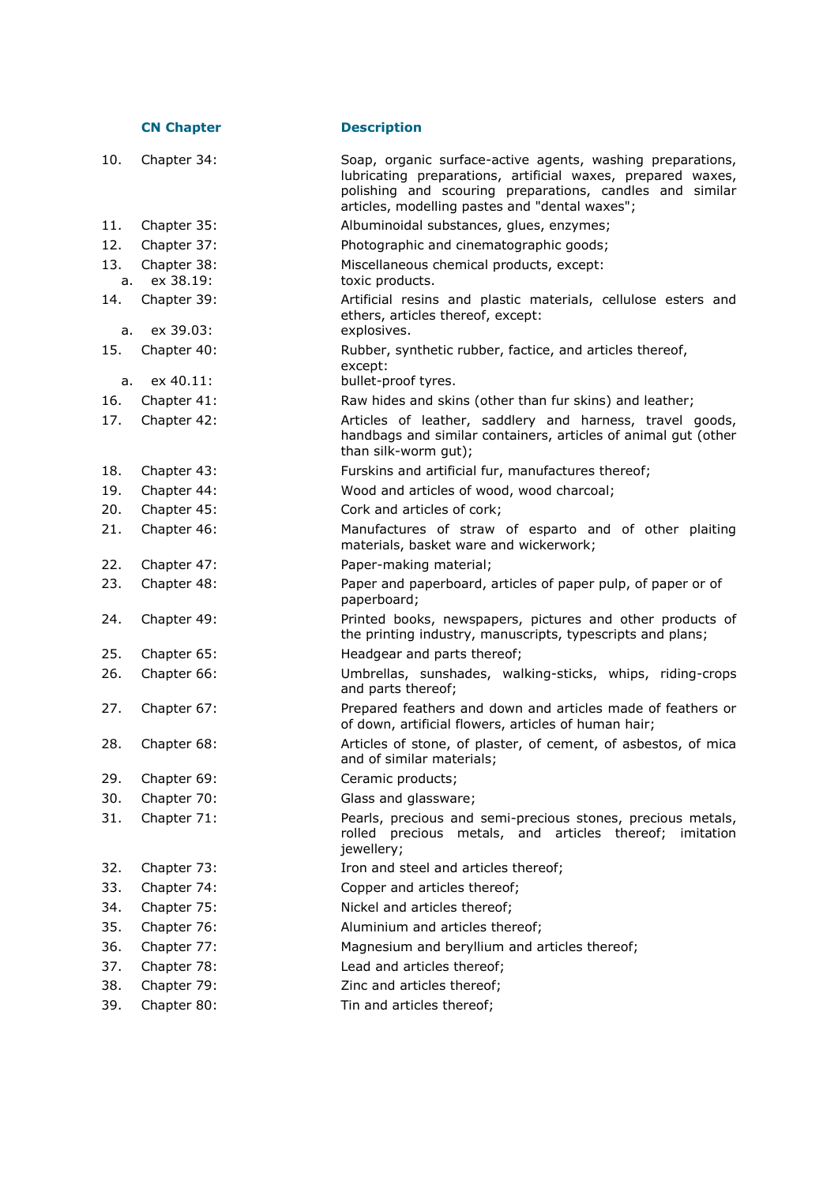|           | <b>CN Chapter</b>        | <b>Description</b>                                                                                                                                                                                                                      |
|-----------|--------------------------|-----------------------------------------------------------------------------------------------------------------------------------------------------------------------------------------------------------------------------------------|
| 10.       | Chapter 34:              | Soap, organic surface-active agents, washing preparations,<br>lubricating preparations, artificial waxes, prepared waxes,<br>polishing and scouring preparations, candles and similar<br>articles, modelling pastes and "dental waxes"; |
| 11.       | Chapter 35:              | Albuminoidal substances, glues, enzymes;                                                                                                                                                                                                |
| 12.       | Chapter 37:              | Photographic and cinematographic goods;                                                                                                                                                                                                 |
| 13.<br>а. | Chapter 38:<br>ex 38.19: | Miscellaneous chemical products, except:<br>toxic products.                                                                                                                                                                             |
| 14.       | Chapter 39:              | Artificial resins and plastic materials, cellulose esters and<br>ethers, articles thereof, except:                                                                                                                                      |
| a.        | ex 39.03:                | explosives.                                                                                                                                                                                                                             |
| 15.       | Chapter 40:              | Rubber, synthetic rubber, factice, and articles thereof,<br>except:                                                                                                                                                                     |
| a.        | ex 40.11:                | bullet-proof tyres.                                                                                                                                                                                                                     |
| 16.       | Chapter 41:              | Raw hides and skins (other than fur skins) and leather;                                                                                                                                                                                 |
| 17.       | Chapter 42:              | Articles of leather, saddlery and harness, travel goods,<br>handbags and similar containers, articles of animal gut (other<br>than silk-worm gut);                                                                                      |
| 18.       | Chapter 43:              | Furskins and artificial fur, manufactures thereof;                                                                                                                                                                                      |
| 19.       | Chapter 44:              | Wood and articles of wood, wood charcoal;                                                                                                                                                                                               |
| 20.       | Chapter 45:              | Cork and articles of cork;                                                                                                                                                                                                              |
| 21.       | Chapter 46:              | Manufactures of straw of esparto and of other plaiting<br>materials, basket ware and wickerwork;                                                                                                                                        |
| 22.       | Chapter 47:              | Paper-making material;                                                                                                                                                                                                                  |
| 23.       | Chapter 48:              | Paper and paperboard, articles of paper pulp, of paper or of<br>paperboard;                                                                                                                                                             |
| 24.       | Chapter 49:              | Printed books, newspapers, pictures and other products of<br>the printing industry, manuscripts, typescripts and plans;                                                                                                                 |
| 25.       | Chapter 65:              | Headgear and parts thereof;                                                                                                                                                                                                             |
| 26.       | Chapter 66:              | Umbrellas, sunshades, walking-sticks, whips, riding-crops<br>and parts thereof;                                                                                                                                                         |
| 27.       | Chapter 67:              | Prepared feathers and down and articles made of feathers or<br>of down, artificial flowers, articles of human hair;                                                                                                                     |
| 28.       | Chapter 68:              | Articles of stone, of plaster, of cement, of asbestos, of mica<br>and of similar materials;                                                                                                                                             |
| 29.       | Chapter 69:              | Ceramic products;                                                                                                                                                                                                                       |
| 30.       | Chapter 70:              | Glass and glassware;                                                                                                                                                                                                                    |
| 31.       | Chapter 71:              | Pearls, precious and semi-precious stones, precious metals,<br>rolled precious metals, and articles thereof;<br>imitation<br>jewellery;                                                                                                 |
| 32.       | Chapter 73:              | Iron and steel and articles thereof;                                                                                                                                                                                                    |
| 33.       | Chapter 74:              | Copper and articles thereof;                                                                                                                                                                                                            |
| 34.       | Chapter 75:              | Nickel and articles thereof;                                                                                                                                                                                                            |
| 35.       | Chapter 76:              | Aluminium and articles thereof;                                                                                                                                                                                                         |
| 36.       | Chapter 77:              | Magnesium and beryllium and articles thereof;                                                                                                                                                                                           |
| 37.       | Chapter 78:              | Lead and articles thereof;                                                                                                                                                                                                              |
| 38.       | Chapter 79:              | Zinc and articles thereof;                                                                                                                                                                                                              |
| 39.       | Chapter 80:              | Tin and articles thereof;                                                                                                                                                                                                               |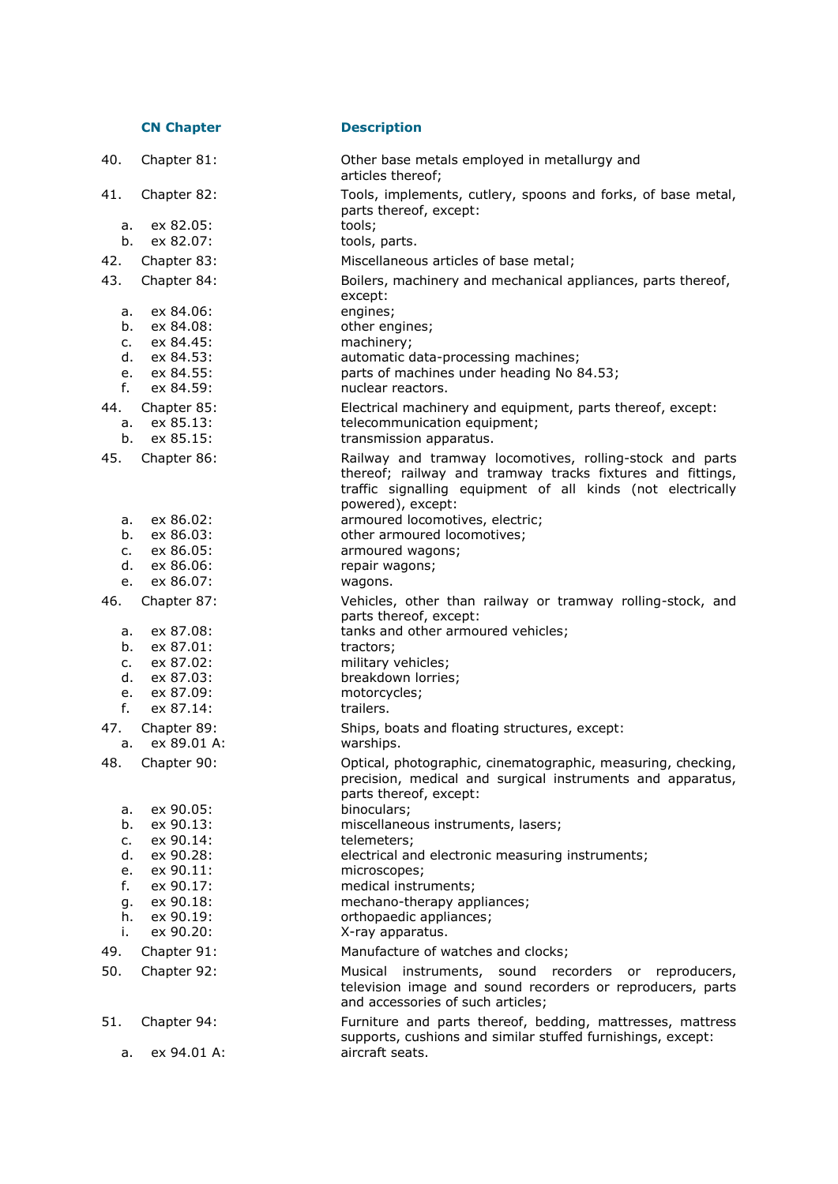|                | <b>CN Chapter</b>          | <b>Description</b>                                                                                                                                      |
|----------------|----------------------------|---------------------------------------------------------------------------------------------------------------------------------------------------------|
| 40.            | Chapter 81:                | Other base metals employed in metallurgy and<br>articles thereof;                                                                                       |
| 41.            | Chapter 82:                | Tools, implements, cutlery, spoons and forks, of base metal,<br>parts thereof, except:                                                                  |
| a.<br>b.       | ex 82.05:<br>ex 82.07:     | tools;<br>tools, parts.                                                                                                                                 |
| 42.            | Chapter 83:                | Miscellaneous articles of base metal;                                                                                                                   |
| 43.            | Chapter 84:                | Boilers, machinery and mechanical appliances, parts thereof,<br>except:                                                                                 |
| а.             | ex 84.06:                  | engines;                                                                                                                                                |
| b.             | ex 84.08:                  | other engines;                                                                                                                                          |
| c.             | ex 84.45:                  | machinery;                                                                                                                                              |
| d.             | ex 84.53:                  | automatic data-processing machines;                                                                                                                     |
| f.             | e. ex 84.55:<br>ex 84.59:  | parts of machines under heading No 84.53;<br>nuclear reactors.                                                                                          |
|                | Chapter 85:                |                                                                                                                                                         |
| 44.<br>а.      | ex 85.13:                  | Electrical machinery and equipment, parts thereof, except:<br>telecommunication equipment;                                                              |
| b.             | ex 85.15:                  | transmission apparatus.                                                                                                                                 |
| 45.            | Chapter 86:                | Railway and tramway locomotives, rolling-stock and parts<br>thereof; railway and tramway tracks fixtures and fittings,                                  |
|                |                            | traffic signalling equipment of all kinds (not electrically                                                                                             |
|                |                            | powered), except:                                                                                                                                       |
| а.             | ex 86.02:                  | armoured locomotives, electric;                                                                                                                         |
| b.             | ex 86.03:                  | other armoured locomotives;                                                                                                                             |
| c.<br>d.       | ex 86.05:<br>ex 86.06:     | armoured wagons;<br>repair wagons;                                                                                                                      |
| e.             | ex 86.07:                  | wagons.                                                                                                                                                 |
| 46.            | Chapter 87:                | Vehicles, other than railway or tramway rolling-stock, and                                                                                              |
|                |                            | parts thereof, except:                                                                                                                                  |
| а.             | ex 87.08:                  | tanks and other armoured vehicles;                                                                                                                      |
| b.             | ex 87.01:                  | tractors;                                                                                                                                               |
| $\mathsf{C}$ . | ex 87.02:                  | military vehicles;                                                                                                                                      |
| d.             | ex 87.03:                  | breakdown lorries;                                                                                                                                      |
| e.             | ex 87.09:                  | motorcycles;                                                                                                                                            |
| $f_{\rm{r}}$   | ex 87.14:                  | trailers.                                                                                                                                               |
| 47.<br>a.      | Chapter 89:<br>ex 89.01 A: | Ships, boats and floating structures, except:<br>warships.                                                                                              |
| 48.            | Chapter 90:                | Optical, photographic, cinematographic, measuring, checking,<br>precision, medical and surgical instruments and apparatus,<br>parts thereof, except:    |
| а.             | ex 90.05:                  | binoculars;                                                                                                                                             |
| b.             | ex 90.13:                  | miscellaneous instruments, lasers;                                                                                                                      |
| c.             | ex 90.14:                  | telemeters;                                                                                                                                             |
| d.             | ex 90.28:                  | electrical and electronic measuring instruments;                                                                                                        |
| e.             | ex 90.11:                  | microscopes;                                                                                                                                            |
| f.             | ex 90.17:                  | medical instruments;                                                                                                                                    |
| g.<br>h.       | ex 90.18:<br>ex 90.19:     | mechano-therapy appliances;<br>orthopaedic appliances;                                                                                                  |
| i.             | ex 90.20:                  | X-ray apparatus.                                                                                                                                        |
| 49.            | Chapter 91:                | Manufacture of watches and clocks;                                                                                                                      |
| 50.            |                            |                                                                                                                                                         |
|                | Chapter 92:                | Musical instruments, sound recorders or reproducers,<br>television image and sound recorders or reproducers, parts<br>and accessories of such articles; |
| 51.            | Chapter 94:                | Furniture and parts thereof, bedding, mattresses, mattress<br>supports, cushions and similar stuffed furnishings, except:                               |
| a.             | ex 94.01 A:                | aircraft seats.                                                                                                                                         |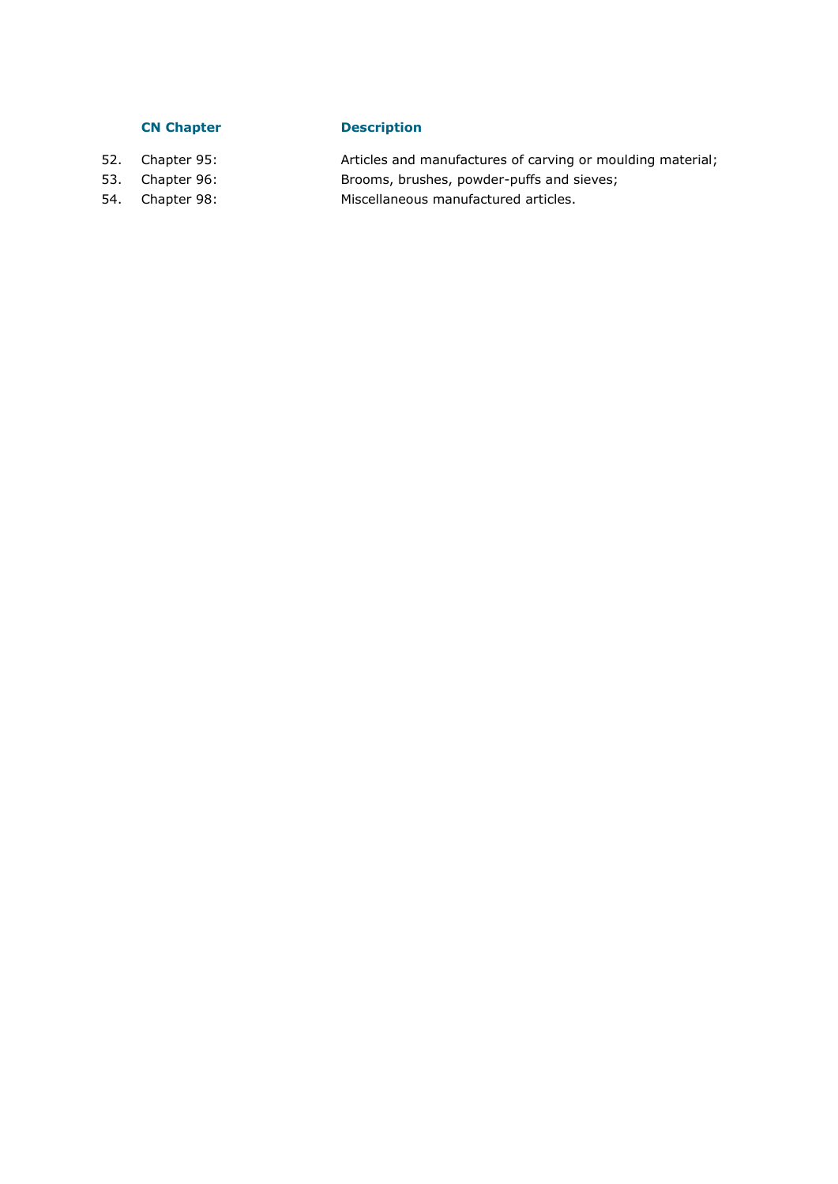# **CN Chapter Description**

- 52. Chapter 95: Articles and manufactures of carving or moulding material; 53. Chapter 96: Brooms, brushes, powder-puffs and sieves; 54. Chapter 98: Miscellaneous manufactured articles.
- 
-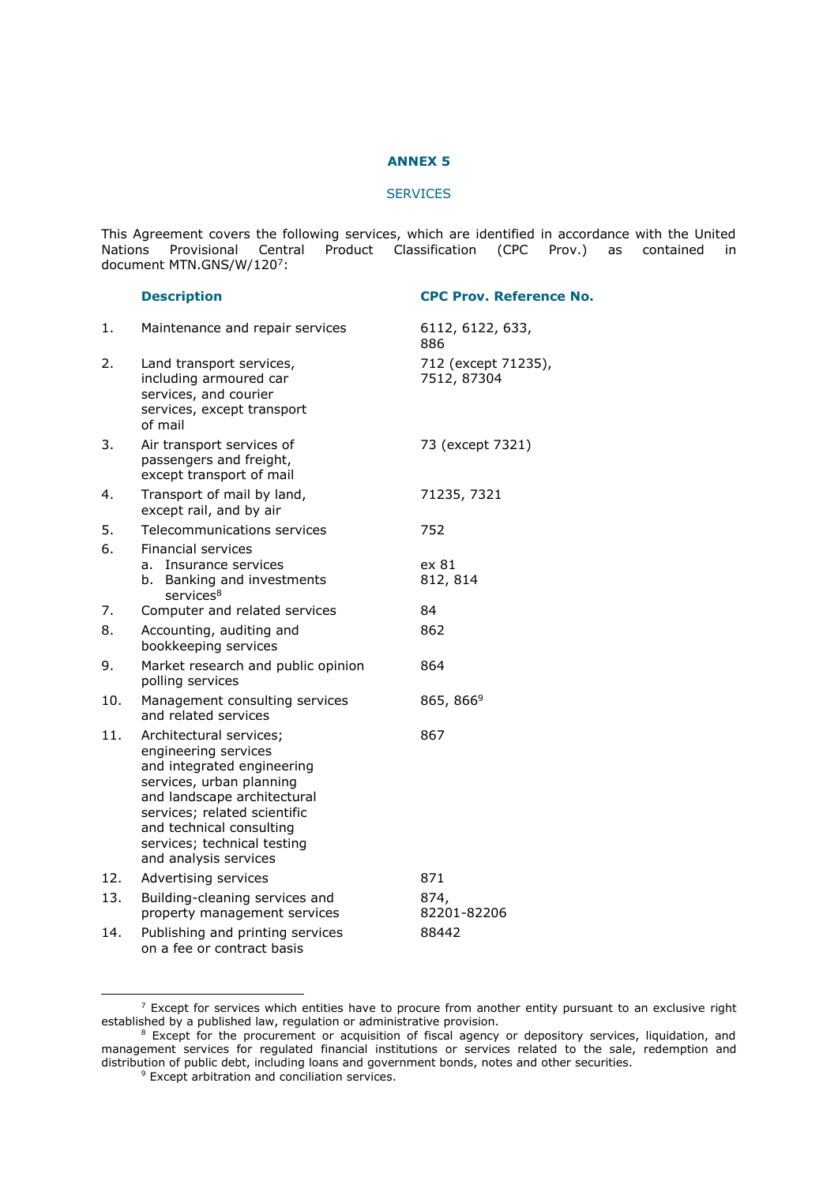#### **ANNEX 5**

#### **SERVICES**

This Agreement covers the following services, which are identified in accordance with the United Nations Provisional Central Product Classification (CPC Prov.) as contained in document MTN.GNS/W/120<sup>7</sup>:

#### **Description CPC Prov. Reference No.**

| 1.  | Maintenance and repair services                                                                                                                                                                                                                              | 6112, 6122, 633,<br>886            |
|-----|--------------------------------------------------------------------------------------------------------------------------------------------------------------------------------------------------------------------------------------------------------------|------------------------------------|
| 2.  | Land transport services,<br>including armoured car<br>services, and courier<br>services, except transport<br>of mail                                                                                                                                         | 712 (except 71235),<br>7512, 87304 |
| 3.  | Air transport services of<br>passengers and freight,<br>except transport of mail                                                                                                                                                                             | 73 (except 7321)                   |
| 4.  | Transport of mail by land,<br>except rail, and by air                                                                                                                                                                                                        | 71235, 7321                        |
| 5.  | Telecommunications services                                                                                                                                                                                                                                  | 752                                |
| 6.  | <b>Financial services</b>                                                                                                                                                                                                                                    |                                    |
|     | Insurance services<br>a.                                                                                                                                                                                                                                     | ex 81                              |
|     | b.<br>Banking and investments<br>services <sup>8</sup>                                                                                                                                                                                                       | 812, 814                           |
| 7.  | Computer and related services                                                                                                                                                                                                                                | 84                                 |
| 8.  | Accounting, auditing and                                                                                                                                                                                                                                     | 862                                |
|     | bookkeeping services                                                                                                                                                                                                                                         |                                    |
| 9.  | Market research and public opinion<br>polling services                                                                                                                                                                                                       | 864                                |
| 10. | Management consulting services<br>and related services                                                                                                                                                                                                       | 865, 866 <sup>9</sup>              |
| 11. | Architectural services:<br>engineering services<br>and integrated engineering<br>services, urban planning<br>and landscape architectural<br>services; related scientific<br>and technical consulting<br>services; technical testing<br>and analysis services | 867                                |
| 12. | Advertising services                                                                                                                                                                                                                                         | 871                                |
| 13. | Building-cleaning services and<br>property management services                                                                                                                                                                                               | 874,<br>82201-82206                |
| 14. | Publishing and printing services<br>on a fee or contract basis                                                                                                                                                                                               | 88442                              |

 $<sup>7</sup>$  Except for services which entities have to procure from another entity pursuant to an exclusive right</sup> established by a published law, regulation or administrative provision.

-

<sup>&</sup>lt;sup>8</sup> Except for the procurement or acquisition of fiscal agency or depository services, liquidation, and management services for regulated financial institutions or services related to the sale, redemption and distribution of public debt, including loans and government bonds, notes and other securities.

<sup>&</sup>lt;sup>9</sup> Except arbitration and conciliation services.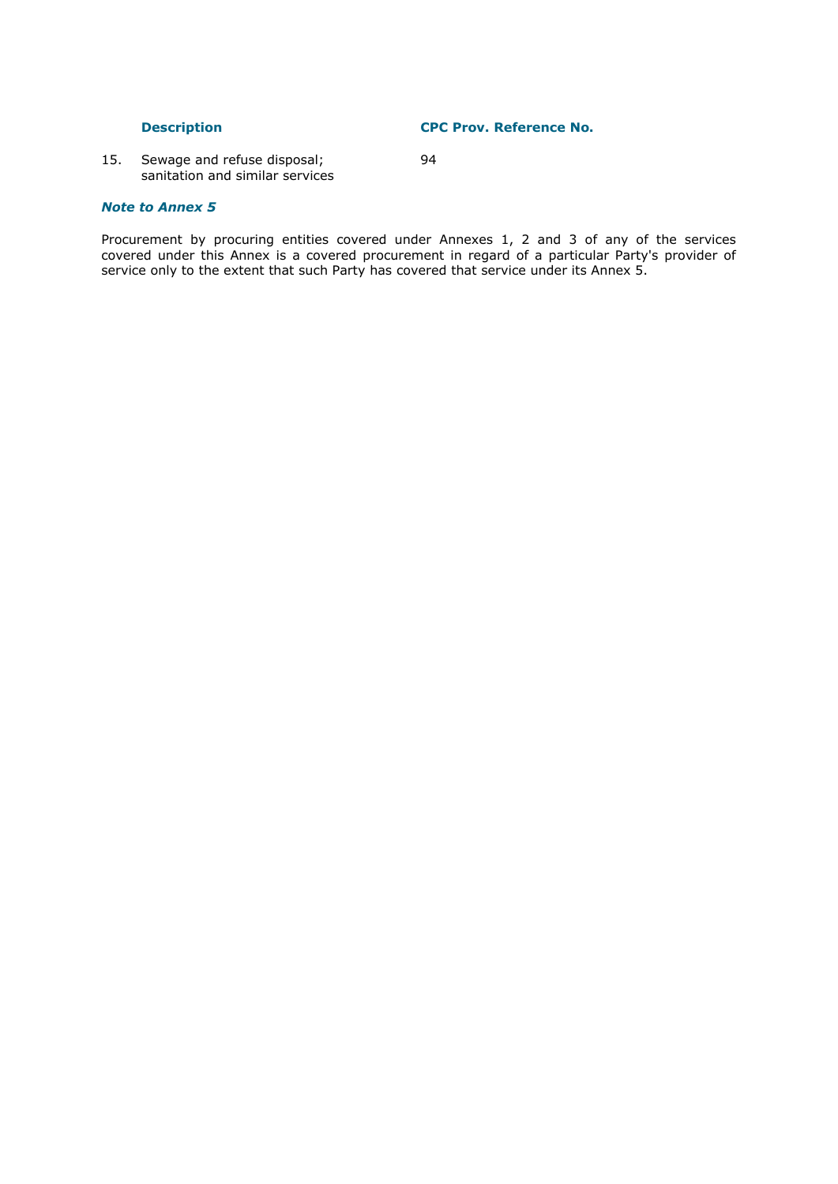**Description CPC Prov. Reference No.**

15. Sewage and refuse disposal; 94 sanitation and similar services

# *Note to Annex 5*

# Procurement by procuring entities covered under Annexes 1, 2 and 3 of any of the services covered under this Annex is a covered procurement in regard of a particular Party's provider of service only to the extent that such Party has covered that service under its Annex 5.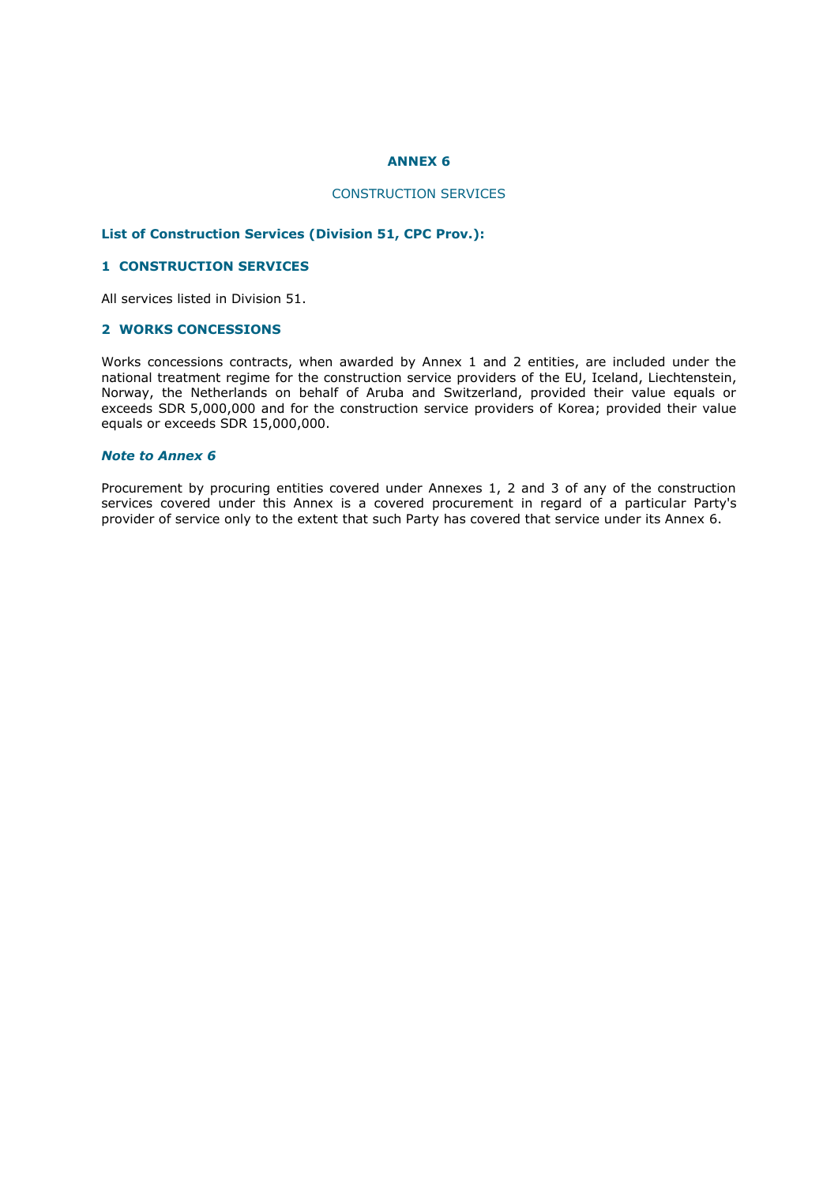# **ANNEX 6**

# CONSTRUCTION SERVICES

# **List of Construction Services (Division 51, CPC Prov.):**

#### **1 CONSTRUCTION SERVICES**

All services listed in Division 51.

# **2 WORKS CONCESSIONS**

Works concessions contracts, when awarded by Annex 1 and 2 entities, are included under the national treatment regime for the construction service providers of the EU, Iceland, Liechtenstein, Norway, the Netherlands on behalf of Aruba and Switzerland, provided their value equals or exceeds SDR 5,000,000 and for the construction service providers of Korea; provided their value equals or exceeds SDR 15,000,000.

# *Note to Annex 6*

Procurement by procuring entities covered under Annexes 1, 2 and 3 of any of the construction services covered under this Annex is a covered procurement in regard of a particular Party's provider of service only to the extent that such Party has covered that service under its Annex 6.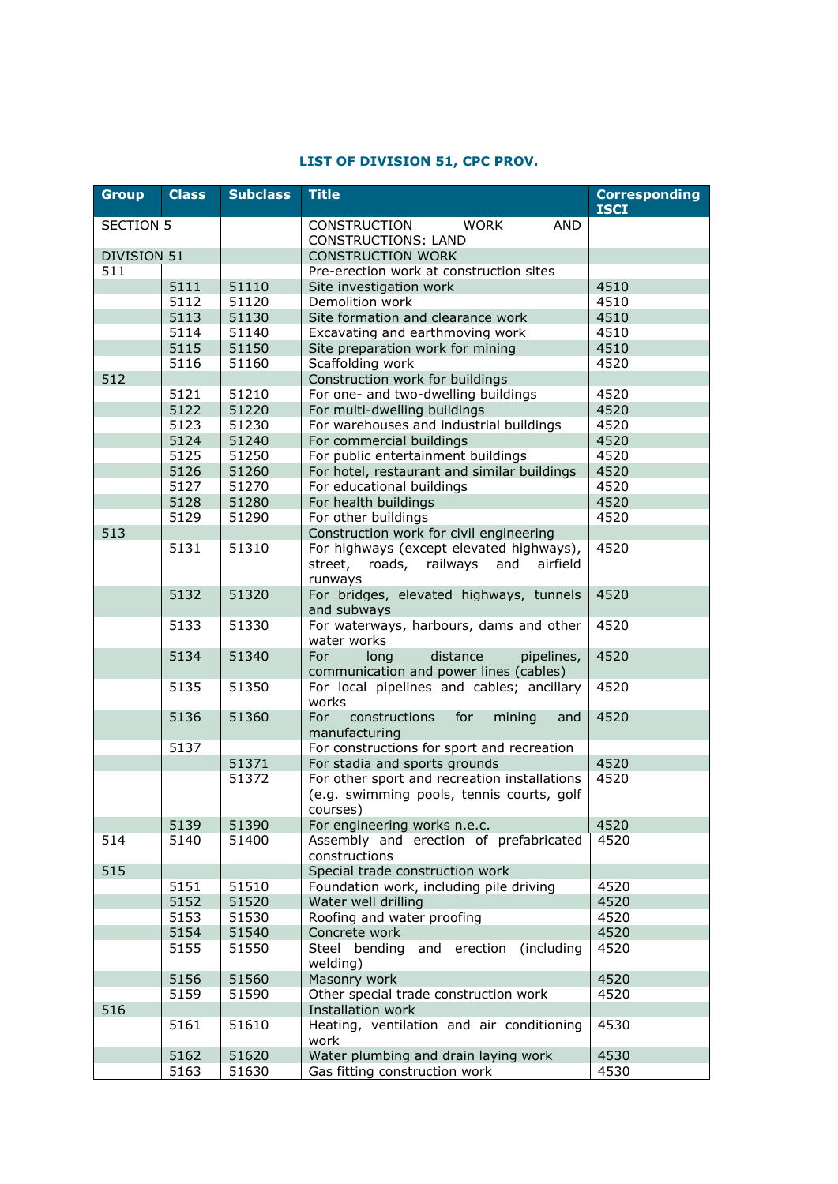# **LIST OF DIVISION 51, CPC PROV.**

| <b>Group</b>         | <b>Class</b> | <b>Subclass</b> | <b>Title</b>                                         | <b>Corresponding</b><br><b>ISCI</b> |
|----------------------|--------------|-----------------|------------------------------------------------------|-------------------------------------|
|                      |              |                 |                                                      |                                     |
| SECTION <sub>5</sub> |              |                 | <b>CONSTRUCTION</b><br><b>WORK</b><br><b>AND</b>     |                                     |
|                      |              |                 | <b>CONSTRUCTIONS: LAND</b>                           |                                     |
| <b>DIVISION 51</b>   |              |                 | <b>CONSTRUCTION WORK</b>                             |                                     |
| 511                  |              |                 | Pre-erection work at construction sites              |                                     |
|                      | 5111<br>5112 | 51110<br>51120  | Site investigation work                              | 4510                                |
|                      | 5113         | 51130           | Demolition work<br>Site formation and clearance work | 4510<br>4510                        |
|                      | 5114         | 51140           | Excavating and earthmoving work                      | 4510                                |
|                      |              |                 |                                                      |                                     |
|                      | 5115         | 51150<br>51160  | Site preparation work for mining<br>Scaffolding work | 4510<br>4520                        |
| 512                  | 5116         |                 | Construction work for buildings                      |                                     |
|                      | 5121         | 51210           | For one- and two-dwelling buildings                  | 4520                                |
|                      | 5122         | 51220           | For multi-dwelling buildings                         | 4520                                |
|                      | 5123         | 51230           | For warehouses and industrial buildings              | 4520                                |
|                      | 5124         | 51240           | For commercial buildings                             | 4520                                |
|                      | 5125         | 51250           | For public entertainment buildings                   | 4520                                |
|                      | 5126         | 51260           | For hotel, restaurant and similar buildings          | 4520                                |
|                      | 5127         | 51270           | For educational buildings                            | 4520                                |
|                      | 5128         | 51280           | For health buildings                                 | 4520                                |
|                      | 5129         | 51290           | For other buildings                                  | 4520                                |
| 513                  |              |                 | Construction work for civil engineering              |                                     |
|                      | 5131         | 51310           | For highways (except elevated highways),             | 4520                                |
|                      |              |                 | railways<br>and<br>airfield<br>street,<br>roads,     |                                     |
|                      |              |                 | runways                                              |                                     |
|                      | 5132         | 51320           | For bridges, elevated highways, tunnels              | 4520                                |
|                      |              |                 | and subways                                          |                                     |
|                      | 5133         | 51330           | For waterways, harbours, dams and other              | 4520                                |
|                      |              |                 | water works                                          |                                     |
|                      | 5134         | 51340           | For<br>distance<br>long<br>pipelines,                | 4520                                |
|                      |              |                 | communication and power lines (cables)               |                                     |
|                      | 5135         | 51350           | For local pipelines and cables; ancillary            | 4520                                |
|                      |              |                 | works                                                |                                     |
|                      | 5136         | 51360           | For<br>constructions<br>for<br>mining<br>and         | 4520                                |
|                      |              |                 | manufacturing                                        |                                     |
|                      | 5137         |                 | For constructions for sport and recreation           |                                     |
|                      |              | 51371           | For stadia and sports grounds                        | 4520                                |
|                      |              | 51372           | For other sport and recreation installations         | 4520                                |
|                      |              |                 | (e.g. swimming pools, tennis courts, golf            |                                     |
|                      |              |                 | courses)                                             |                                     |
|                      | 5139         | 51390           | For engineering works n.e.c.                         | 4520                                |
| 514                  | 5140         | 51400           | Assembly and erection of prefabricated               | 4520                                |
|                      |              |                 | constructions                                        |                                     |
| 515                  |              |                 | Special trade construction work                      |                                     |
|                      | 5151         | 51510           | Foundation work, including pile driving              | 4520                                |
|                      | 5152         | 51520           | Water well drilling                                  | 4520                                |
|                      | 5153         | 51530           | Roofing and water proofing                           | 4520                                |
|                      | 5154         | 51540           | Concrete work                                        | 4520                                |
|                      | 5155         | 51550           | and erection<br>(including<br>Steel bending          | 4520                                |
|                      |              |                 | welding)                                             |                                     |
|                      | 5156         | 51560           | Masonry work                                         | 4520                                |
|                      | 5159         | 51590           | Other special trade construction work                | 4520                                |
| 516                  |              |                 | Installation work                                    |                                     |
|                      | 5161         | 51610           | Heating, ventilation and air conditioning            | 4530                                |
|                      |              |                 | work                                                 |                                     |
|                      | 5162         | 51620           | Water plumbing and drain laying work                 | 4530                                |
|                      | 5163         | 51630           | Gas fitting construction work                        | 4530                                |
|                      |              |                 |                                                      |                                     |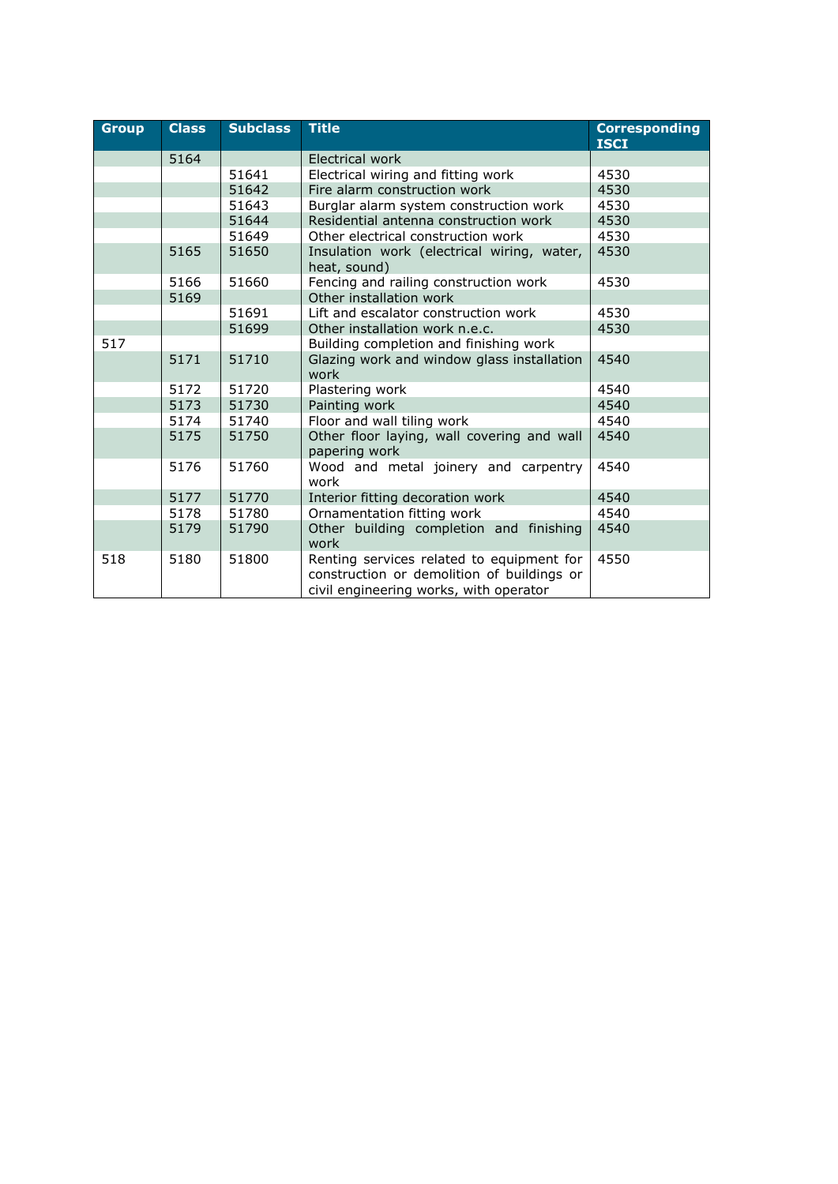| <b>Group</b> | <b>Class</b> | <b>Subclass</b> | <b>Title</b>                                                                                                                      | <b>Corresponding</b><br><b>ISCI</b> |
|--------------|--------------|-----------------|-----------------------------------------------------------------------------------------------------------------------------------|-------------------------------------|
|              | 5164         |                 | Electrical work                                                                                                                   |                                     |
|              |              | 51641           | Electrical wiring and fitting work                                                                                                | 4530                                |
|              |              | 51642           | Fire alarm construction work                                                                                                      | 4530                                |
|              |              | 51643           | Burglar alarm system construction work                                                                                            | 4530                                |
|              |              | 51644           | Residential antenna construction work                                                                                             | 4530                                |
|              |              | 51649           | Other electrical construction work                                                                                                | 4530                                |
|              | 5165         | 51650           | Insulation work (electrical wiring, water,<br>heat, sound)                                                                        | 4530                                |
|              | 5166         | 51660           | Fencing and railing construction work                                                                                             | 4530                                |
|              | 5169         |                 | Other installation work                                                                                                           |                                     |
|              |              | 51691           | Lift and escalator construction work                                                                                              | 4530                                |
|              |              | 51699           | Other installation work n.e.c.                                                                                                    | 4530                                |
| 517          |              |                 | Building completion and finishing work                                                                                            |                                     |
|              | 5171         | 51710           | Glazing work and window glass installation<br>work                                                                                | 4540                                |
|              | 5172         | 51720           | Plastering work                                                                                                                   | 4540                                |
|              | 5173         | 51730           | Painting work                                                                                                                     | 4540                                |
|              | 5174         | 51740           | Floor and wall tiling work                                                                                                        | 4540                                |
|              | 5175         | 51750           | Other floor laying, wall covering and wall<br>papering work                                                                       | 4540                                |
|              | 5176         | 51760           | Wood and metal joinery and carpentry<br>work                                                                                      | 4540                                |
|              | 5177         | 51770           | Interior fitting decoration work                                                                                                  | 4540                                |
|              | 5178         | 51780           | Ornamentation fitting work                                                                                                        | 4540                                |
|              | 5179         | 51790           | Other building completion and finishing<br>work                                                                                   | 4540                                |
| 518          | 5180         | 51800           | Renting services related to equipment for<br>construction or demolition of buildings or<br>civil engineering works, with operator | 4550                                |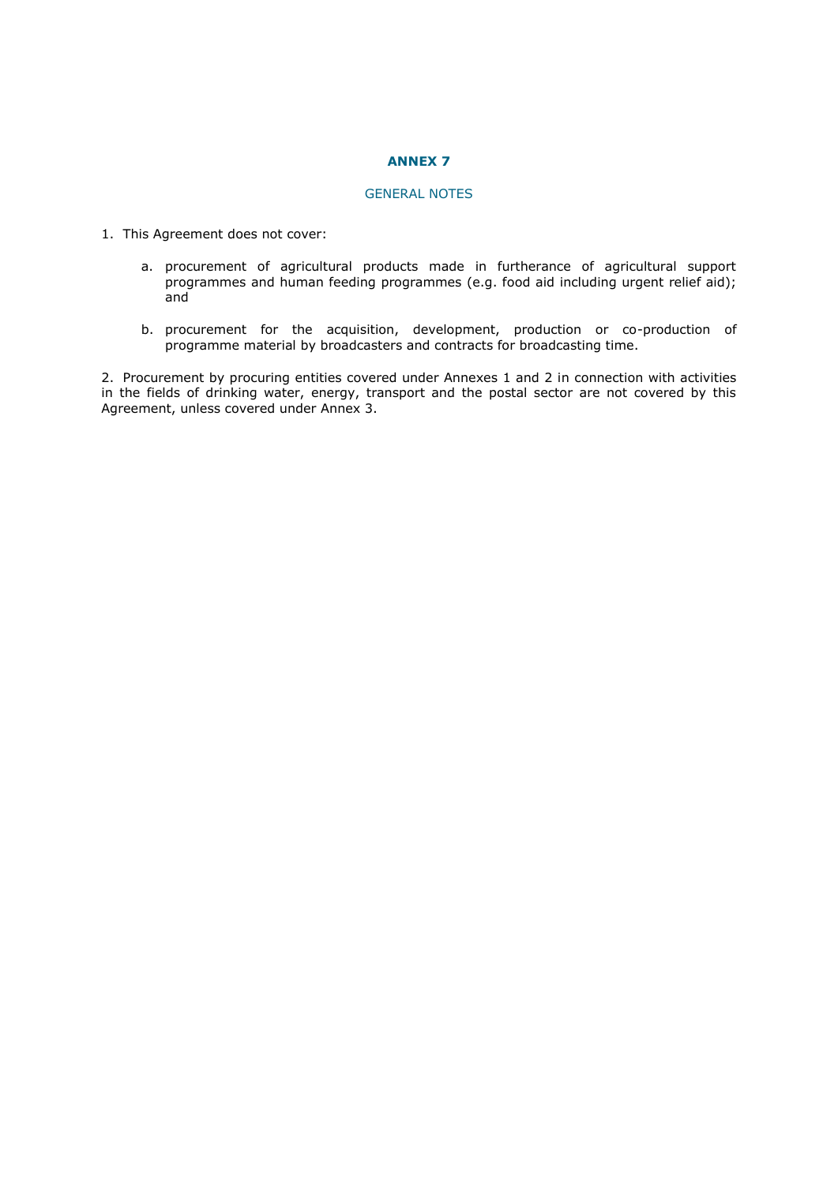# **ANNEX 7**

# GENERAL NOTES

- 1. This Agreement does not cover:
	- a. procurement of agricultural products made in furtherance of agricultural support programmes and human feeding programmes (e.g. food aid including urgent relief aid); and
	- b. procurement for the acquisition, development, production or co-production of programme material by broadcasters and contracts for broadcasting time.

2. Procurement by procuring entities covered under Annexes 1 and 2 in connection with activities in the fields of drinking water, energy, transport and the postal sector are not covered by this Agreement, unless covered under Annex 3.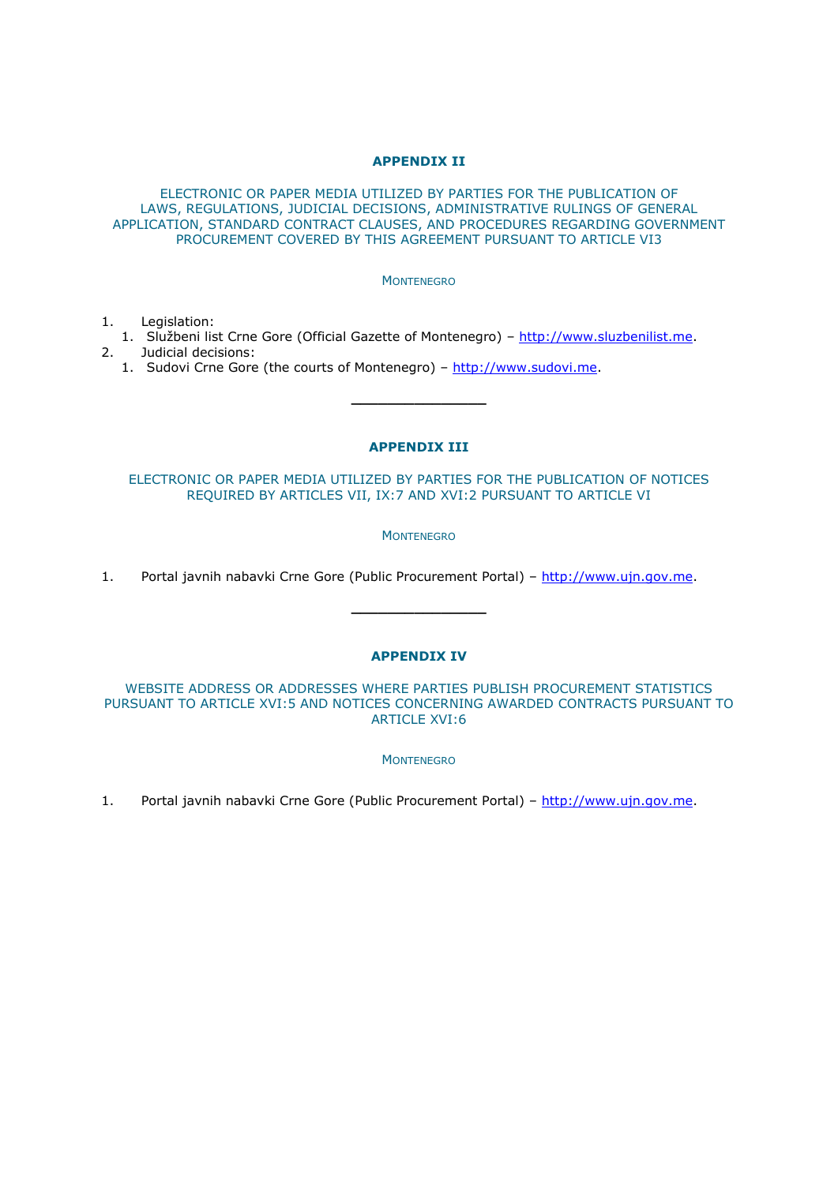# **APPENDIX II**

ELECTRONIC OR PAPER MEDIA UTILIZED BY PARTIES FOR THE PUBLICATION OF LAWS, REGULATIONS, JUDICIAL DECISIONS, ADMINISTRATIVE RULINGS OF GENERAL APPLICATION, STANDARD CONTRACT CLAUSES, AND PROCEDURES REGARDING GOVERNMENT PROCUREMENT COVERED BY THIS AGREEMENT PURSUANT TO ARTICLE VI3

#### **MONTENEGRO**

- 1. Legislation:
- 1. Službeni list Crne Gore (Official Gazette of Montenegro) [http://www.sluzbenilist.me.](http://www.sluzbenilist.me/) 2. Judicial decisions:
	- 1. Sudovi Crne Gore (the courts of Montenegro) [http://www.sudovi.me.](http://www.sudovi.me/)

# **APPENDIX III**

**\_\_\_\_\_\_\_\_\_\_\_\_\_\_\_**

ELECTRONIC OR PAPER MEDIA UTILIZED BY PARTIES FOR THE PUBLICATION OF NOTICES REQUIRED BY ARTICLES VII, IX:7 AND XVI:2 PURSUANT TO ARTICLE VI

**MONTENEGRO** 

1. Portal javnih nabavki Crne Gore (Public Procurement Portal) - [http://www.ujn.gov.me.](http://www.ujn.gov.me/)

# **APPENDIX IV**

**\_\_\_\_\_\_\_\_\_\_\_\_\_\_\_**

# WEBSITE ADDRESS OR ADDRESSES WHERE PARTIES PUBLISH PROCUREMENT STATISTICS PURSUANT TO ARTICLE XVI:5 AND NOTICES CONCERNING AWARDED CONTRACTS PURSUANT TO ARTICLE XVI:6

**MONTENEGRO** 

1. Portal javnih nabavki Crne Gore (Public Procurement Portal) – [http://www.ujn.gov.me.](http://www.ujn.gov.me/)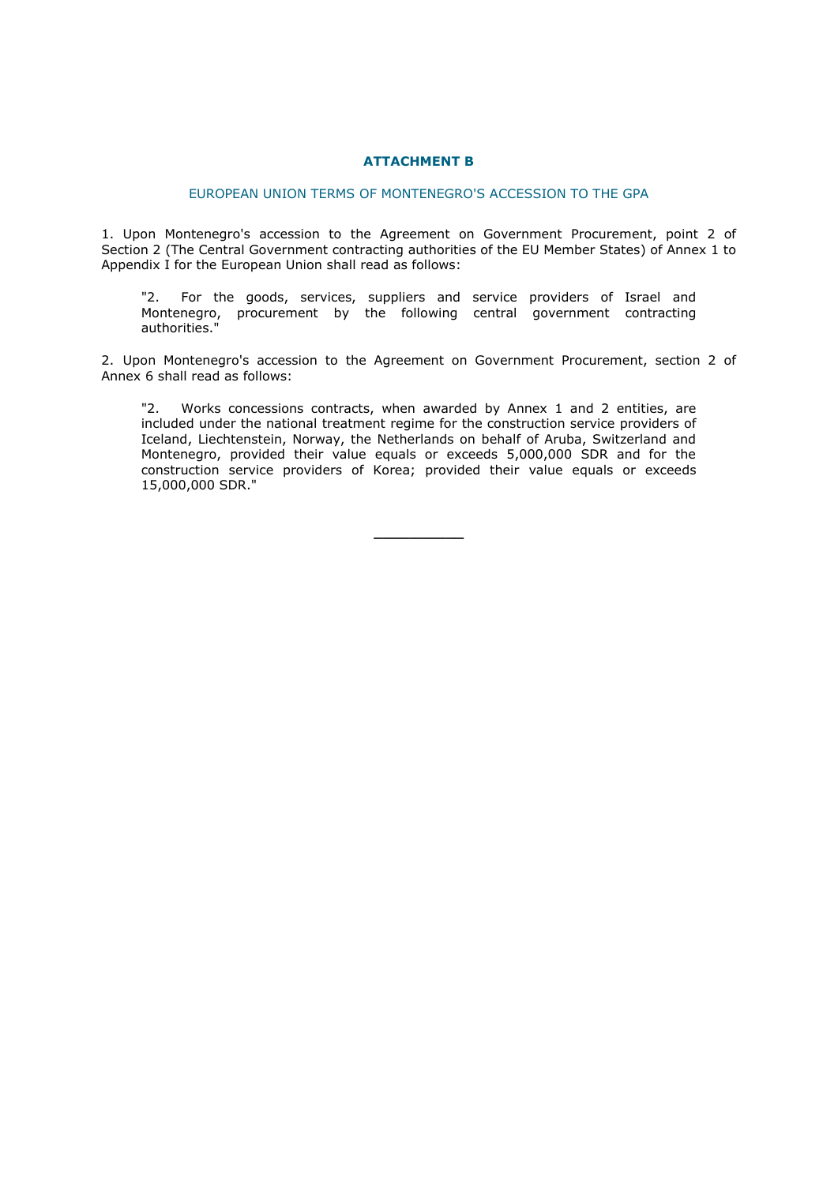# **ATTACHMENT B**

# EUROPEAN UNION TERMS OF MONTENEGRO'S ACCESSION TO THE GPA

1. Upon Montenegro's accession to the Agreement on Government Procurement, point 2 of Section 2 (The Central Government contracting authorities of the EU Member States) of Annex 1 to Appendix I for the European Union shall read as follows:

"2. For the goods, services, suppliers and service providers of Israel and Montenegro, procurement by the following central government contracting authorities."

2. Upon Montenegro's accession to the Agreement on Government Procurement, section 2 of Annex 6 shall read as follows:

"2. Works concessions contracts, when awarded by Annex 1 and 2 entities, are included under the national treatment regime for the construction service providers of Iceland, Liechtenstein, Norway, the Netherlands on behalf of Aruba, Switzerland and Montenegro, provided their value equals or exceeds 5,000,000 SDR and for the construction service providers of Korea; provided their value equals or exceeds 15,000,000 SDR."

**\_\_\_\_\_\_\_\_\_\_**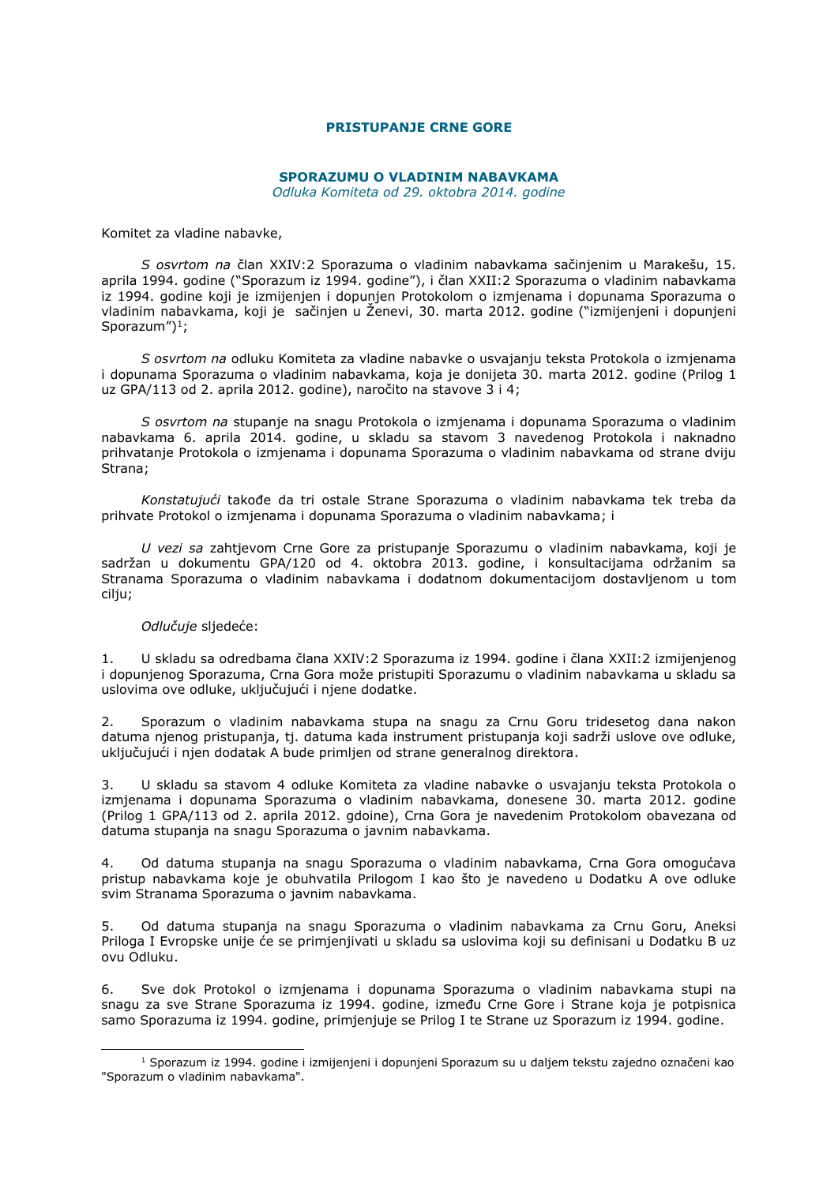# **PRISTUPANJE CRNE GORE**

# **SPORAZUMU O VLADINIM NABAVKAMA**

*Odluka Komiteta od 29. oktobra 2014. godine*

Komitet za vladine nabavke,

*S osvrtom na* član XXIV:2 Sporazuma o vladinim nabavkama sačinjenim u Marakešu, 15. aprila 1994. godine ("Sporazum iz 1994. godine"), i član XXII:2 Sporazuma o vladinim nabavkama iz 1994. godine koji je izmijenjen i dopunjen Protokolom o izmjenama i dopunama Sporazuma o vladinim nabavkama, koji je sačinjen u Ženevi, 30. marta 2012. godine ("izmijenjeni i dopunjeni Sporazum $'$ )<sup>1</sup>;

*S osvrtom na* odluku Komiteta za vladine nabavke o usvajanju teksta Protokola o izmjenama i dopunama Sporazuma o vladinim nabavkama, koja je donijeta 30. marta 2012. godine (Prilog 1 uz GPA/113 od 2. aprila 2012. godine), naročito na stavove 3 i 4;

*S osvrtom na* stupanje na snagu Protokola o izmjenama i dopunama Sporazuma o vladinim nabavkama 6. aprila 2014. godine, u skladu sa stavom 3 navedenog Protokola i naknadno prihvatanje Protokola o izmjenama i dopunama Sporazuma o vladinim nabavkama od strane dviju Strana;

*Konstatujući* takođe da tri ostale Strane Sporazuma o vladinim nabavkama tek treba da prihvate Protokol o izmjenama i dopunama Sporazuma o vladinim nabavkama; i

*U vezi sa* zahtjevom Crne Gore za pristupanje Sporazumu o vladinim nabavkama, koji je sadržan u dokumentu GPA/120 od 4. oktobra 2013. godine, i konsultacijama održanim sa Stranama Sporazuma o vladinim nabavkama i dodatnom dokumentacijom dostavljenom u tom cilju;

#### *Odlučuje* sljedeće:

-

1. U skladu sa odredbama člana XXIV:2 Sporazuma iz 1994. godine i člana XXII:2 izmijenjenog i dopunjenog Sporazuma, Crna Gora može pristupiti Sporazumu o vladinim nabavkama u skladu sa uslovima ove odluke, uključujući i njene dodatke.

2. Sporazum o vladinim nabavkama stupa na snagu za Crnu Goru tridesetog dana nakon datuma njenog pristupanja, tj. datuma kada instrument pristupanja koji sadrži uslove ove odluke, uključujući i njen dodatak A bude primljen od strane generalnog direktora.

3. U skladu sa stavom 4 odluke Komiteta za vladine nabavke o usvajanju teksta Protokola o izmjenama i dopunama Sporazuma o vladinim nabavkama, donesene 30. marta 2012. godine (Prilog 1 GPA/113 od 2. aprila 2012. gdoine), Crna Gora je navedenim Protokolom obavezana od datuma stupanja na snagu Sporazuma o javnim nabavkama.

4. Od datuma stupanja na snagu Sporazuma o vladinim nabavkama, Crna Gora omogućava pristup nabavkama koje je obuhvatila Prilogom I kao što je navedeno u Dodatku A ove odluke svim Stranama Sporazuma o javnim nabavkama.

5. Od datuma stupanja na snagu Sporazuma o vladinim nabavkama za Crnu Goru, Aneksi Priloga I Evropske unije će se primjenjivati u skladu sa uslovima koji su definisani u Dodatku B uz ovu Odluku.

6. Sve dok Protokol o izmjenama i dopunama Sporazuma o vladinim nabavkama stupi na snagu za sve Strane Sporazuma iz 1994. godine, između Crne Gore i Strane koja je potpisnica samo Sporazuma iz 1994. godine, primjenjuje se Prilog I te Strane uz Sporazum iz 1994. godine.

<sup>&</sup>lt;sup>1</sup> Sporazum iz 1994. godine i izmijenjeni i dopunjeni Sporazum su u daljem tekstu zajedno označeni kao "Sporazum o vladinim nabavkama".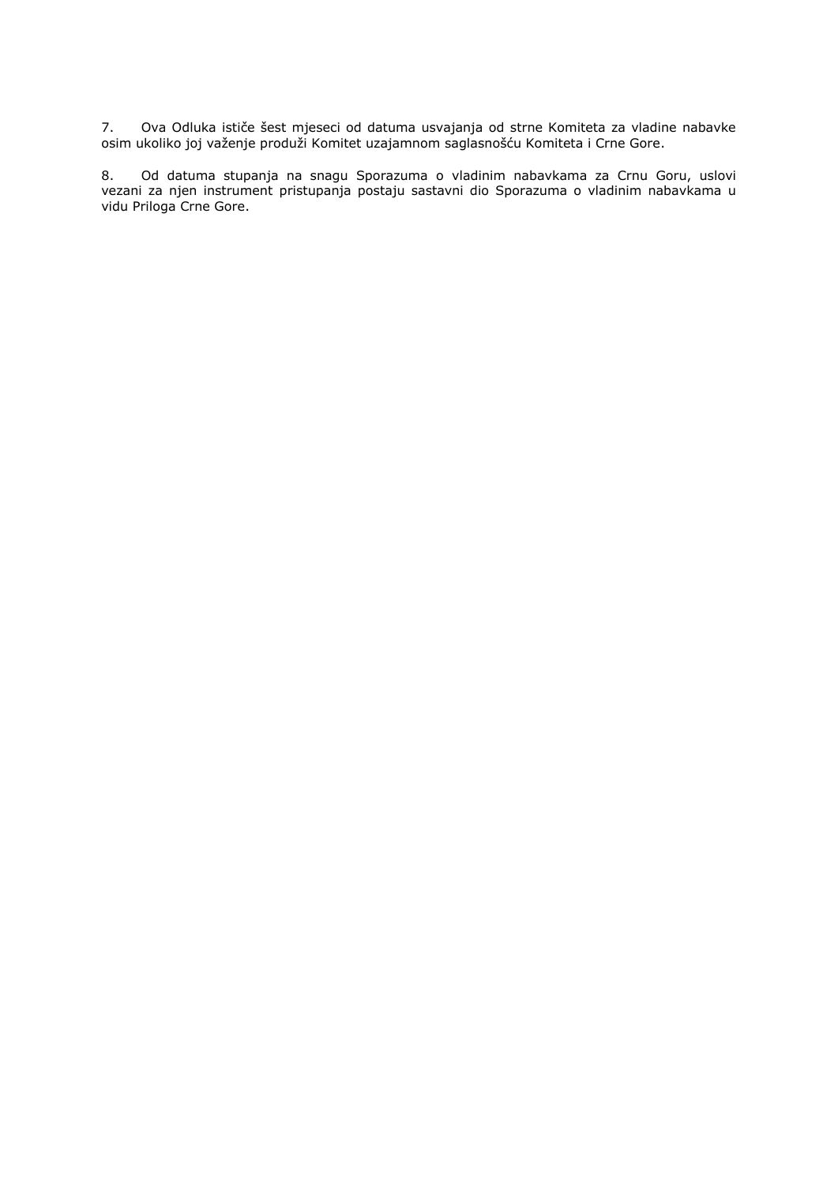7. Ova Odluka ističe šest mjeseci od datuma usvajanja od strne Komiteta za vladine nabavke osim ukoliko joj važenje produži Komitet uzajamnom saglasnošću Komiteta i Crne Gore.

8. Od datuma stupanja na snagu Sporazuma o vladinim nabavkama za Crnu Goru, uslovi vezani za njen instrument pristupanja postaju sastavni dio Sporazuma o vladinim nabavkama u vidu Priloga Crne Gore.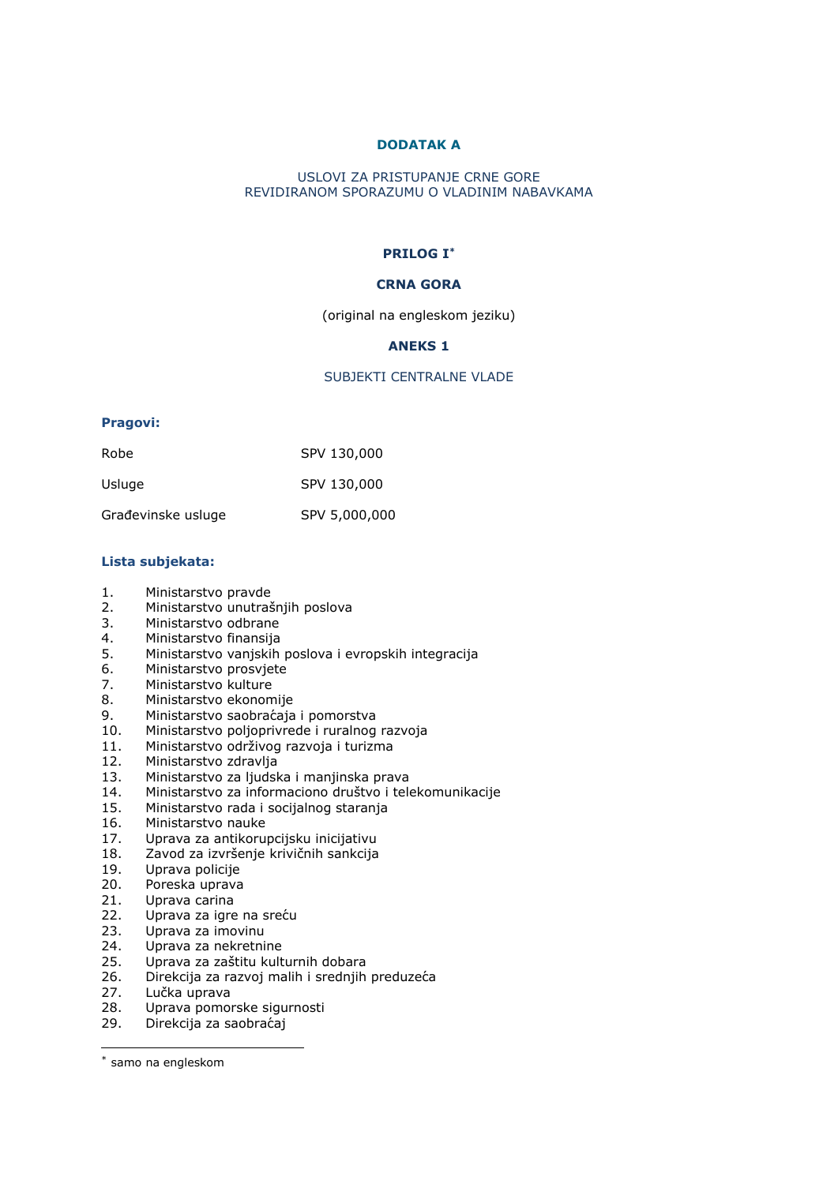# **DODATAK A**

# USLOVI ZA PRISTUPANJE CRNE GORE REVIDIRANOM SPORAZUMU O VLADINIM NABAVKAMA

# **PRILOG I\***

# **CRNA GORA**

(original na engleskom jeziku)

# **ANEKS 1**

# SUBJEKTI CENTRALNE VLADE

# **Pragovi:**

| Robe               | SPV 130,000   |
|--------------------|---------------|
| Usluge             | SPV 130,000   |
| Građevinske usluge | SPV 5,000,000 |

# **Lista subjekata:**

- 1. Ministarstvo pravde
- 2. Ministarstvo unutrašnjih poslova
- 3. Ministarstvo odbrane
- 4. Ministarstvo finansija
- 5. Ministarstvo vanjskih poslova i evropskih integracija
- 6. Ministarstvo prosvjete<br>7. Ministarstvo kulture
- 7. Ministarstvo kulture<br>8. Ministarstvo ekonom
- 8. Ministarstvo ekonomije
- 9. Ministarstvo saobraćaja i pomorstva<br>10. Ministarstvo polioprivrede i ruralnog
- Ministarstvo poljoprivrede i ruralnog razvoja
- 11. Ministarstvo održivog razvoja i turizma
- 12. Ministarstvo zdravlja
- 13. Ministarstvo za ljudska i manjinska prava
- 14. Ministarstvo za informaciono društvo i telekomunikacije
- 15. Ministarstvo rada i socijalnog staranja
- 16. Ministarstvo nauke<br>17. Uprava za antikoruj
- 17. Uprava za antikorupcijsku inicijativu
- 18. Zavod za izvršenje krivičnih sankcija
- 19. Uprava policije<br>20. Poreska uprava
- Poreska uprava
- 21. Uprava carina
- 22. Uprava za igre na sreću
- 23. Uprava za imovinu
- 24. Uprava za nekretnine<br>25. Uprava za zaštitu kult
- 25. Uprava za zaštitu kulturnih dobara<br>26. Direkcija za razvoj malih i srednjih 26. Direkcija za razvoj malih i srednjih preduzeća<br>27. Lučka uprava
- 
- 27. Lučka uprava<br>28. Uprava pomor
- 28. Uprava pomorske sigurnosti<br>29. Direkcija za saobraćaj Direkcija za saobraćaj

-

<sup>\*</sup> samo na engleskom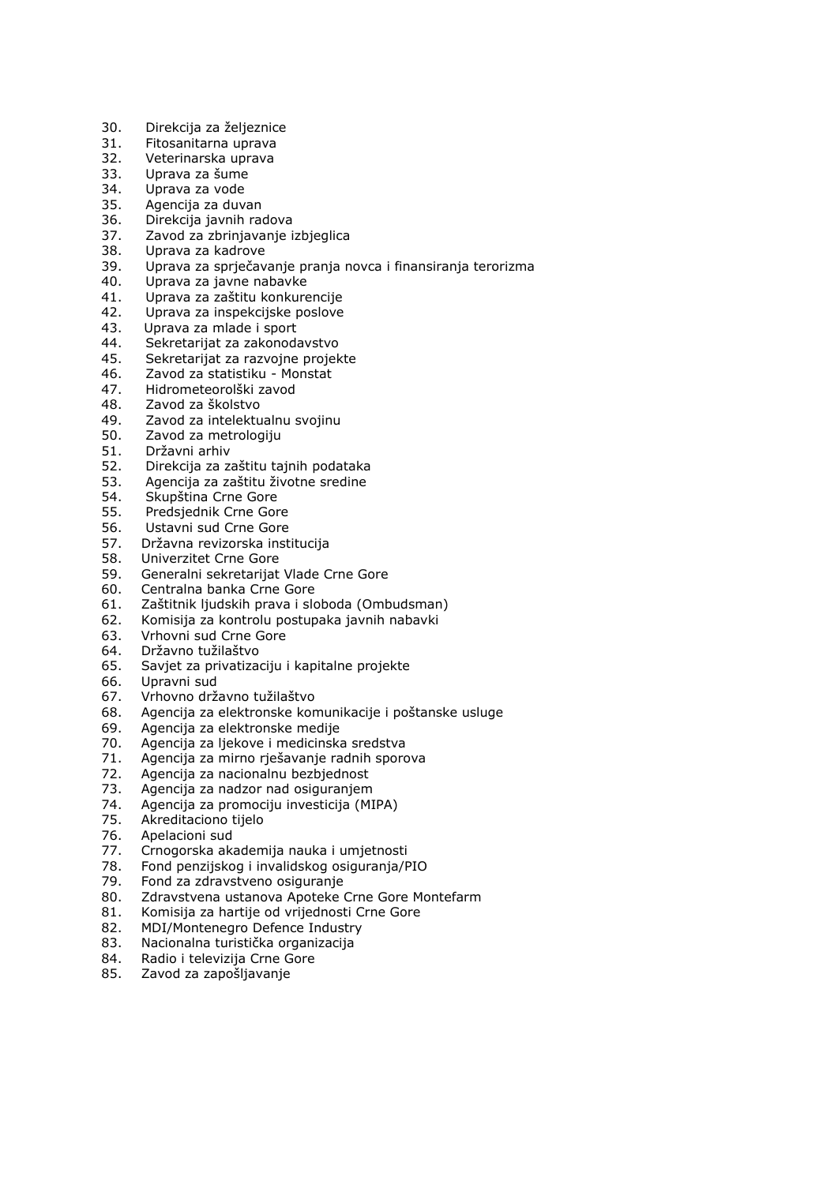- 30. Direkcija za željeznice
- 31. Fitosanitarna uprava
- 32. Veterinarska uprava
- 33. Uprava za šume
- 34. Uprava za vode
- 35. Agencija za duvan
- 36. Direkcija javnih radova
- 37. Zavod za zbrinjavanje izbjeglica
- 38. Uprava za kadrove
- 39. Uprava za sprječavanje pranja novca i finansiranja terorizma
- 40. Uprava za javne nabavke
- 41. Uprava za zaštitu konkurencije
- 42. Uprava za inspekcijske poslove
- 43. Uprava za mlade i sport
- 44. Sekretarijat za zakonodavstvo
- 45. Sekretarijat za razvojne projekte
- 46. Zavod za statistiku Monstat
- 47. Hidrometeorolški zavod
- 48. Zavod za školstvo<br>49. Zavod za intelektu
- Zavod za intelektualnu svojinu
- 50. Zavod za metrologiju
- 51. Državni arhiv
- 52. Direkcija za zaštitu tajnih podataka
- 53. Agencija za zaštitu životne sredine
- 54. Skupština Crne Gore
- 55. Predsjednik Crne Gore
- 56. Ustavni sud Crne Gore<br>57. Državna revizorska inst
- 57. Državna revizorska institucija
- 58. Univerzitet Crne Gore
- 59. Generalni sekretarijat Vlade Crne Gore
- 60. Centralna banka Crne Gore
- 61. Zaštitnik ljudskih prava i sloboda (Ombudsman)
- 62. Komisija za kontrolu postupaka javnih nabavki
- 63. Vrhovni sud Crne Gore
- 64. Državno tužilaštvo
- 65. Savjet za privatizaciju i kapitalne projekte
- 66. Upravni sud
- 67. Vrhovno državno tužilaštvo
- 68. Agencija za elektronske komunikacije i poštanske usluge
- 69. Agencija za elektronske medije
- 70. Agencija za ljekove i medicinska sredstva
- 71. Agencija za mirno rješavanje radnih sporova
- 72. Agencija za nacionalnu bezbjednost
- 73. Agencija za nadzor nad osiguranjem
- 74. Agencija za promociju investicija (MIPA)
- 75. Akreditaciono tijelo
- 76. Apelacioni sud
- 77. Crnogorska akademija nauka i umjetnosti
- 78. Fond penzijskog i invalidskog osiguranja/PIO
- 79. Fond za zdravstveno osiguranje
- 80. Zdravstvena ustanova Apoteke Crne Gore Montefarm
- 81. Komisija za hartije od vrijednosti Crne Gore
- 82. MDI/Montenegro Defence Industry
- 83. Nacionalna turistička organizacija
- 84. Radio i televizija Crne Gore
- 85. Zavod za zapošljavanje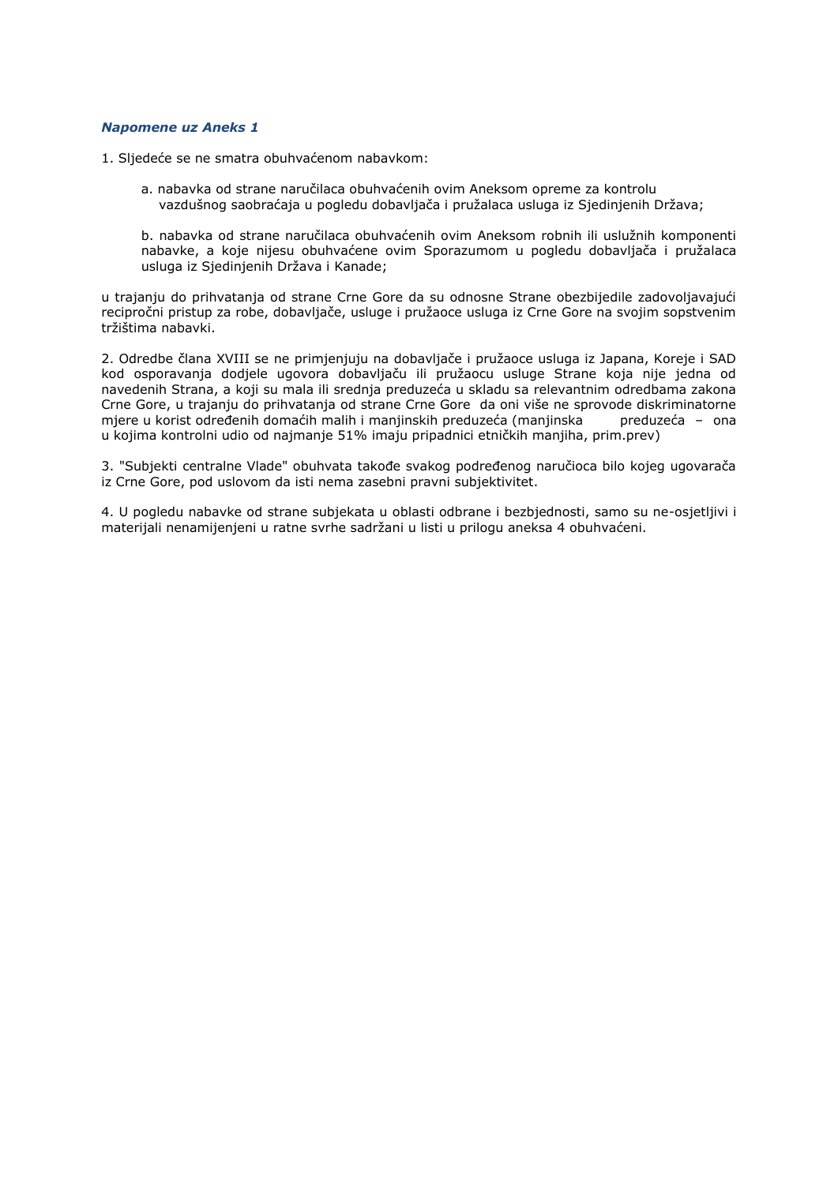# *Napomene uz Aneks 1*

- 1. Sljedeće se ne smatra obuhvaćenom nabavkom:
	- a. nabavka od strane naručilaca obuhvaćenih ovim Aneksom opreme za kontrolu vazdušnog saobraćaja u pogledu dobavljača i pružalaca usluga iz Sjedinjenih Država;
	- b. nabavka od strane naručilaca obuhvaćenih ovim Aneksom robnih ili uslužnih komponenti nabavke, a koje nijesu obuhvaćene ovim Sporazumom u pogledu dobavljača i pružalaca usluga iz Sjedinjenih Država i Kanade;

u trajanju do prihvatanja od strane Crne Gore da su odnosne Strane obezbijedile zadovoljavajući recipročni pristup za robe, dobavljače, usluge i pružaoce usluga iz Crne Gore na svojim sopstvenim tržištima nabavki.

2. Odredbe člana XVIII se ne primjenjuju na dobavljače i pružaoce usluga iz Japana, Koreje i SAD kod osporavanja dodjele ugovora dobavljaču ili pružaocu usluge Strane koja nije jedna od navedenih Strana, a koji su mala ili srednja preduzeća u skladu sa relevantnim odredbama zakona Crne Gore, u trajanju do prihvatanja od strane Crne Gore da oni više ne sprovode diskriminatorne mjere u korist određenih domaćih malih i manjinskih preduzeća (manjinska preduzeća – ona u kojima kontrolni udio od najmanje 51% imaju pripadnici etničkih manjiha, prim.prev)

3. "Subjekti centralne Vlade" obuhvata takođe svakog podređenog naručioca bilo kojeg ugovarača iz Crne Gore, pod uslovom da isti nema zasebni pravni subjektivitet.

4. U pogledu nabavke od strane subjekata u oblasti odbrane i bezbjednosti, samo su ne-osjetljivi i materijali nenamijenjeni u ratne svrhe sadržani u listi u prilogu aneksa 4 obuhvaćeni.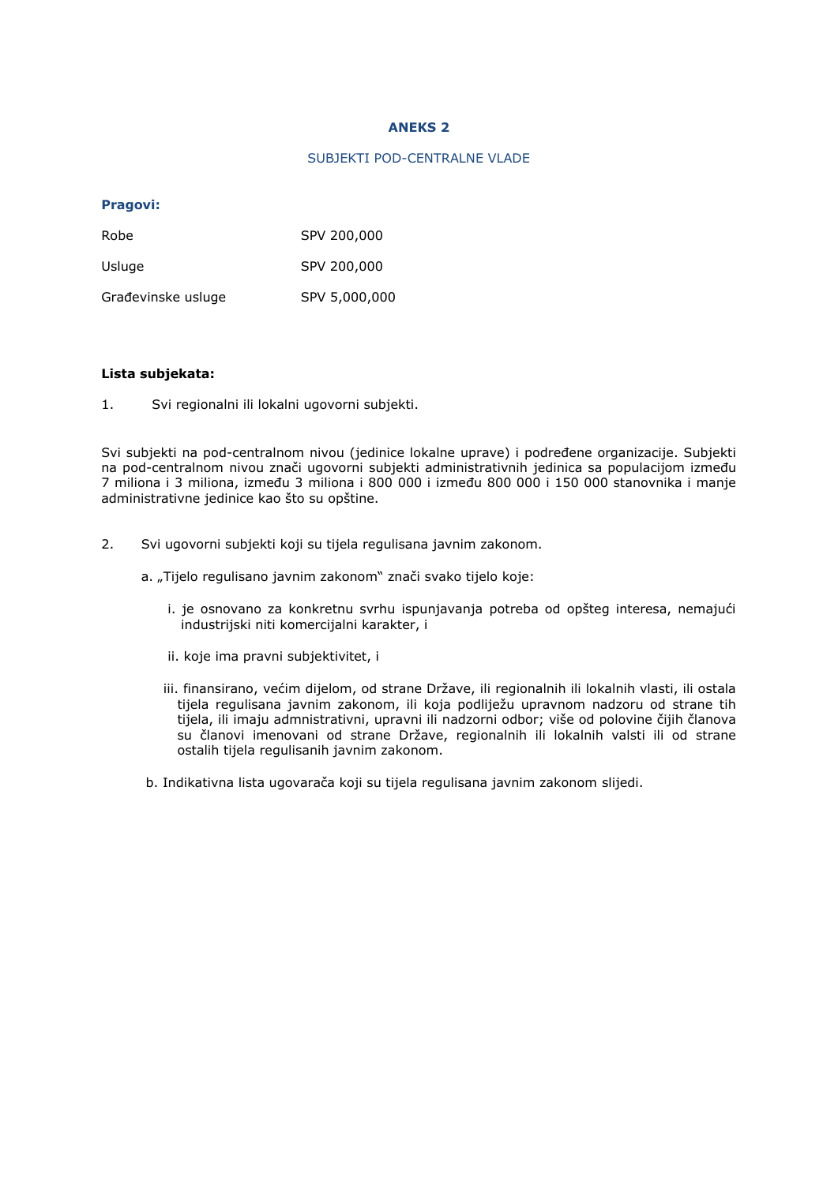# **ANEKS 2**

#### SUBJEKTI POD-CENTRALNE VLADE

# **Pragovi:**

| Robe               | SPV 200,000   |
|--------------------|---------------|
| Usluge             | SPV 200,000   |
| Građevinske usluge | SPV 5,000,000 |

# **Lista subjekata:**

1. Svi regionalni ili lokalni ugovorni subjekti.

Svi subjekti na pod-centralnom nivou (jedinice lokalne uprave) i podređene organizacije. Subjekti na pod-centralnom nivou znači ugovorni subjekti administrativnih jedinica sa populacijom između 7 miliona i 3 miliona, između 3 miliona i 800 000 i između 800 000 i 150 000 stanovnika i manje administrativne jedinice kao što su opštine.

- 2. Svi ugovorni subjekti koji su tijela regulisana javnim zakonom.
	- a. "Tijelo regulisano javnim zakonom" znači svako tijelo koje:
		- i. je osnovano za konkretnu svrhu ispunjavanja potreba od opšteg interesa, nemajući industrijski niti komercijalni karakter, i
		- ii. koje ima pravni subjektivitet, i
		- iii. finansirano, većim dijelom, od strane Države, ili regionalnih ili lokalnih vlasti, ili ostala tijela regulisana javnim zakonom, ili koja podliježu upravnom nadzoru od strane tih tijela, ili imaju admnistrativni, upravni ili nadzorni odbor; više od polovine čijih članova su članovi imenovani od strane Države, regionalnih ili lokalnih valsti ili od strane ostalih tijela regulisanih javnim zakonom.
	- b. Indikativna lista ugovarača koji su tijela regulisana javnim zakonom slijedi.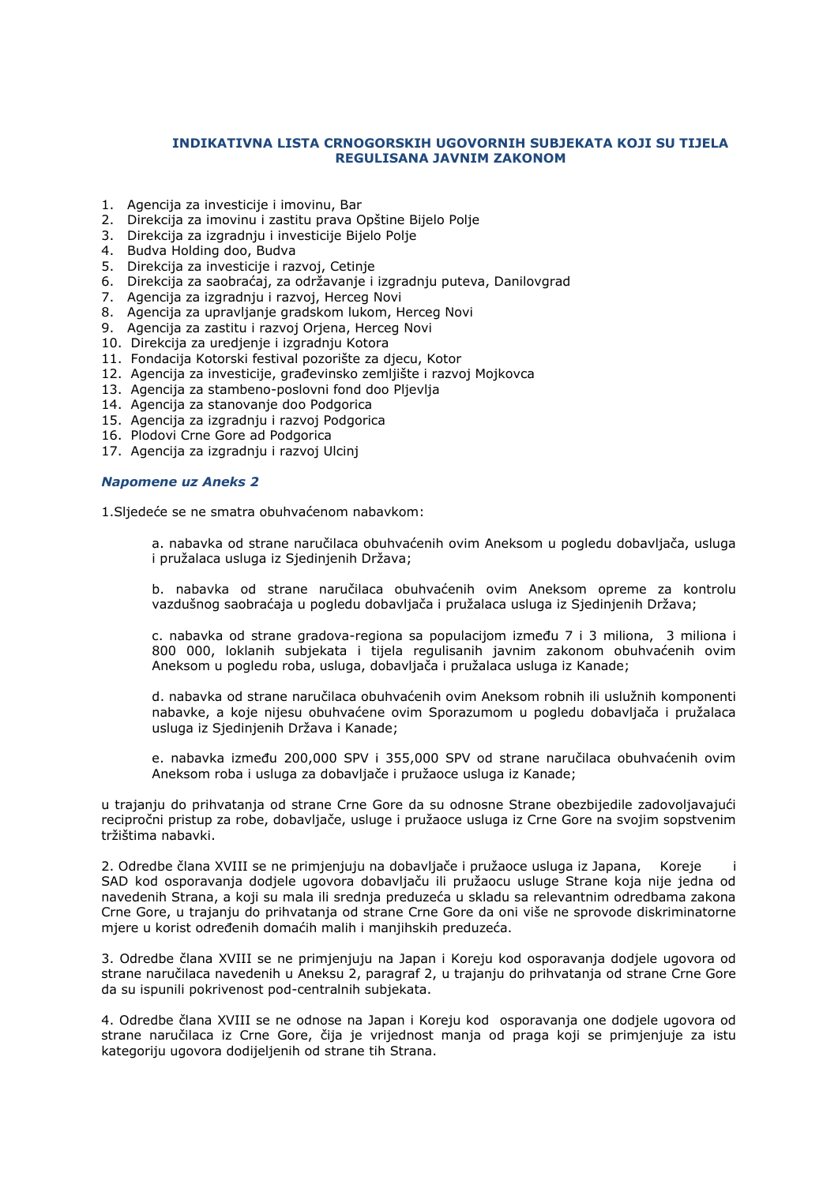# **INDIKATIVNA LISTA CRNOGORSKIH UGOVORNIH SUBJEKATA KOJI SU TIJELA REGULISANA JAVNIM ZAKONOM**

- 1. Agencija za investicije i imovinu, Bar
- 2. Direkcija za imovinu i zastitu prava Opštine Bijelo Polje
- 3. Direkcija za izgradnju i investicije Bijelo Polje
- 4. Budva Holding doo, Budva
- 5. Direkcija za investicije i razvoj, Cetinje
- 6. Direkcija za saobraćaj, za održavanje i izgradnju puteva, Danilovgrad
- 7. Agencija za izgradnju i razvoj, Herceg Novi
- 8. Agencija za upravljanje gradskom lukom, Herceg Novi
- 9. Agencija za zastitu i razvoj Oriena, Herceg Novi
- 10. Direkcija za uredjenje i izgradnju Kotora
- 11. Fondacija Kotorski festival pozorište za djecu, Kotor
- 12. Agencija za investicije, građevinsko zemljište i razvoj Mojkovca
- 13. Agencija za stambeno-poslovni fond doo Pljevlja
- 14. Agencija za stanovanje doo Podgorica
- 15. Agencija za izgradnju i razvoj Podgorica
- 16. Plodovi Crne Gore ad Podgorica
- 17. Agencija za izgradnju i razvoj Ulcinj

#### *Napomene uz Aneks 2*

1.Sljedeće se ne smatra obuhvaćenom nabavkom:

a. nabavka od strane naručilaca obuhvaćenih ovim Aneksom u pogledu dobavljača, usluga i pružalaca usluga iz Sjedinjenih Država;

b. nabavka od strane naručilaca obuhvaćenih ovim Aneksom opreme za kontrolu vazdušnog saobraćaja u pogledu dobavljača i pružalaca usluga iz Sjedinjenih Država;

c. nabavka od strane gradova-regiona sa populacijom između 7 i 3 miliona, 3 miliona i 800 000, loklanih subjekata i tijela regulisanih javnim zakonom obuhvaćenih ovim Aneksom u pogledu roba, usluga, dobavljača i pružalaca usluga iz Kanade;

d. nabavka od strane naručilaca obuhvaćenih ovim Aneksom robnih ili uslužnih komponenti nabavke, a koje nijesu obuhvaćene ovim Sporazumom u pogledu dobavljača i pružalaca usluga iz Sjedinjenih Država i Kanade;

e. nabavka između 200,000 SPV i 355,000 SPV od strane naručilaca obuhvaćenih ovim Aneksom roba i usluga za dobavljače i pružaoce usluga iz Kanade;

u trajanju do prihvatanja od strane Crne Gore da su odnosne Strane obezbijedile zadovoljavajući recipročni pristup za robe, dobavljače, usluge i pružaoce usluga iz Crne Gore na svojim sopstvenim tržištima nabavki.

2. Odredbe člana XVIII se ne primjenjuju na dobavljače i pružaoce usluga iz Japana, Koreje i SAD kod osporavanja dodjele ugovora dobavljaču ili pružaocu usluge Strane koja nije jedna od navedenih Strana, a koji su mala ili srednja preduzeća u skladu sa relevantnim odredbama zakona Crne Gore, u trajanju do prihvatanja od strane Crne Gore da oni više ne sprovode diskriminatorne mjere u korist određenih domaćih malih i manjihskih preduzeća.

3. Odredbe člana XVIII se ne primjenjuju na Japan i Koreju kod osporavanja dodjele ugovora od strane naručilaca navedenih u Aneksu 2, paragraf 2, u trajanju do prihvatanja od strane Crne Gore da su ispunili pokrivenost pod-centralnih subjekata.

4. Odredbe člana XVIII se ne odnose na Japan i Koreju kod osporavanja one dodjele ugovora od strane naručilaca iz Crne Gore, čija je vrijednost manja od praga koji se primjenjuje za istu kategoriju ugovora dodijeljenih od strane tih Strana.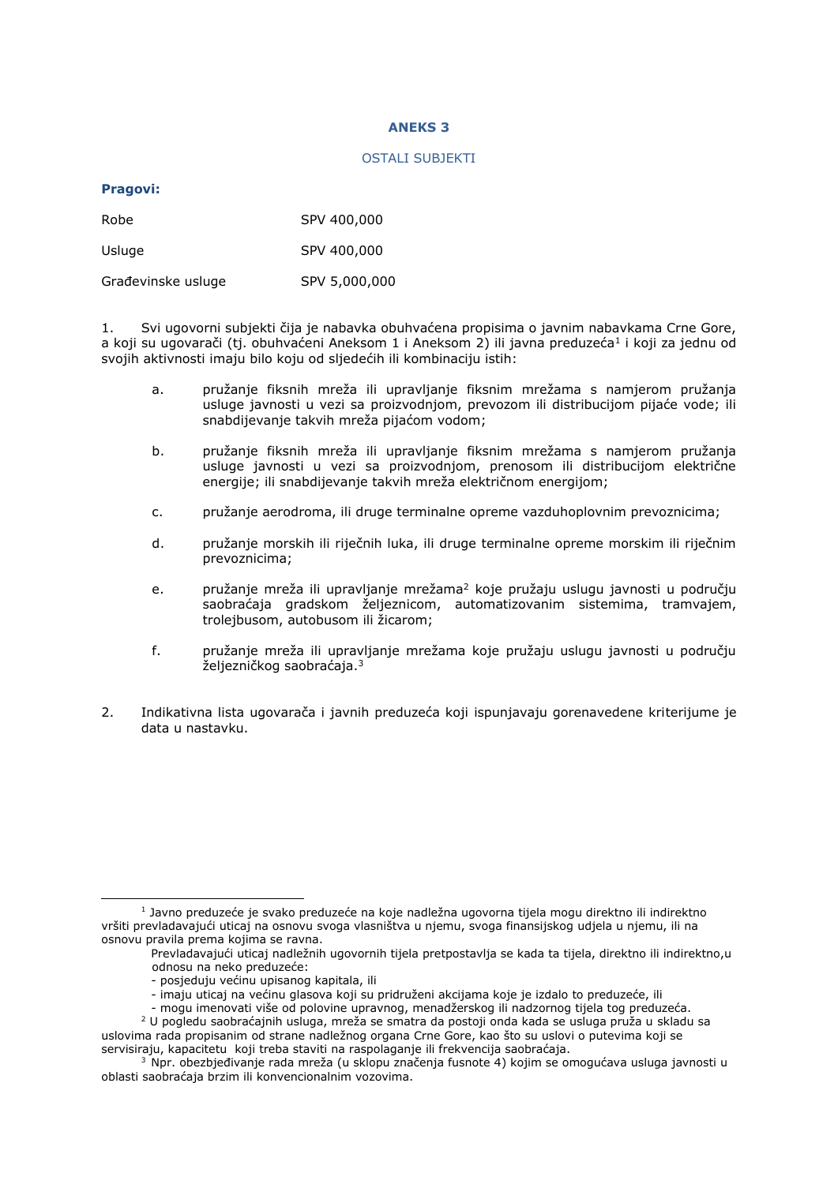# **ANEKS 3**

#### OSTALI SUBJEKTI

# **Pragovi:**

-

| Robe               | SPV 400,000   |
|--------------------|---------------|
| Usluge             | SPV 400,000   |
| Građevinske usluge | SPV 5,000,000 |

1. Svi ugovorni subjekti čija je nabavka obuhvaćena propisima o javnim nabavkama Crne Gore, a koji su ugovarači (tj. obuhvaćeni Aneksom 1 i Aneksom 2) ili javna preduzeća<sup>1</sup> i koji za jednu od svojih aktivnosti imaju bilo koju od sljedećih ili kombinaciju istih:

- a. pružanje fiksnih mreža ili upravljanje fiksnim mrežama s namjerom pružanja usluge javnosti u vezi sa proizvodnjom, prevozom ili distribucijom pijaće vode; ili snabdijevanje takvih mreža pijaćom vodom;
- b. pružanje fiksnih mreža ili upravljanje fiksnim mrežama s namjerom pružanja usluge javnosti u vezi sa proizvodnjom, prenosom ili distribucijom električne energije; ili snabdijevanje takvih mreža električnom energijom;
- c. pružanje aerodroma, ili druge terminalne opreme vazduhoplovnim prevoznicima;
- d. pružanje morskih ili riječnih luka, ili druge terminalne opreme morskim ili riječnim prevoznicima;
- e. pružanje mreža ili upravljanje mrežama<sup>2</sup> koje pružaju uslugu javnosti u području saobraćaja gradskom željeznicom, automatizovanim sistemima, tramvajem, trolejbusom, autobusom ili žicarom;
- f. pružanje mreža ili upravljanje mrežama koje pružaju uslugu javnosti u području željezničkog saobraćaja.<sup>3</sup>
- 2. Indikativna lista ugovarača i javnih preduzeća koji ispunjavaju gorenavedene kriterijume je data u nastavku.

<sup>1</sup> Javno preduzeće je svako preduzeće na koje nadležna ugovorna tijela mogu direktno ili indirektno vršiti prevladavajući uticaj na osnovu svoga vlasništva u njemu, svoga finansijskog udjela u njemu, ili na osnovu pravila prema kojima se ravna.

Prevladavajući uticaj nadležnih ugovornih tijela pretpostavlja se kada ta tijela, direktno ili indirektno,u odnosu na neko preduzeće:

<sup>-</sup> posjeduju većinu upisanog kapitala, ili

<sup>-</sup> imaju uticaj na većinu glasova koji su pridruženi akcijama koje je izdalo to preduzeće, ili

<sup>-</sup> mogu imenovati više od polovine upravnog, menadžerskog ili nadzornog tijela tog preduzeća.

<sup>2</sup> U pogledu saobraćajnih usluga, mreža se smatra da postoji onda kada se usluga pruža u skladu sa uslovima rada propisanim od strane nadležnog organa Crne Gore, kao što su uslovi o putevima koji se servisiraju, kapacitetu koji treba staviti na raspolaganje ili frekvencija saobraćaja.

<sup>3</sup> Npr. obezbjeđivanje rada mreža (u sklopu značenja fusnote 4) kojim se omogućava usluga javnosti u oblasti saobraćaja brzim ili konvencionalnim vozovima.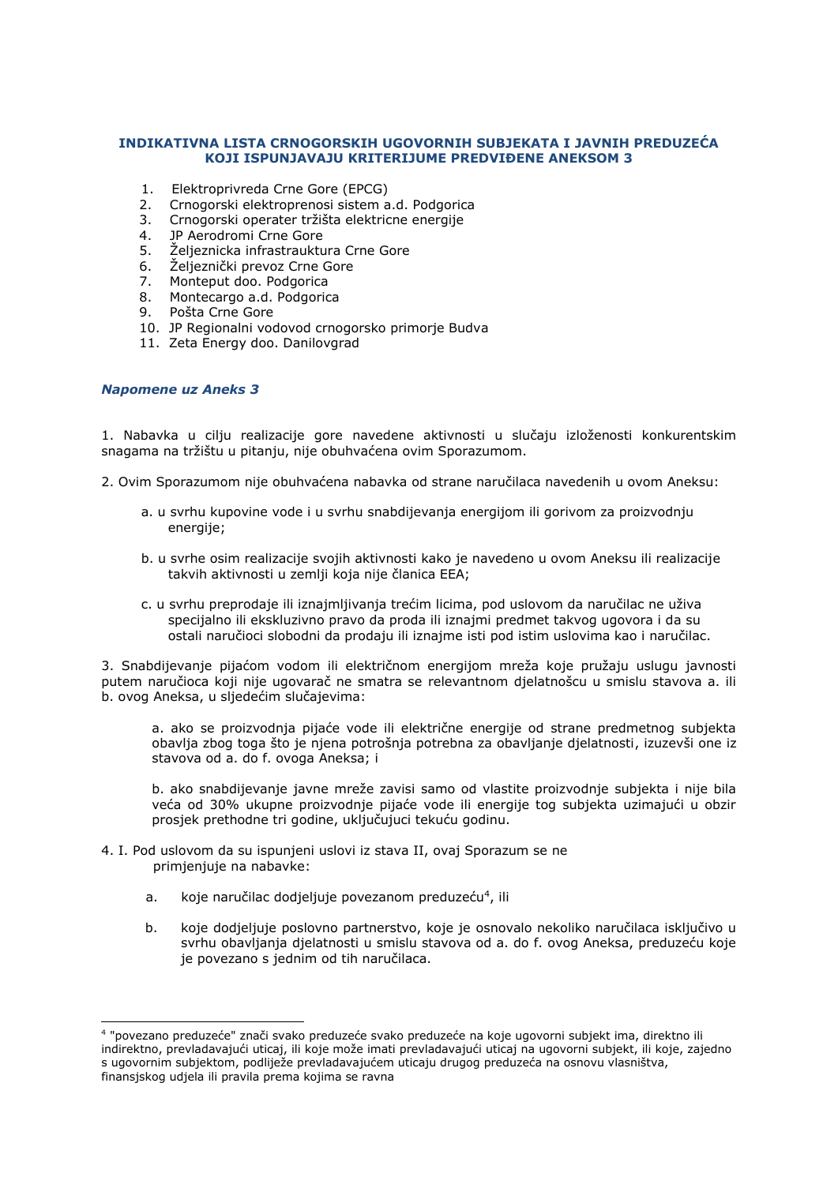# **INDIKATIVNA LISTA CRNOGORSKIH UGOVORNIH SUBJEKATA I JAVNIH PREDUZEĆA KOJI ISPUNJAVAJU KRITERIJUME PREDVIĐENE ANEKSOM 3**

- 1. Elektroprivreda Crne Gore (EPCG)
- 2. Crnogorski elektroprenosi sistem a.d. Podgorica
- 3. Crnogorski operater tržišta elektricne energije
- 4. JP Aerodromi Crne Gore
- 5. Željeznicka infrastrauktura Crne Gore
- 6. Željeznički prevoz Crne Gore
- 7. Monteput doo. Podgorica
- 8. Montecargo a.d. Podgorica
- 9. Pošta Crne Gore
- 10. JP Regionalni vodovod crnogorsko primorje Budva
- 11. Zeta Energy doo. Danilovgrad

# *Napomene uz Aneks 3*

-

1. Nabavka u cilju realizacije gore navedene aktivnosti u slučaju izloženosti konkurentskim snagama na tržištu u pitanju, nije obuhvaćena ovim Sporazumom.

2. Ovim Sporazumom nije obuhvaćena nabavka od strane naručilaca navedenih u ovom Aneksu:

- a. u svrhu kupovine vode i u svrhu snabdijevanja energijom ili gorivom za proizvodnju energije;
- b. u svrhe osim realizacije svojih aktivnosti kako je navedeno u ovom Aneksu ili realizacije takvih aktivnosti u zemlji koja nije članica EEA;
- c. u svrhu preprodaje ili iznajmljivanja trećim licima, pod uslovom da naručilac ne uživa specijalno ili ekskluzivno pravo da proda ili iznajmi predmet takvog ugovora i da su ostali naručioci slobodni da prodaju ili iznajme isti pod istim uslovima kao i naručilac.

3. Snabdijevanje pijaćom vodom ili električnom energijom mreža koje pružaju uslugu javnosti putem naručioca koji nije ugovarač ne smatra se relevantnom djelatnošcu u smislu stavova a. ili b. ovog Aneksa, u sljedećim slučajevima:

a. ako se proizvodnja pijaće vode ili električne energije od strane predmetnog subjekta obavlja zbog toga što je njena potrošnja potrebna za obavljanje djelatnosti, izuzevši one iz stavova od a. do f. ovoga Aneksa; i

b. ako snabdijevanje javne mreže zavisi samo od vlastite proizvodnje subjekta i nije bila veća od 30% ukupne proizvodnje pijaće vode ili energije tog subjekta uzimajući u obzir prosjek prethodne tri godine, uključujuci tekuću godinu.

- 4. I. Pod uslovom da su ispunjeni uslovi iz stava II, ovaj Sporazum se ne primjenjuje na nabavke:
- a. koje naručilac dodjeljuje povezanom preduzeću<sup>4</sup>, ili
	- b. koje dodjeljuje poslovno partnerstvo, koje je osnovalo nekoliko naručilaca isključivo u svrhu obavljanja djelatnosti u smislu stavova od a. do f. ovog Aneksa, preduzeću koje je povezano s jednim od tih naručilaca.

<sup>4</sup> "povezano preduzeće" znači svako preduzeće svako preduzeće na koje ugovorni subjekt ima, direktno ili indirektno, prevladavajući uticaj, ili koje može imati prevladavajući uticaj na ugovorni subjekt, ili koje, zajedno s ugovornim subjektom, podliježe prevladavajućem uticaju drugog preduzeća na osnovu vlasništva, finansjskog udjela ili pravila prema kojima se ravna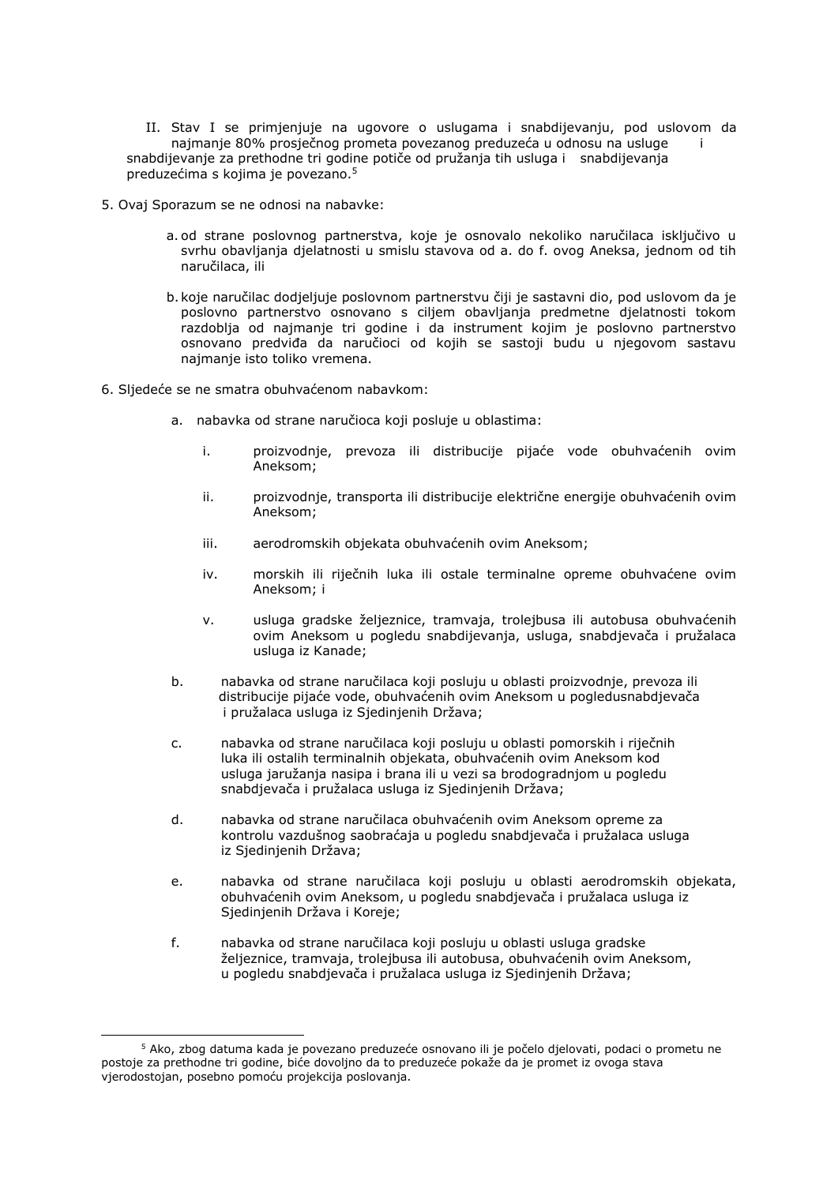II. Stav I se primjenjuje na ugovore o uslugama i snabdijevanju, pod uslovom da najmanje 80% prosječnog prometa povezanog preduzeća u odnosu na usluge i snabdijevanje za prethodne tri godine potiče od pružanja tih usluga i snabdijevanja preduzećima s kojima je povezano.<sup>5</sup>

- 5. Ovaj Sporazum se ne odnosi na nabavke:
	- a. od strane poslovnog partnerstva, koje je osnovalo nekoliko naručilaca isključivo u svrhu obavljanja djelatnosti u smislu stavova od a. do f. ovog Aneksa, jednom od tih naručilaca, ili
	- b. koje naručilac dodjeljuje poslovnom partnerstvu čiji je sastavni dio, pod uslovom da je poslovno partnerstvo osnovano s ciljem obavljanja predmetne djelatnosti tokom razdoblja od najmanje tri godine i da instrument kojim je poslovno partnerstvo osnovano predviđa da naručioci od kojih se sastoji budu u njegovom sastavu najmanje isto toliko vremena.
- 6. Sljedeće se ne smatra obuhvaćenom nabavkom:

-

- a. nabavka od strane naručioca koji posluje u oblastima:
	- i. proizvodnje, prevoza ili distribucije pijaće vode obuhvaćenih ovim Aneksom;
	- ii. proizvodnje, transporta ili distribucije električne energije obuhvaćenih ovim Aneksom;
	- iii. aerodromskih objekata obuhvaćenih ovim Aneksom;
	- iv. morskih ili riječnih luka ili ostale terminalne opreme obuhvaćene ovim Aneksom; i
	- v. usluga gradske željeznice, tramvaja, trolejbusa ili autobusa obuhvaćenih ovim Aneksom u pogledu snabdijevanja, usluga, snabdjevača i pružalaca usluga iz Kanade;
- b. nabavka od strane naručilaca koji posluju u oblasti proizvodnje, prevoza ili distribucije pijaće vode, obuhvaćenih ovim Aneksom u pogledusnabdjevača i pružalaca usluga iz Sjedinjenih Država;
- c. nabavka od strane naručilaca koji posluju u oblasti pomorskih i riječnih luka ili ostalih terminalnih objekata, obuhvaćenih ovim Aneksom kod usluga jaružanja nasipa i brana ili u vezi sa brodogradnjom u pogledu snabdjevača i pružalaca usluga iz Sjedinjenih Država;
- d. nabavka od strane naručilaca obuhvaćenih ovim Aneksom opreme za kontrolu vazdušnog saobraćaja u pogledu snabdjevača i pružalaca usluga iz Sjedinjenih Država;
- e. nabavka od strane naručilaca koji posluju u oblasti aerodromskih objekata, obuhvaćenih ovim Aneksom, u pogledu snabdjevača i pružalaca usluga iz Sjedinjenih Država i Koreje;
- f. nabavka od strane naručilaca koji posluju u oblasti usluga gradske željeznice, tramvaja, trolejbusa ili autobusa, obuhvaćenih ovim Aneksom, u pogledu snabdjevača i pružalaca usluga iz Sjedinjenih Država;

<sup>5</sup> Ako, zbog datuma kada je povezano preduzeće osnovano ili je počelo djelovati, podaci o prometu ne postoje za prethodne tri godine, biće dovoljno da to preduzeće pokaže da je promet iz ovoga stava vjerodostojan, posebno pomoću projekcija poslovanja.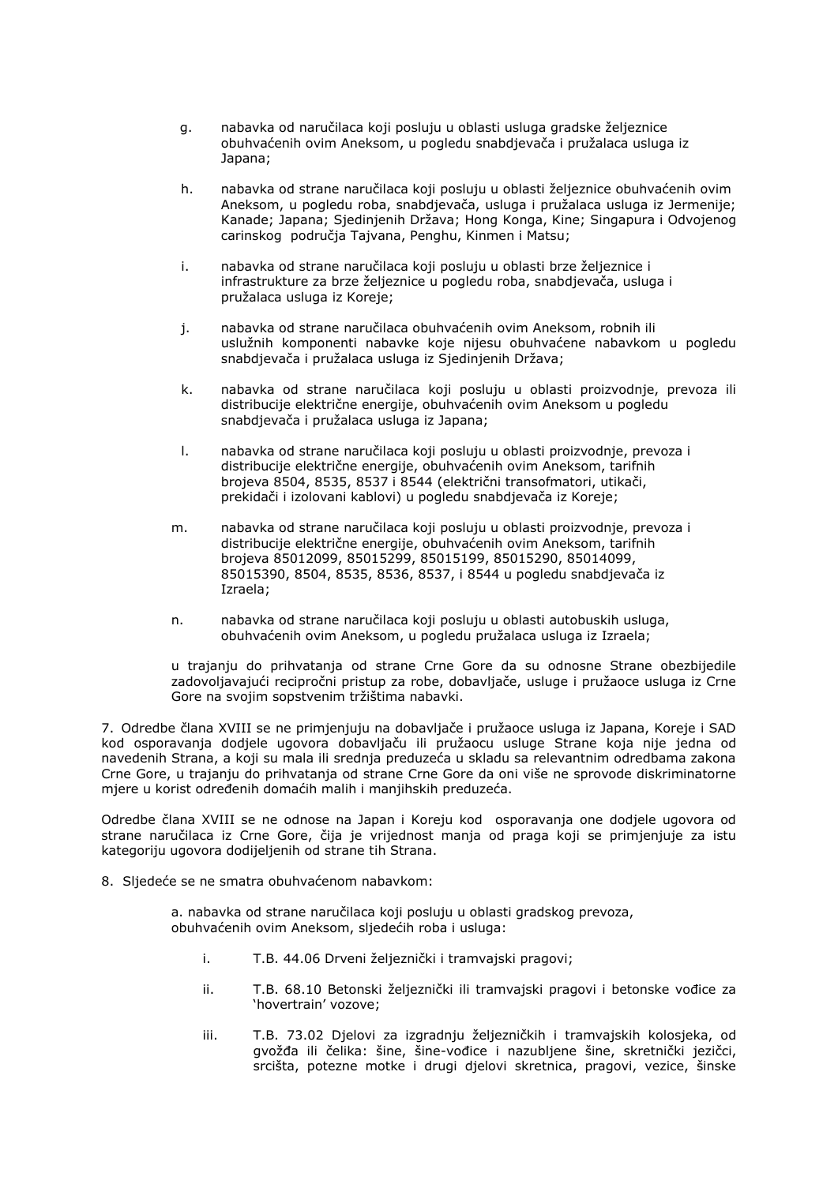- g. nabavka od naručilaca koji posluju u oblasti usluga gradske željeznice obuhvaćenih ovim Aneksom, u pogledu snabdjevača i pružalaca usluga iz Japana;
- h. nabavka od strane naručilaca koji posluju u oblasti željeznice obuhvaćenih ovim Aneksom, u pogledu roba, snabdjevača, usluga i pružalaca usluga iz Jermenije; Kanade; Japana; Sjedinjenih Država; Hong Konga, Kine; Singapura i Odvojenog carinskog područja Tajvana, Penghu, Kinmen i Matsu;
- i. nabavka od strane naručilaca koji posluju u oblasti brze željeznice i infrastrukture za brze željeznice u pogledu roba, snabdjevača, usluga i pružalaca usluga iz Koreje;
- j. nabavka od strane naručilaca obuhvaćenih ovim Aneksom, robnih ili uslužnih komponenti nabavke koje nijesu obuhvaćene nabavkom u pogledu snabdjevača i pružalaca usluga iz Sjedinjenih Država;
- k. nabavka od strane naručilaca koji posluju u oblasti proizvodnje, prevoza ili distribucije električne energije, obuhvaćenih ovim Aneksom u pogledu snabdjevača i pružalaca usluga iz Japana;
- l. nabavka od strane naručilaca koji posluju u oblasti proizvodnje, prevoza i distribucije električne energije, obuhvaćenih ovim Aneksom, tarifnih brojeva 8504, 8535, 8537 i 8544 (električni transofmatori, utikači, prekidači i izolovani kablovi) u pogledu snabdjevača iz Koreje;
- m. nabavka od strane naručilaca koji posluju u oblasti proizvodnje, prevoza i distribucije električne energije, obuhvaćenih ovim Aneksom, tarifnih brojeva 85012099, 85015299, 85015199, 85015290, 85014099, 85015390, 8504, 8535, 8536, 8537, i 8544 u pogledu snabdjevača iz Izraela;
- n. nabavka od strane naručilaca koji posluju u oblasti autobuskih usluga, obuhvaćenih ovim Aneksom, u pogledu pružalaca usluga iz Izraela;

u trajanju do prihvatanja od strane Crne Gore da su odnosne Strane obezbijedile zadovoljavajući recipročni pristup za robe, dobavljače, usluge i pružaoce usluga iz Crne Gore na svojim sopstvenim tržištima nabavki.

7. Odredbe člana XVIII se ne primjenjuju na dobavljače i pružaoce usluga iz Japana, Koreje i SAD kod osporavanja dodjele ugovora dobavljaču ili pružaocu usluge Strane koja nije jedna od navedenih Strana, a koji su mala ili srednja preduzeća u skladu sa relevantnim odredbama zakona Crne Gore, u trajanju do prihvatanja od strane Crne Gore da oni više ne sprovode diskriminatorne mjere u korist određenih domaćih malih i manjihskih preduzeća.

Odredbe člana XVIII se ne odnose na Japan i Koreju kod osporavanja one dodjele ugovora od strane naručilaca iz Crne Gore, čija je vrijednost manja od praga koji se primjenjuje za istu kategoriju ugovora dodijeljenih od strane tih Strana.

8. Sljedeće se ne smatra obuhvaćenom nabavkom:

a. nabavka od strane naručilaca koji posluju u oblasti gradskog prevoza, obuhvaćenih ovim Aneksom, sljedećih roba i usluga:

- i. T.B. 44.06 Drveni željeznički i tramvajski pragovi;
- ii. T.B. 68.10 Betonski željeznički ili tramvajski pragovi i betonske vođice za 'hovertrain' vozove;
- iii. T.B. 73.02 Djelovi za izgradnju željezničkih i tramvajskih kolosjeka, od gvožđa ili čelika: šine, šine-vođice i nazubljene šine, skretnički jezičci, srcišta, potezne motke i drugi djelovi skretnica, pragovi, vezice, šinske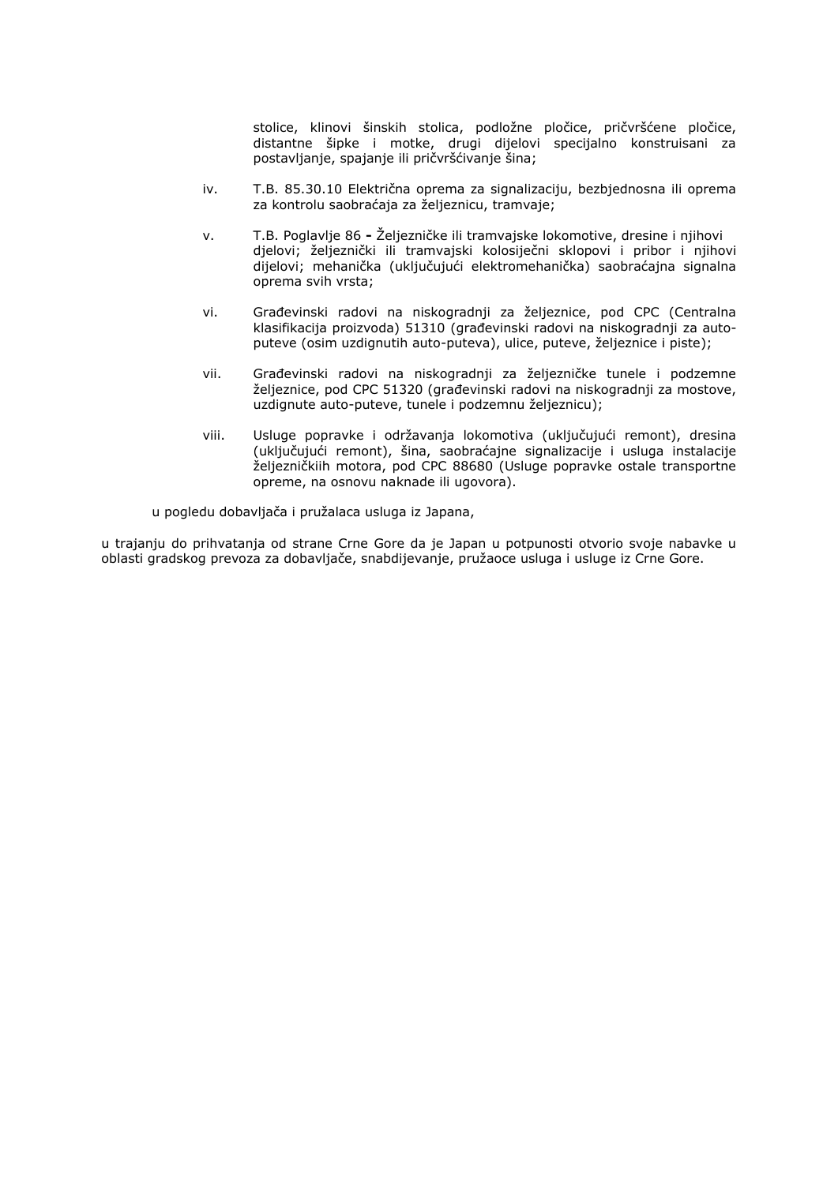stolice, klinovi šinskih stolica, podložne pločice, pričvršćene pločice, distantne šipke i motke, drugi dijelovi specijalno konstruisani za postavljanje, spajanje ili pričvršćivanje šina;

- iv. T.B. 85.30.10 Električna oprema za signalizaciju, bezbjednosna ili oprema za kontrolu saobraćaja za željeznicu, tramvaje;
- v. T.B. Poglavlje 86 **-** Željezničke ili tramvajske lokomotive, dresine i njihovi djelovi; željeznički ili tramvajski kolosiječni sklopovi i pribor i njihovi dijelovi; mehanička (uključujući elektromehanička) saobraćajna signalna oprema svih vrsta;
- vi. Građevinski radovi na niskogradnji za željeznice, pod CPC (Centralna klasifikacija proizvoda) 51310 (građevinski radovi na niskogradnji za autoputeve (osim uzdignutih auto-puteva), ulice, puteve, željeznice i piste);
- vii. Građevinski radovi na niskogradnji za željezničke tunele i podzemne željeznice, pod CPC 51320 (građevinski radovi na niskogradnji za mostove, uzdignute auto-puteve, tunele i podzemnu željeznicu);
- viii. Usluge popravke i održavanja lokomotiva (uključujući remont), dresina (uključujući remont), šina, saobraćajne signalizacije i usluga instalacije željezničkiih motora, pod CPC 88680 (Usluge popravke ostale transportne opreme, na osnovu naknade ili ugovora).

u pogledu dobavljača i pružalaca usluga iz Japana,

u trajanju do prihvatanja od strane Crne Gore da je Japan u potpunosti otvorio svoje nabavke u oblasti gradskog prevoza za dobavljače, snabdijevanje, pružaoce usluga i usluge iz Crne Gore.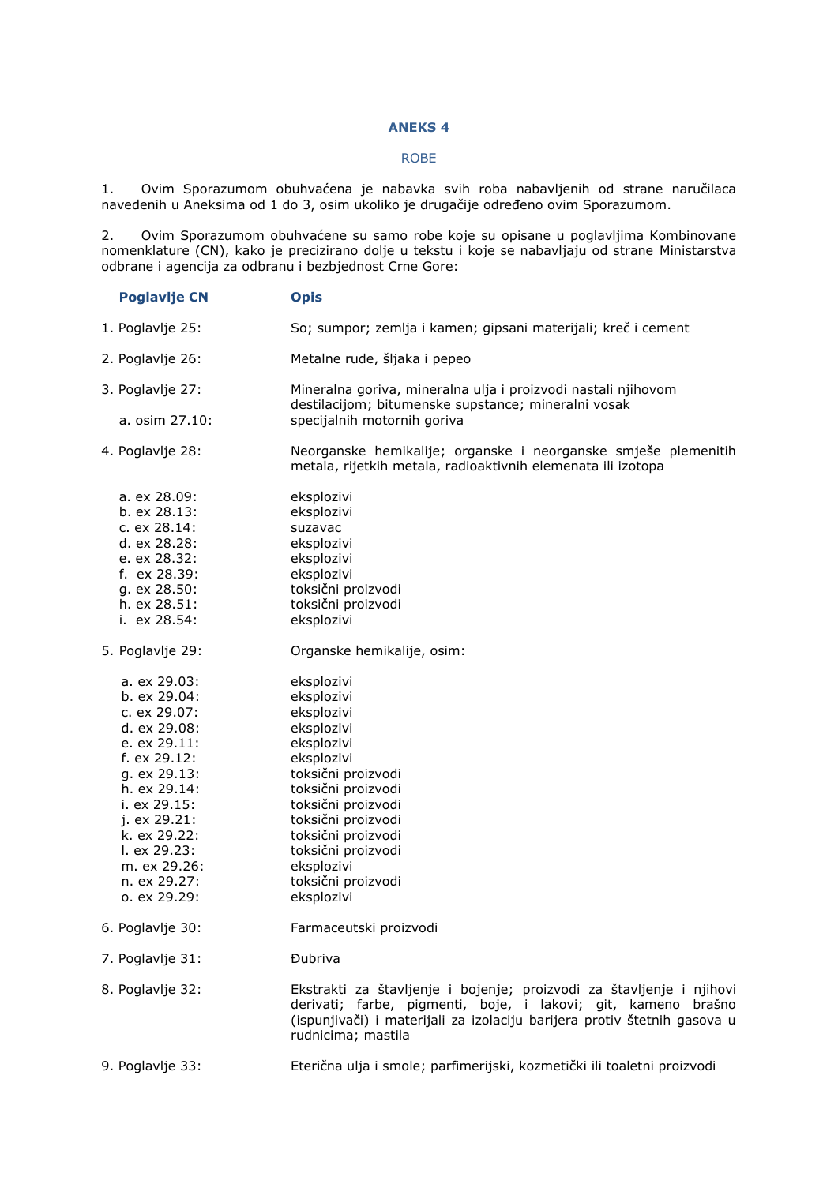# **ANEKS 4**

# ROBE

1. Ovim Sporazumom obuhvaćena je nabavka svih roba nabavljenih od strane naručilaca navedenih u Aneksima od 1 do 3, osim ukoliko je drugačije određeno ovim Sporazumom.

2. Ovim Sporazumom obuhvaćene su samo robe koje su opisane u poglavljima Kombinovane nomenklature (CN), kako je precizirano dolje u tekstu i koje se nabavljaju od strane Ministarstva odbrane i agencija za odbranu i bezbjednost Crne Gore:

| <b>Poglavlje CN</b> | <b>Opis</b>                                                                                                                                                                                                                             |
|---------------------|-----------------------------------------------------------------------------------------------------------------------------------------------------------------------------------------------------------------------------------------|
| 1. Poglavlje 25:    | So; sumpor; zemlja i kamen; gipsani materijali; kreč i cement                                                                                                                                                                           |
| 2. Poglavlje 26:    | Metalne rude, šljaka i pepeo                                                                                                                                                                                                            |
| 3. Poglavlje 27:    | Mineralna goriva, mineralna ulja i proizvodi nastali njihovom<br>destilacijom; bitumenske supstance; mineralni vosak                                                                                                                    |
| a. osim 27.10:      | specijalnih motornih goriva                                                                                                                                                                                                             |
| 4. Poglavlje 28:    | Neorganske hemikalije; organske i neorganske smješe plemenitih<br>metala, rijetkih metala, radioaktivnih elemenata ili izotopa                                                                                                          |
| a. ex 28.09:        | eksplozivi                                                                                                                                                                                                                              |
| b. ex 28.13:        | eksplozivi                                                                                                                                                                                                                              |
| c. ex 28.14:        | suzavac                                                                                                                                                                                                                                 |
| d. ex 28.28:        | eksplozivi                                                                                                                                                                                                                              |
| e. ex 28.32:        | eksplozivi                                                                                                                                                                                                                              |
| f. ex 28.39:        | eksplozivi                                                                                                                                                                                                                              |
| q. ex 28.50:        | toksični proizvodi                                                                                                                                                                                                                      |
| h. ex 28.51:        | toksični proizvodi                                                                                                                                                                                                                      |
| i. ex 28.54:        | eksplozivi                                                                                                                                                                                                                              |
| 5. Poglavlje 29:    | Organske hemikalije, osim:                                                                                                                                                                                                              |
| a. ex 29.03:        | eksplozivi                                                                                                                                                                                                                              |
| b. ex 29.04:        | eksplozivi                                                                                                                                                                                                                              |
| c. ex 29.07:        | eksplozivi                                                                                                                                                                                                                              |
| d. ex 29.08:        | eksplozivi                                                                                                                                                                                                                              |
| e. ex 29.11:        | eksplozivi                                                                                                                                                                                                                              |
| f. ex 29.12:        | eksplozivi                                                                                                                                                                                                                              |
| g. ex 29.13:        | toksični proizvodi                                                                                                                                                                                                                      |
| h. ex 29.14:        | toksični proizvodi                                                                                                                                                                                                                      |
| i. ex 29.15:        | toksični proizvodi                                                                                                                                                                                                                      |
| j. ex 29.21:        | toksični proizvodi                                                                                                                                                                                                                      |
| k. ex 29.22:        | toksični proizvodi                                                                                                                                                                                                                      |
| I. ex 29.23:        | toksični proizvodi                                                                                                                                                                                                                      |
| m. ex 29.26:        | eksplozivi                                                                                                                                                                                                                              |
| n. ex 29.27:        | toksični proizvodi                                                                                                                                                                                                                      |
| o. ex 29.29:        | eksplozivi                                                                                                                                                                                                                              |
| 6. Poglavlje 30:    | Farmaceutski proizvodi                                                                                                                                                                                                                  |
| 7. Poglavlje 31:    | <b>Dubriva</b>                                                                                                                                                                                                                          |
| 8. Poglavlje 32:    | Ekstrakti za štavljenje i bojenje; proizvodi za štavljenje i njihovi<br>derivati; farbe, pigmenti, boje, i lakovi; git, kameno brašno<br>(ispunjivači) i materijali za izolaciju barijera protiv štetnih gasova u<br>rudnicima; mastila |
| 9. Poglavlje 33:    | Eterična ulja i smole; parfimerijski, kozmetički ili toaletni proizvodi                                                                                                                                                                 |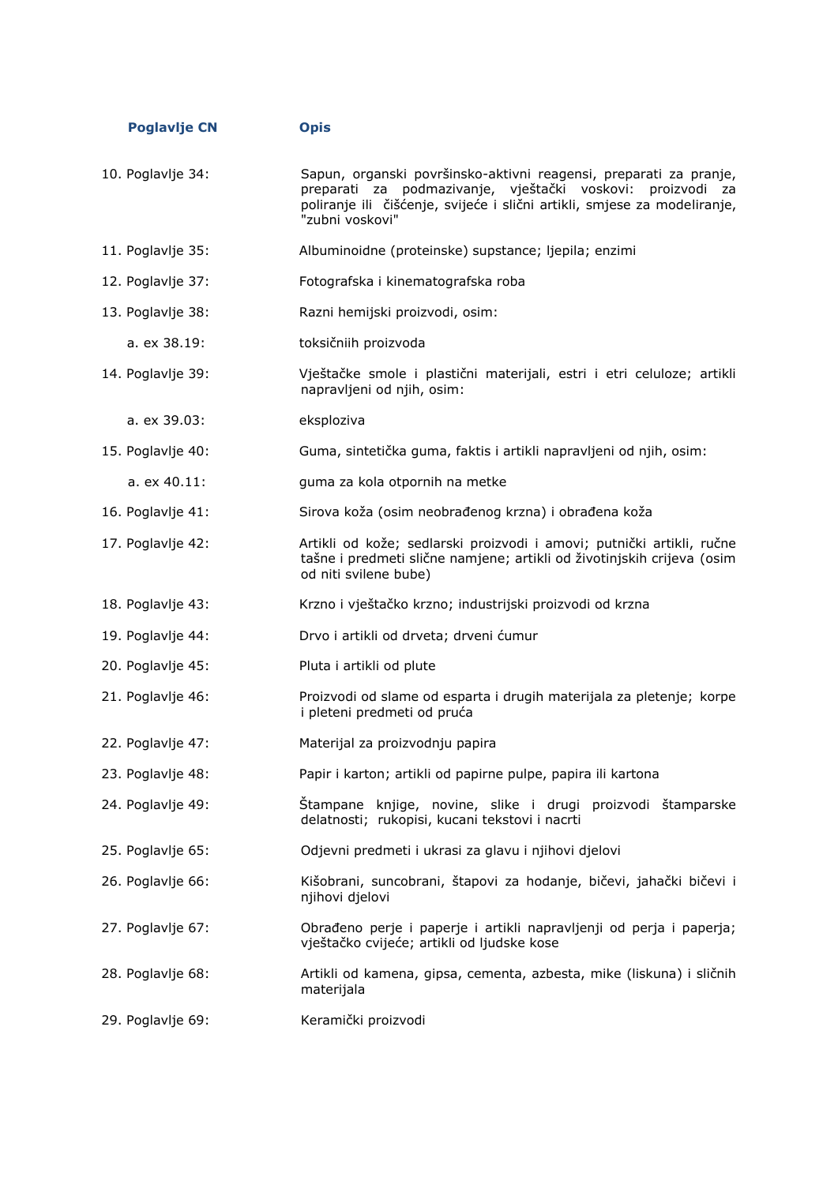| <b>Poglavlje CN</b> | <b>Opis</b>                                                                                                                                                                                                                          |
|---------------------|--------------------------------------------------------------------------------------------------------------------------------------------------------------------------------------------------------------------------------------|
| 10. Poglavlje 34:   | Sapun, organski površinsko-aktivni reagensi, preparati za pranje,<br>preparati za podmazivanje, vještački voskovi:<br>proizvodi<br>za<br>poliranje ili čišćenje, svijeće i slični artikli, smjese za modeliranje,<br>"zubni voskovi" |
| 11. Poglavlje 35:   | Albuminoidne (proteinske) supstance; ljepila; enzimi                                                                                                                                                                                 |
| 12. Poglavlje 37:   | Fotografska i kinematografska roba                                                                                                                                                                                                   |
| 13. Poglavlje 38:   | Razni hemijski proizvodi, osim:                                                                                                                                                                                                      |
| a. ex 38.19:        | toksičniih proizvoda                                                                                                                                                                                                                 |
| 14. Poglavlje 39:   | Vještačke smole i plastični materijali, estri i etri celuloze; artikli<br>napravljeni od njih, osim:                                                                                                                                 |
| a. ex 39.03:        | eksploziva                                                                                                                                                                                                                           |
| 15. Poglavlje 40:   | Guma, sintetička guma, faktis i artikli napravljeni od njih, osim:                                                                                                                                                                   |
| a. ex 40.11:        | guma za kola otpornih na metke                                                                                                                                                                                                       |
| 16. Poglavlje 41:   | Sirova koža (osim neobrađenog krzna) i obrađena koža                                                                                                                                                                                 |
| 17. Poglavlje 42:   | Artikli od kože; sedlarski proizvodi i amovi; putnički artikli, ručne<br>tašne i predmeti slične namjene; artikli od životinjskih crijeva (osim<br>od niti svilene bube)                                                             |
| 18. Poglavlje 43:   | Krzno i vještačko krzno; industrijski proizvodi od krzna                                                                                                                                                                             |
| 19. Poglavlje 44:   | Drvo i artikli od drveta; drveni ćumur                                                                                                                                                                                               |
| 20. Poglavlje 45:   | Pluta i artikli od plute                                                                                                                                                                                                             |
| 21. Poglavlje 46:   | Proizvodi od slame od esparta i drugih materijala za pletenje; korpe<br>i pleteni predmeti od pruća                                                                                                                                  |
| 22. Poglavlje 47:   | Materijal za proizvodnju papira                                                                                                                                                                                                      |
| 23. Poglavlje 48:   | Papir i karton; artikli od papirne pulpe, papira ili kartona                                                                                                                                                                         |
| 24. Poglavlje 49:   | Stampane knjige, novine, slike i drugi proizvodi štamparske<br>delatnosti; rukopisi, kucani tekstovi i nacrti                                                                                                                        |
| 25. Poglavlje 65:   | Odjevni predmeti i ukrasi za glavu i njihovi djelovi                                                                                                                                                                                 |
| 26. Poglavlje 66:   | Kišobrani, suncobrani, štapovi za hodanje, bičevi, jahački bičevi i<br>njihovi djelovi                                                                                                                                               |
| 27. Poglavlje 67:   | Obrađeno perje i paperje i artikli napravljenji od perja i paperja;<br>vještačko cvijeće; artikli od ljudske kose                                                                                                                    |
| 28. Poglavlje 68:   | Artikli od kamena, gipsa, cementa, azbesta, mike (liskuna) i sličnih<br>materijala                                                                                                                                                   |
| 29. Poglavlje 69:   | Keramički proizvodi                                                                                                                                                                                                                  |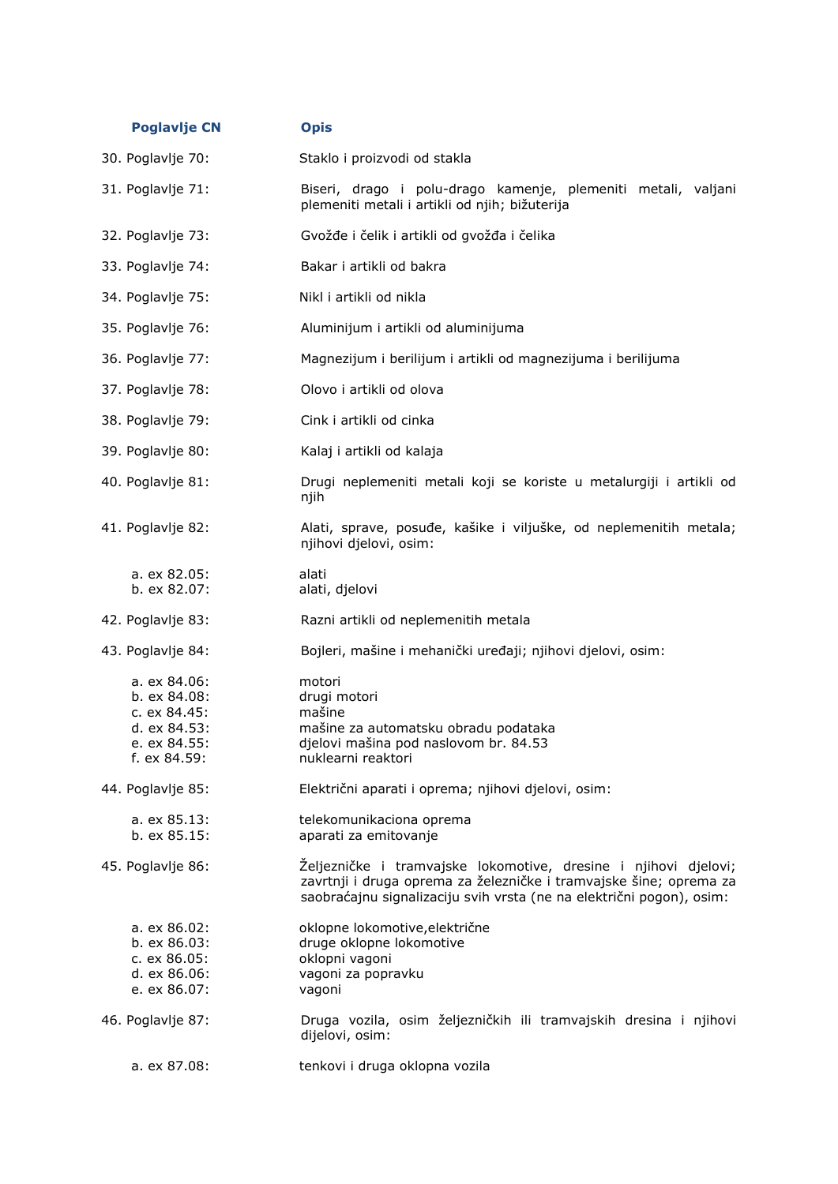| <b>Poglavlje CN</b>                                                                          | <b>Opis</b>                                                                                                                                                                                                   |
|----------------------------------------------------------------------------------------------|---------------------------------------------------------------------------------------------------------------------------------------------------------------------------------------------------------------|
| 30. Poglavlje 70:                                                                            | Staklo i proizvodi od stakla                                                                                                                                                                                  |
| 31. Poglavlje 71:                                                                            | Biseri, drago i polu-drago kamenje, plemeniti metali, valjani<br>plemeniti metali i artikli od njih; bižuterija                                                                                               |
| 32. Poglavlje 73:                                                                            | Gvožđe i čelik i artikli od gvožđa i čelika                                                                                                                                                                   |
| 33. Poglavlje 74:                                                                            | Bakar i artikli od bakra                                                                                                                                                                                      |
| 34. Poglavlje 75:                                                                            | Nikl i artikli od nikla                                                                                                                                                                                       |
| 35. Poglavlje 76:                                                                            | Aluminijum i artikli od aluminijuma                                                                                                                                                                           |
| 36. Poglavlje 77:                                                                            | Magnezijum i berilijum i artikli od magnezijuma i berilijuma                                                                                                                                                  |
| 37. Poglavlje 78:                                                                            | Olovo i artikli od olova                                                                                                                                                                                      |
| 38. Poglavlje 79:                                                                            | Cink i artikli od cinka                                                                                                                                                                                       |
| 39. Poglavlje 80:                                                                            | Kalaj i artikli od kalaja                                                                                                                                                                                     |
| 40. Poglavlje 81:                                                                            | Drugi neplemeniti metali koji se koriste u metalurgiji i artikli od<br>njih                                                                                                                                   |
| 41. Poglavlje 82:                                                                            | Alati, sprave, posuđe, kašike i viljuške, od neplemenitih metala;<br>njihovi djelovi, osim:                                                                                                                   |
| a. ex 82.05:<br>b. ex 82.07:                                                                 | alati<br>alati, djelovi                                                                                                                                                                                       |
| 42. Poglavlje 83:                                                                            | Razni artikli od neplemenitih metala                                                                                                                                                                          |
| 43. Poglavlje 84:                                                                            | Bojleri, mašine i mehanički uređaji; njihovi djelovi, osim:                                                                                                                                                   |
| a. ex 84.06:<br>b. ex 84.08:<br>c. ex 84.45:<br>d. ex 84.53:<br>e. ex 84.55:<br>f. ex 84.59: | motori<br>drugi motori<br>mašine<br>mašine za automatsku obradu podataka<br>djelovi mašina pod naslovom br. 84.53<br>nuklearni reaktori                                                                       |
| 44. Poglavlje 85:                                                                            | Električni aparati i oprema; njihovi djelovi, osim:                                                                                                                                                           |
| a. ex 85.13:<br>b. ex 85.15:                                                                 | telekomunikaciona oprema<br>aparati za emitovanje                                                                                                                                                             |
| 45. Poglavlje 86:                                                                            | Željezničke i tramvajske lokomotive, dresine i njihovi djelovi;<br>zavrtnji i druga oprema za železničke i tramvajske šine; oprema za<br>saobraćajnu signalizaciju svih vrsta (ne na električni pogon), osim: |
| a. ex 86.02:<br>b. ex 86.03:<br>c. ex 86.05:<br>d. ex 86.06:<br>e. ex 86.07:                 | oklopne lokomotive, električne<br>druge oklopne lokomotive<br>oklopni vagoni<br>vagoni za popravku<br>vagoni                                                                                                  |
| 46. Poglavlje 87:                                                                            | Druga vozila, osim željezničkih ili tramvajskih dresina i njihovi<br>dijelovi, osim:                                                                                                                          |
| a. ex 87.08:                                                                                 | tenkovi i druga oklopna vozila                                                                                                                                                                                |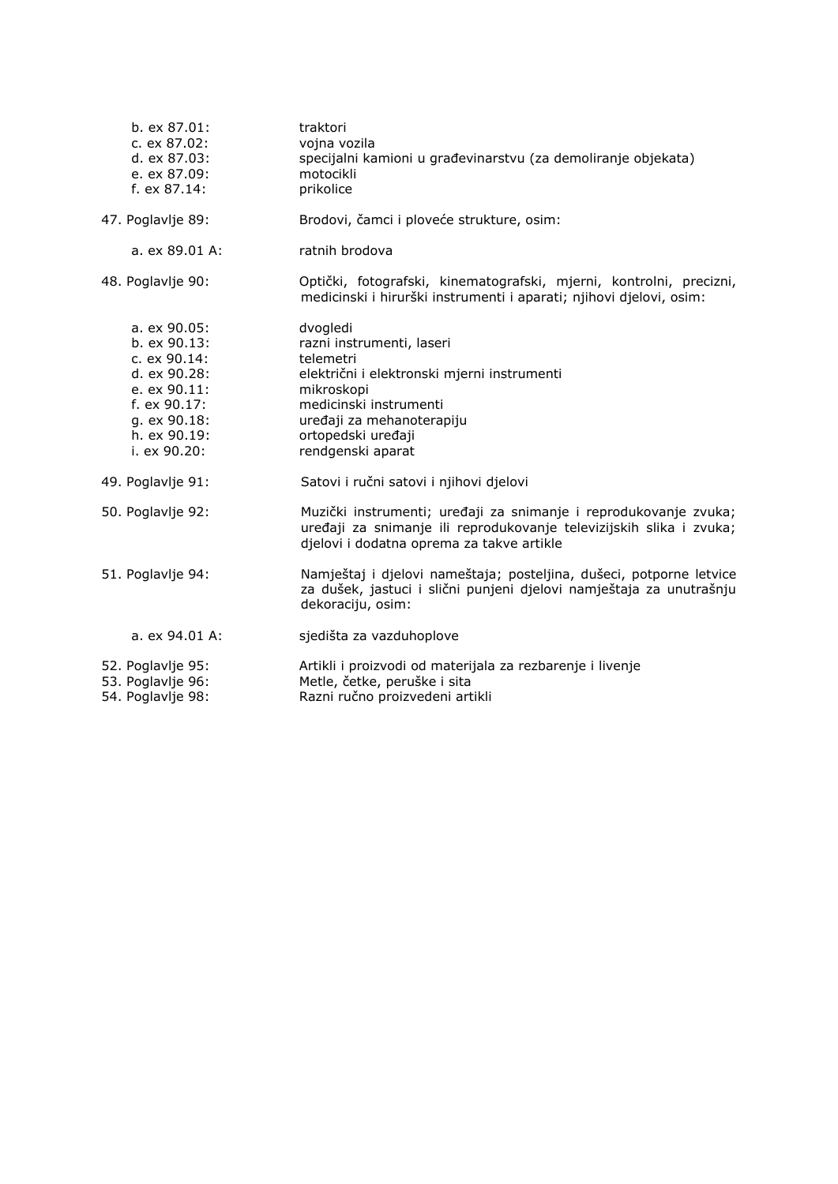| b. ex 87.01:<br>c. ex 87.02:<br>d. ex 87.03:<br>e. ex 87.09:<br>f. ex 87.14:                                                                   | traktori<br>vojna vozila<br>specijalni kamioni u građevinarstvu (za demoliranje objekata)<br>motocikli<br>prikolice                                                                                               |
|------------------------------------------------------------------------------------------------------------------------------------------------|-------------------------------------------------------------------------------------------------------------------------------------------------------------------------------------------------------------------|
| 47. Poglavlje 89:                                                                                                                              | Brodovi, čamci i ploveće strukture, osim:                                                                                                                                                                         |
| a. ex 89.01 A:                                                                                                                                 | ratnih brodova                                                                                                                                                                                                    |
| 48. Poglavlje 90:                                                                                                                              | Optički, fotografski, kinematografski, mjerni, kontrolni, precizni,<br>medicinski i hirurški instrumenti i aparati; njihovi djelovi, osim:                                                                        |
| a. ex 90.05:<br>b. ex 90.13:<br>c. ex 90.14:<br>d. ex 90.28:<br>e. ex 90.11:<br>f. $ex 90.17:$<br>g. ex 90.18:<br>h. ex 90.19:<br>i. ex 90.20: | dvogledi<br>razni instrumenti, laseri<br>telemetri<br>električni i elektronski mjerni instrumenti<br>mikroskopi<br>medicinski instrumenti<br>uređaji za mehanoterapiju<br>ortopedski uređaji<br>rendgenski aparat |
| 49. Poglavlje 91:                                                                                                                              | Satovi i ručni satovi i njihovi djelovi                                                                                                                                                                           |
| 50. Poglavlje 92:                                                                                                                              | Muzički instrumenti; uređaji za snimanje i reprodukovanje zvuka;<br>uređaji za snimanje ili reprodukovanje televizijskih slika i zvuka;<br>djelovi i dodatna oprema za takve artikle                              |
| 51. Poglavlje 94:                                                                                                                              | Namještaj i djelovi nameštaja; posteljina, dušeci, potporne letvice<br>za dušek, jastuci i slični punjeni djelovi namještaja za unutrašnju<br>dekoraciju, osim:                                                   |
| a. ex 94.01 A:                                                                                                                                 | sjedišta za vazduhoplove                                                                                                                                                                                          |
| 52. Poglavlje 95:<br>53. Poglavlje 96:<br>54. Poglavlje 98:                                                                                    | Artikli i proizvodi od materijala za rezbarenje i livenje<br>Metle, četke, peruške i sita<br>Razni ručno proizvedeni artikli                                                                                      |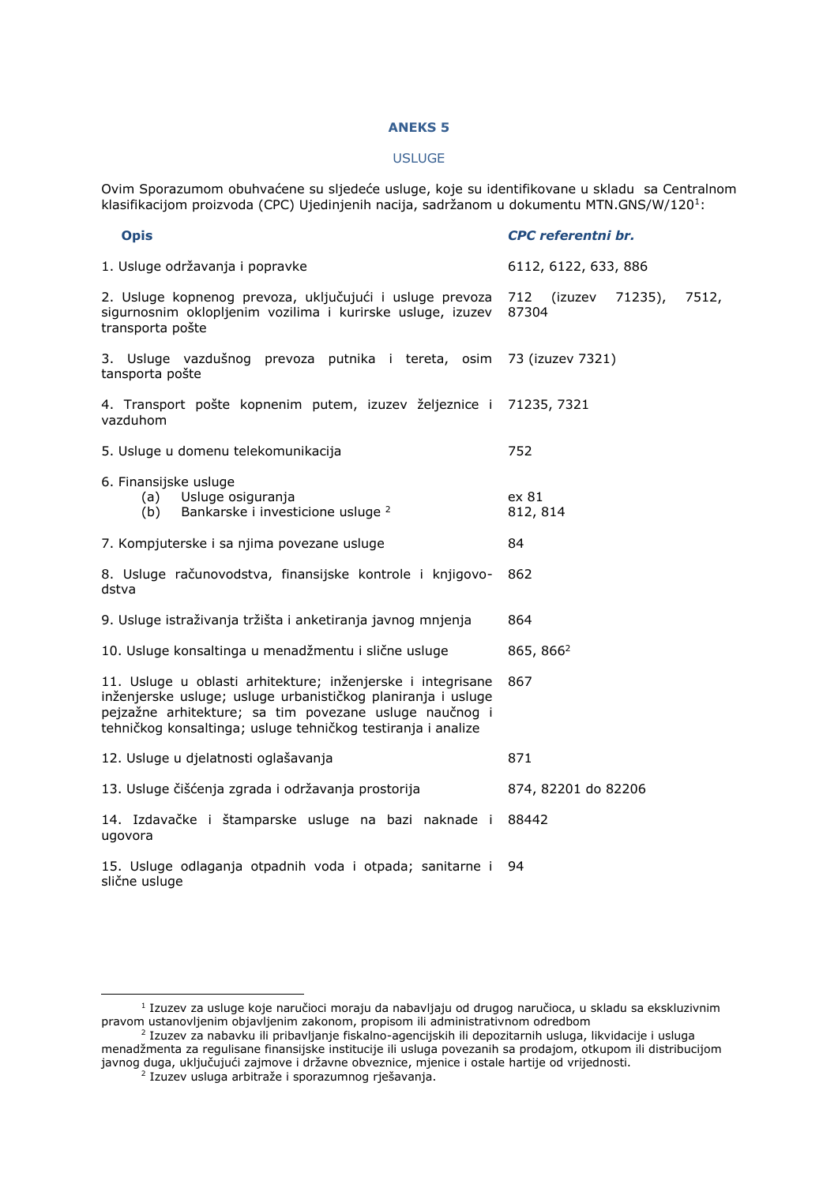#### **ANEKS 5**

#### USLUGE

Ovim Sporazumom obuhvaćene su sljedeće usluge, koje su identifikovane u skladu sa Centralnom klasifikacijom proizvoda (CPC) Ujedinjenih nacija, sadržanom u dokumentu MTN.GNS/W/120<sup>1</sup>:

| <b>Opis</b>                                                                                                                                                                                                                                           | <b>CPC</b> referentni br.                |  |  |
|-------------------------------------------------------------------------------------------------------------------------------------------------------------------------------------------------------------------------------------------------------|------------------------------------------|--|--|
| 1. Usluge održavanja i popravke                                                                                                                                                                                                                       | 6112, 6122, 633, 886                     |  |  |
| 2. Usluge kopnenog prevoza, uključujući i usluge prevoza<br>sigurnosnim oklopljenim vozilima i kurirske usluge, izuzev<br>transporta pošte                                                                                                            | 712 (izuzev<br>71235),<br>7512,<br>87304 |  |  |
| 3. Usluge vazdušnog prevoza putnika i tereta, osim 73 (izuzev 7321)<br>tansporta pošte                                                                                                                                                                |                                          |  |  |
| 4. Transport pošte kopnenim putem, izuzev željeznice i 71235, 7321<br>vazduhom                                                                                                                                                                        |                                          |  |  |
| 5. Usluge u domenu telekomunikacija                                                                                                                                                                                                                   | 752                                      |  |  |
| 6. Finansijske usluge<br>Usluge osiguranja<br>(a)<br>Bankarske i investicione usluge <sup>2</sup><br>(b)                                                                                                                                              | ex 81<br>812, 814                        |  |  |
| 7. Kompjuterske i sa njima povezane usluge                                                                                                                                                                                                            | 84                                       |  |  |
| 8. Usluge računovodstva, finansijske kontrole i knjigovo-<br>dstva                                                                                                                                                                                    | 862                                      |  |  |
| 9. Usluge istraživanja tržišta i anketiranja javnog mnjenja                                                                                                                                                                                           | 864                                      |  |  |
| 10. Usluge konsaltinga u menadžmentu i slične usluge                                                                                                                                                                                                  | 865, 866 <sup>2</sup>                    |  |  |
| 11. Usluge u oblasti arhitekture; inženjerske i integrisane<br>inženjerske usluge; usluge urbanističkog planiranja i usluge<br>pejzažne arhitekture; sa tim povezane usluge naučnog i<br>tehničkog konsaltinga; usluge tehničkog testiranja i analize | 867                                      |  |  |
| 12. Usluge u djelatnosti oglašavanja                                                                                                                                                                                                                  | 871                                      |  |  |
| 13. Usluge čišćenja zgrada i održavanja prostorija                                                                                                                                                                                                    | 874, 82201 do 82206                      |  |  |
| 14. Izdavačke i štamparske usluge na bazi naknade i<br>ugovora                                                                                                                                                                                        | 88442                                    |  |  |
| 15. Usluge odlaganja otpadnih voda i otpada; sanitarne i<br>slične usluge                                                                                                                                                                             | 94                                       |  |  |

-

<sup>1</sup> Izuzev za usluge koje naručioci moraju da nabavljaju od drugog naručioca, u skladu sa ekskluzivnim pravom ustanovljenim objavljenim zakonom, propisom ili administrativnom odredbom<br><sup>2</sup> Izuzev za nabavku ili pribavljanje fiskalno-agencijskih ili depozitarnih usluga, likvidacije i usluga

menadžmenta za regulisane finansijske institucije ili usluga povezanih sa prodajom, otkupom ili distribucijom javnog duga, uključujući zajmove i državne obveznice, mjenice i ostale hartije od vrijednosti.<br><sup>2</sup> Izuzev usluga arbitraže i sporazumnog rješavanja.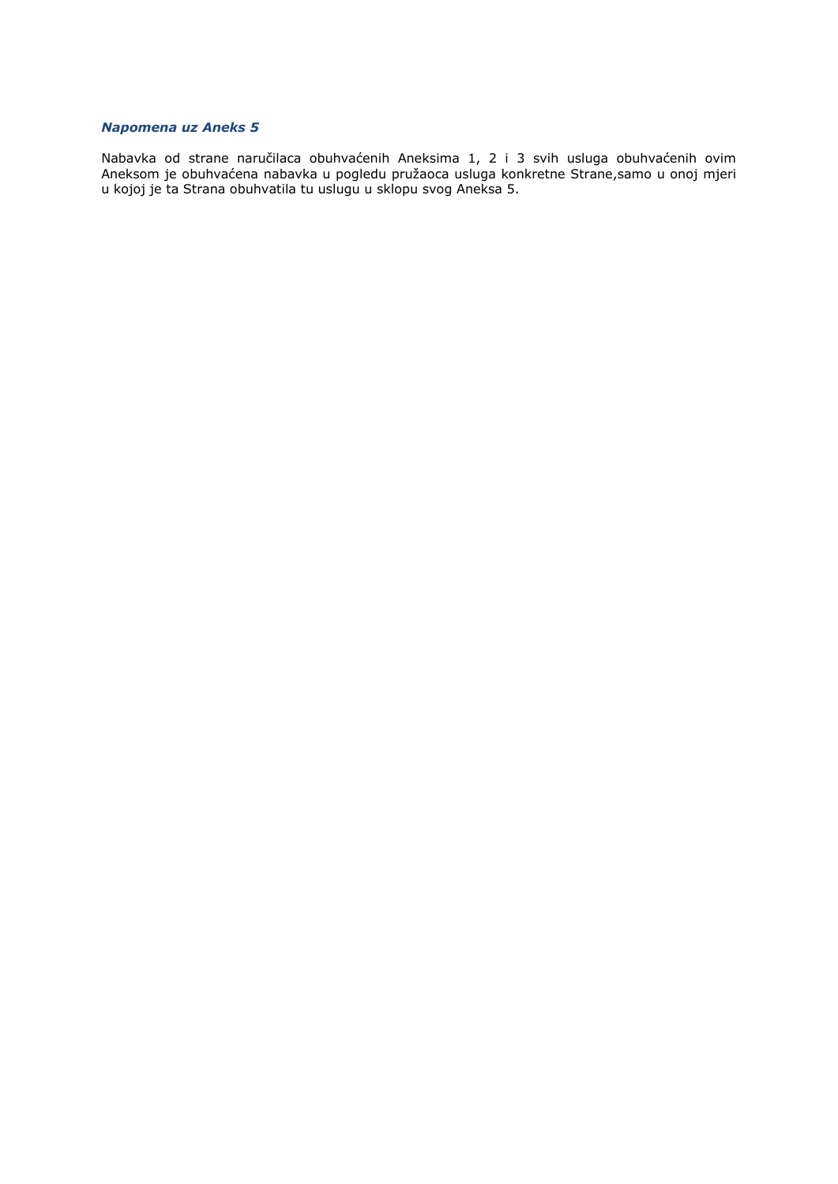# *Napomena uz Aneks 5*

Nabavka od strane naručilaca obuhvaćenih Aneksima 1, 2 i 3 svih usluga obuhvaćenih ovim Aneksom je obuhvaćena nabavka u pogledu pružaoca usluga konkretne Strane,samo u onoj mjeri u kojoj je ta Strana obuhvatila tu uslugu u sklopu svog Aneksa 5.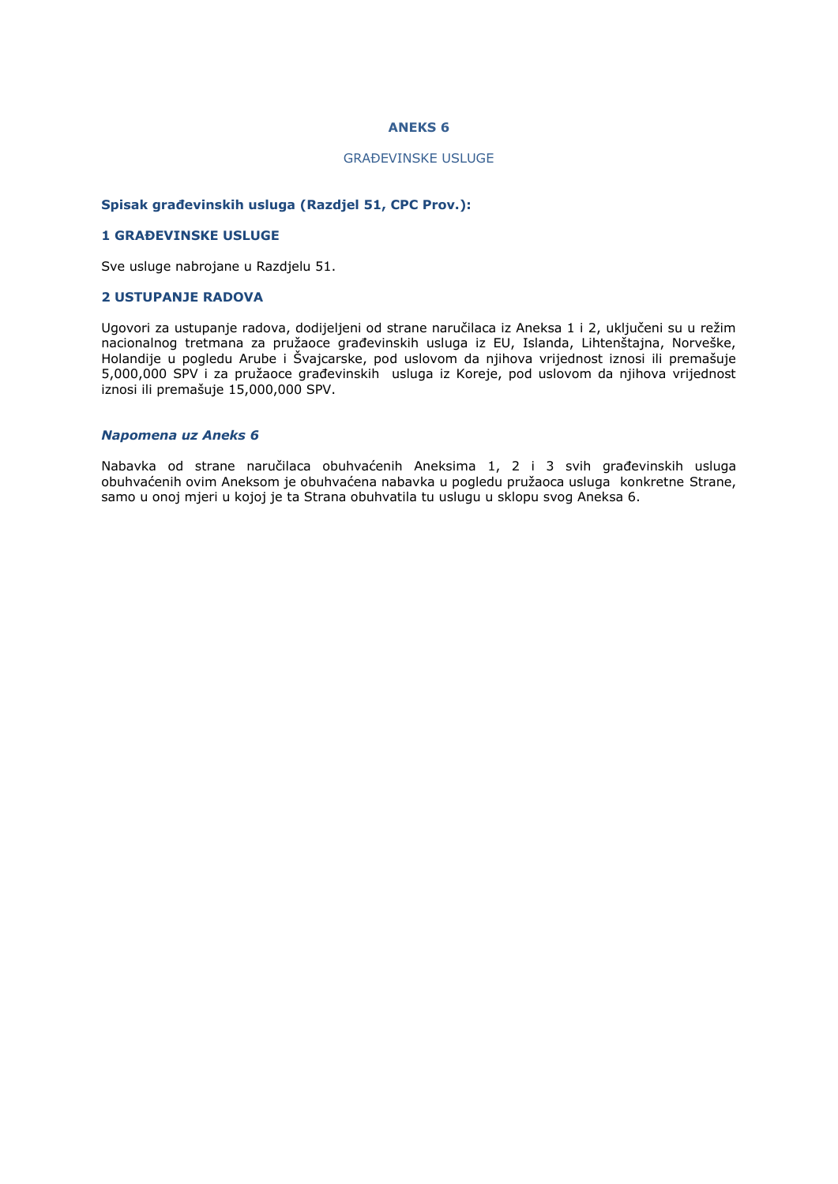# **ANEKS 6**

#### GRAĐEVINSKE USLUGE

#### **Spisak građevinskih usluga (Razdjel 51, CPC Prov.):**

#### **1 GRAĐEVINSKE USLUGE**

Sve usluge nabrojane u Razdjelu 51.

# **2 USTUPANJE RADOVA**

Ugovori za ustupanje radova, dodijeljeni od strane naručilaca iz Aneksa 1 i 2, uključeni su u režim nacionalnog tretmana za pružaoce građevinskih usluga iz EU, Islanda, Lihtenštajna, Norveške, Holandije u pogledu Arube i Švajcarske, pod uslovom da njihova vrijednost iznosi ili premašuje 5,000,000 SPV i za pružaoce građevinskih usluga iz Koreje, pod uslovom da njihova vrijednost iznosi ili premašuje 15,000,000 SPV.

#### *Napomena uz Aneks 6*

Nabavka od strane naručilaca obuhvaćenih Aneksima 1, 2 i 3 svih građevinskih usluga obuhvaćenih ovim Aneksom je obuhvaćena nabavka u pogledu pružaoca usluga konkretne Strane, samo u onoj mjeri u kojoj je ta Strana obuhvatila tu uslugu u sklopu svog Aneksa 6.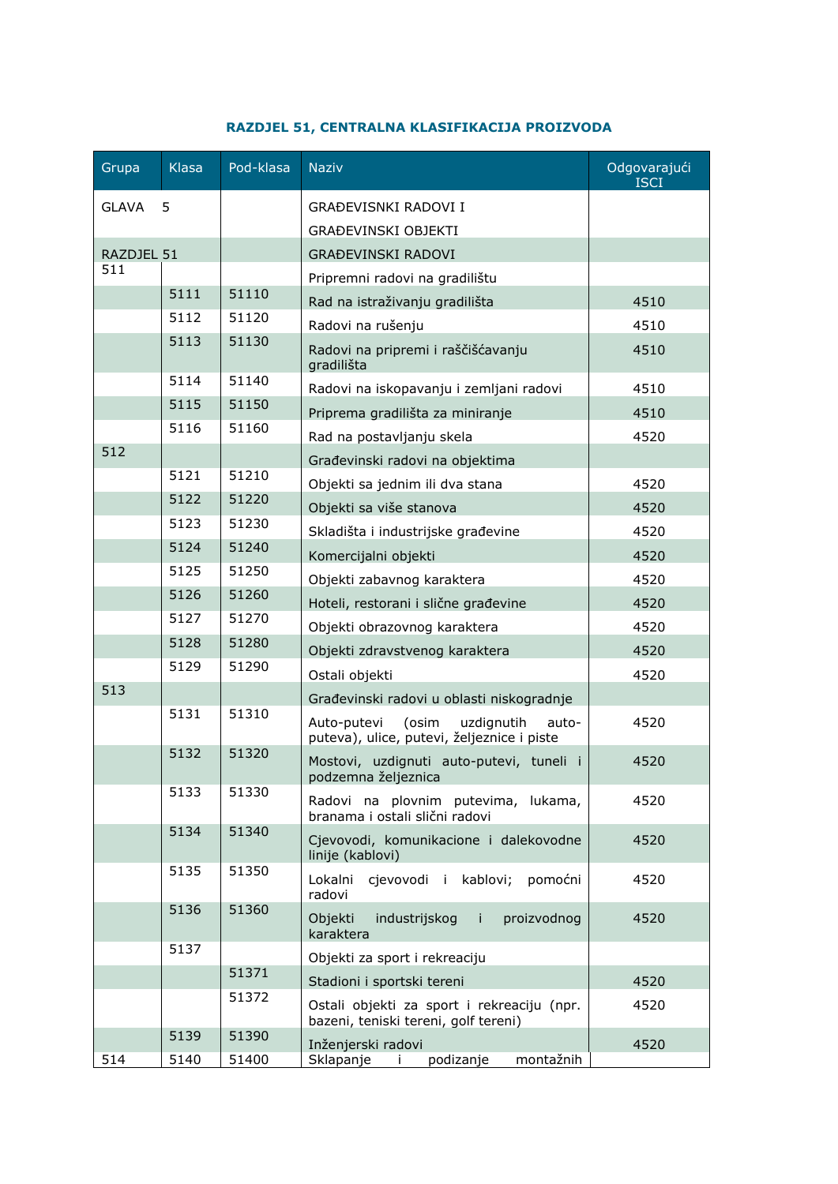| Grupa        | <b>Klasa</b> | Pod-klasa | <b>Naziv</b>                                                                              | Odgovarajući<br>ISCI |
|--------------|--------------|-----------|-------------------------------------------------------------------------------------------|----------------------|
| <b>GLAVA</b> | 5            |           | GRAĐEVISNKI RADOVI I                                                                      |                      |
|              |              |           | GRAĐEVINSKI OBJEKTI                                                                       |                      |
| RAZDJEL 51   |              |           | <b>GRAĐEVINSKI RADOVI</b>                                                                 |                      |
| 511          |              |           | Pripremni radovi na gradilištu                                                            |                      |
|              | 5111         | 51110     | Rad na istraživanju gradilišta                                                            | 4510                 |
|              | 5112         | 51120     | Radovi na rušenju                                                                         | 4510                 |
|              | 5113         | 51130     | Radovi na pripremi i raščišćavanju<br>gradilišta                                          | 4510                 |
|              | 5114         | 51140     | Radovi na iskopavanju i zemljani radovi                                                   | 4510                 |
|              | 5115         | 51150     | Priprema gradilišta za miniranje                                                          | 4510                 |
|              | 5116         | 51160     | Rad na postavljanju skela                                                                 | 4520                 |
| 512          |              |           | Građevinski radovi na objektima                                                           |                      |
|              | 5121         | 51210     | Objekti sa jednim ili dva stana                                                           | 4520                 |
|              | 5122         | 51220     | Objekti sa više stanova                                                                   | 4520                 |
|              | 5123         | 51230     | Skladišta i industrijske građevine                                                        | 4520                 |
|              | 5124         | 51240     | Komercijalni objekti                                                                      | 4520                 |
|              | 5125         | 51250     | Objekti zabavnog karaktera                                                                | 4520                 |
|              | 5126         | 51260     | Hoteli, restorani i slične građevine                                                      | 4520                 |
|              | 5127         | 51270     | Objekti obrazovnog karaktera                                                              | 4520                 |
|              | 5128         | 51280     | Objekti zdravstvenog karaktera                                                            | 4520                 |
|              | 5129         | 51290     | Ostali objekti                                                                            | 4520                 |
| 513          |              |           | Građevinski radovi u oblasti niskogradnje                                                 |                      |
|              | 5131         | 51310     | (osim<br>uzdignutih<br>Auto-putevi<br>auto-<br>puteva), ulice, putevi, željeznice i piste | 4520                 |
|              | 5132         | 51320     | Mostovi, uzdignuti auto-putevi, tuneli i<br>podzemna željeznica                           | 4520                 |
|              | 5133         | 51330     | Radovi na plovnim putevima, lukama,<br>branama i ostali slični radovi                     | 4520                 |
|              | 5134         | 51340     | Cjevovodi, komunikacione i dalekovodne<br>linije (kablovi)                                | 4520                 |
|              | 5135         | 51350     | cjevovodi i kablovi;<br>pomoćni<br>Lokalni<br>radovi                                      | 4520                 |
|              | 5136         | 51360     | industrijskog i<br>proizvodnog<br>Objekti<br>karaktera                                    | 4520                 |
|              | 5137         |           | Objekti za sport i rekreaciju                                                             |                      |
|              |              | 51371     | Stadioni i sportski tereni                                                                | 4520                 |
|              |              | 51372     | Ostali objekti za sport i rekreaciju (npr.<br>bazeni, teniski tereni, golf tereni)        | 4520                 |
|              | 5139         | 51390     | Inženjerski radovi                                                                        | 4520                 |
| 514          | 5140         | 51400     | montažnih<br>Sklapanje i podizanje                                                        |                      |

# **RAZDJEL 51, CENTRALNA KLASIFIKACIJA PROIZVODA**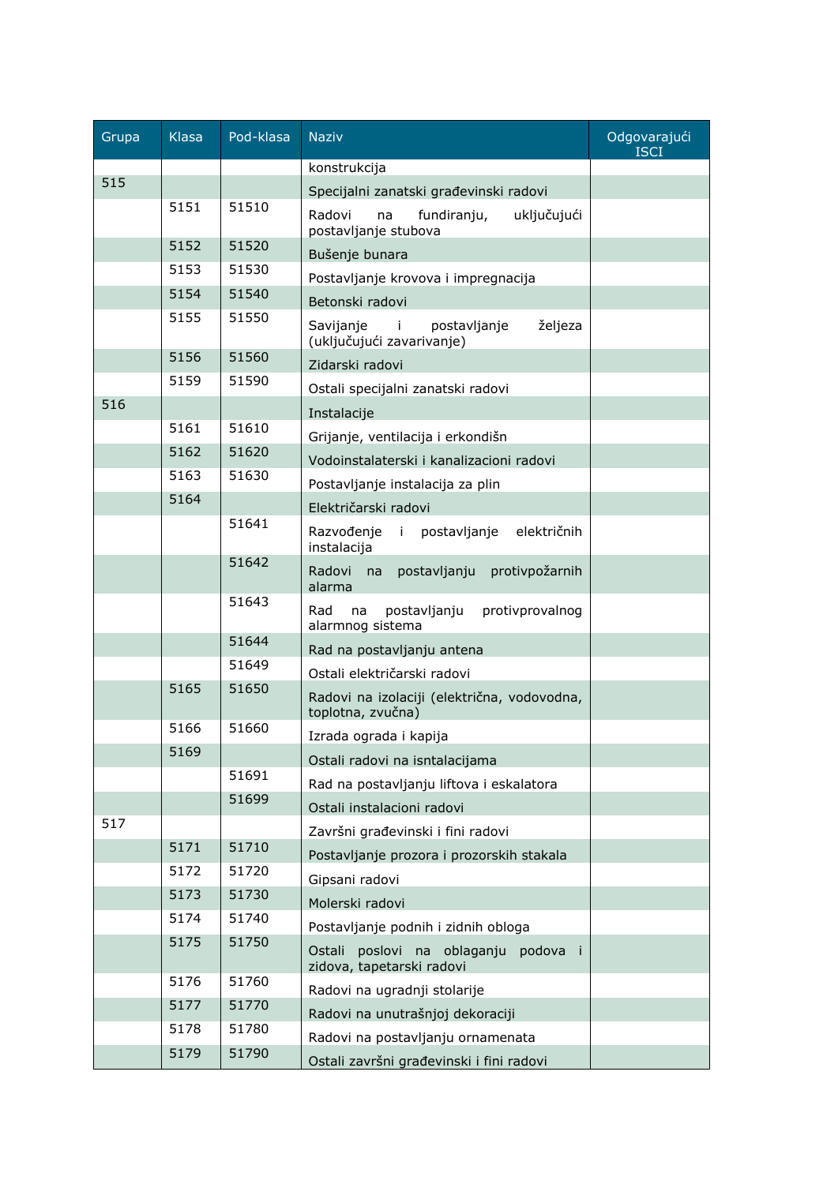| Grupa | <b>Klasa</b> | Pod-klasa | <b>Naziv</b>                                                                      | Odgovarajući<br><b>ISCI</b> |
|-------|--------------|-----------|-----------------------------------------------------------------------------------|-----------------------------|
|       |              |           | konstrukcija                                                                      |                             |
| 515   |              |           | Specijalni zanatski građevinski radovi                                            |                             |
|       | 5151         | 51510     | Radovi<br>fundiranju,<br>uključujući<br>na<br>postavljanje stubova                |                             |
|       | 5152         | 51520     | Bušenje bunara                                                                    |                             |
|       | 5153         | 51530     | Postavljanje krovova i impregnacija                                               |                             |
|       | 5154         | 51540     | Betonski radovi                                                                   |                             |
|       | 5155         | 51550     | željeza<br>Savijanje<br>postavljanje<br>$\mathbf{I}$<br>(uključujući zavarivanje) |                             |
|       | 5156         | 51560     | Zidarski radovi                                                                   |                             |
|       | 5159         | 51590     | Ostali specijalni zanatski radovi                                                 |                             |
| 516   |              |           | Instalacije                                                                       |                             |
|       | 5161         | 51610     | Grijanje, ventilacija i erkondišn                                                 |                             |
|       | 5162         | 51620     | Vodoinstalaterski i kanalizacioni radovi                                          |                             |
|       | 5163         | 51630     | Postavljanje instalacija za plin                                                  |                             |
|       | 5164         |           | Električarski radovi                                                              |                             |
|       |              | 51641     | Razvođenje i postavljanje električnih<br>instalacija                              |                             |
|       |              | 51642     | Radovi<br>protivpožarnih<br>postavljanju<br>na<br>alarma                          |                             |
|       |              | 51643     | postavljanju<br>protivprovalnog<br>Rad<br>na<br>alarmnog sistema                  |                             |
|       |              | 51644     | Rad na postavljanju antena                                                        |                             |
|       |              | 51649     | Ostali električarski radovi                                                       |                             |
|       | 5165         | 51650     | Radovi na izolaciji (električna, vodovodna,<br>toplotna, zvučna)                  |                             |
|       | 5166         | 51660     | Izrada ograda i kapija                                                            |                             |
|       | 5169         |           | Ostali radovi na isntalacijama                                                    |                             |
|       |              | 51691     | Rad na postavljanju liftova i eskalatora                                          |                             |
|       |              | 51699     | Ostali instalacioni radovi                                                        |                             |
| 517   |              |           | Završni građevinski i fini radovi                                                 |                             |
|       | 5171         | 51710     | Postavljanje prozora i prozorskih stakala                                         |                             |
|       | 5172         | 51720     | Gipsani radovi                                                                    |                             |
|       | 5173         | 51730     | Molerski radovi                                                                   |                             |
|       | 5174         | 51740     | Postavljanje podnih i zidnih obloga                                               |                             |
|       | 5175         | 51750     | Ostali poslovi na oblaganju podova<br>zidova, tapetarski radovi                   |                             |
|       | 5176         | 51760     | Radovi na ugradnji stolarije                                                      |                             |
|       | 5177         | 51770     | Radovi na unutrašnjoj dekoraciji                                                  |                             |
|       | 5178         | 51780     | Radovi na postavljanju ornamenata                                                 |                             |
|       | 5179         | 51790     | Ostali završni građevinski i fini radovi                                          |                             |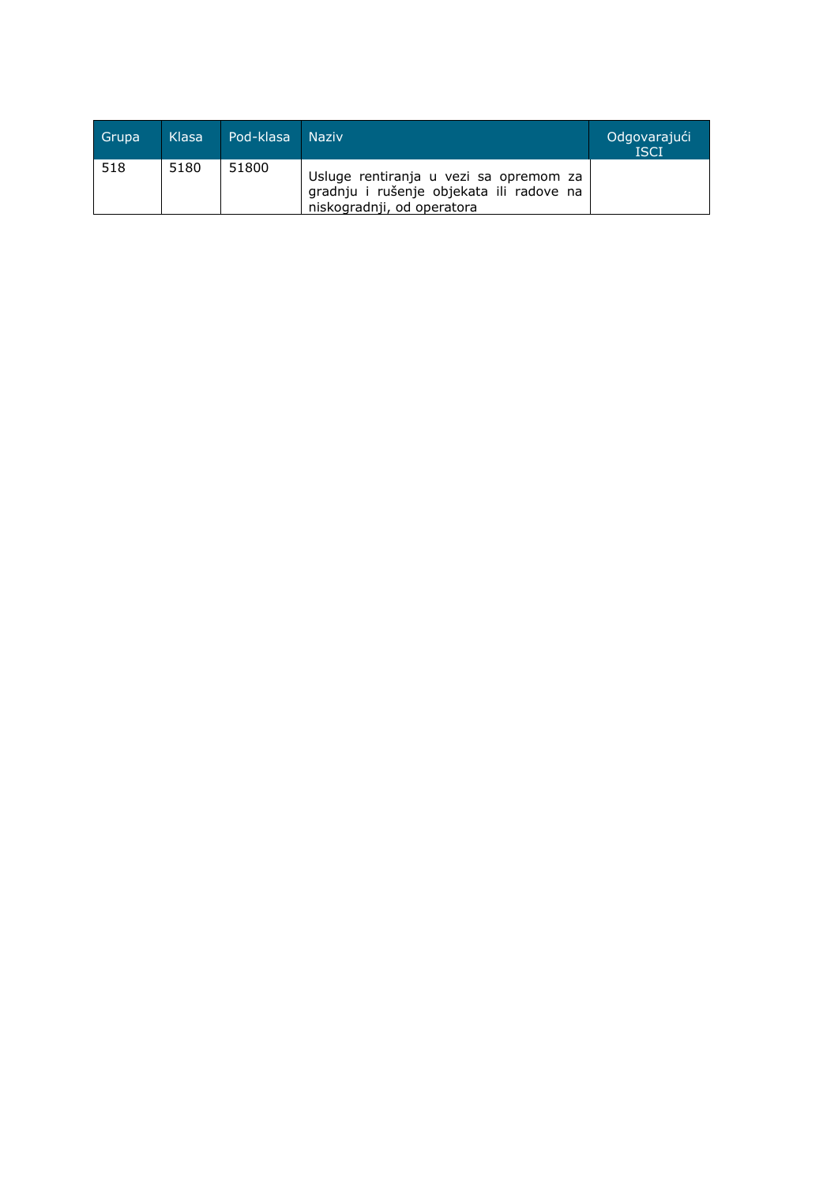| Grupa | Klasa | Pod-klasa Naziv |                                                                                                                  | Odgovarajući<br><b>ISCI</b> |
|-------|-------|-----------------|------------------------------------------------------------------------------------------------------------------|-----------------------------|
| 518   | 5180  | 51800           | Usluge rentiranja u vezi sa opremom za<br>gradnju i rušenje objekata ili radove na<br>niskogradnji, od operatora |                             |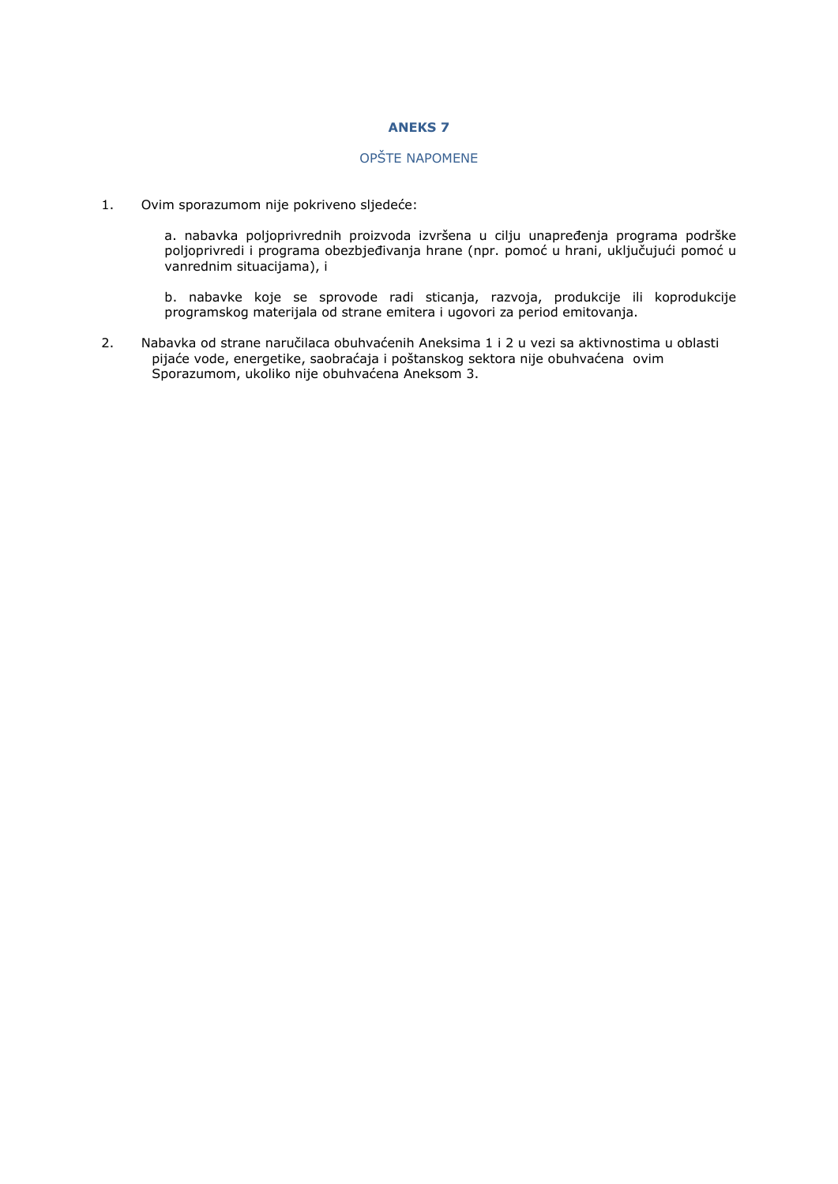# **ANEKS 7**

# OPŠTE NAPOMENE

1. Ovim sporazumom nije pokriveno sljedeće:

a. nabavka poljoprivrednih proizvoda izvršena u cilju unapređenja programa podrške poljoprivredi i programa obezbjeđivanja hrane (npr. pomoć u hrani, uključujući pomoć u vanrednim situacijama), i

b. nabavke koje se sprovode radi sticanja, razvoja, produkcije ili koprodukcije programskog materijala od strane emitera i ugovori za period emitovanja.

2. Nabavka od strane naručilaca obuhvaćenih Aneksima 1 i 2 u vezi sa aktivnostima u oblasti pijaće vode, energetike, saobraćaja i poštanskog sektora nije obuhvaćena ovim Sporazumom, ukoliko nije obuhvaćena Aneksom 3.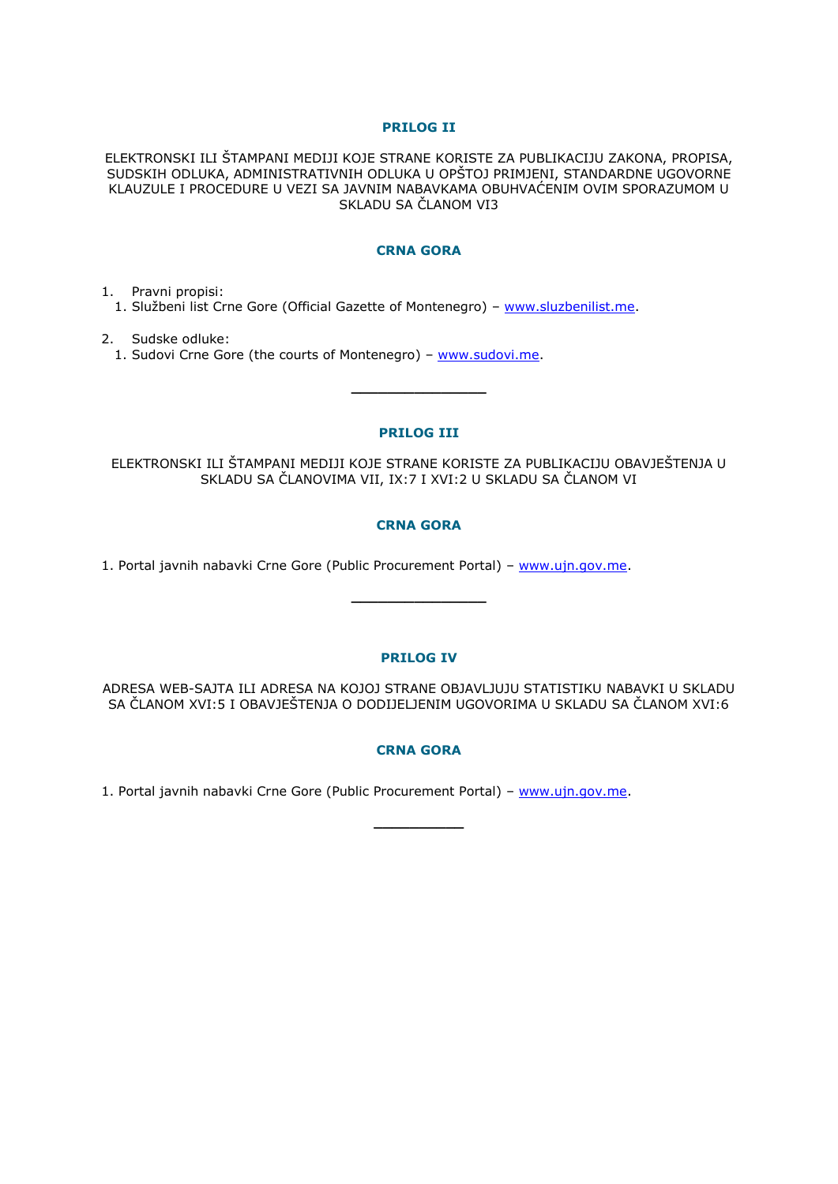# **PRILOG II**

ELEKTRONSKI ILI ŠTAMPANI MEDIJI KOJE STRANE KORISTE ZA PUBLIKACIJU ZAKONA, PROPISA, SUDSKIH ODLUKA, ADMINISTRATIVNIH ODLUKA U OPŠTOJ PRIMJENI, STANDARDNE UGOVORNE KLAUZULE I PROCEDURE U VEZI SA JAVNIM NABAVKAMA OBUHVAĆENIM OVIM SPORAZUMOM U SKLADU SA ČLANOM VI3

# **CRNA GORA**

1. Pravni propisi:

1. Službeni list Crne Gore (Official Gazette of Montenegro) – www.sluzbenilist.me.

2. Sudske odluke: 1. Sudovi Crne Gore (the courts of Montenegro) – [www.sudovi.me.](http://www.sudovi.me/)

# **PRILOG III**

**\_\_\_\_\_\_\_\_\_\_\_\_\_\_\_**

ELEKTRONSKI ILI ŠTAMPANI MEDIJI KOJE STRANE KORISTE ZA PUBLIKACIJU OBAVJEŠTENJA U SKLADU SA ČLANOVIMA VII, IX:7 I XVI:2 U SKLADU SA ČLANOM VI

# **CRNA GORA**

1. Portal javnih nabavki Crne Gore (Public Procurement Portal) – www.ujn.gov.me.

#### **PRILOG IV**

**\_\_\_\_\_\_\_\_\_\_\_\_\_\_\_**

ADRESA WEB-SAJTA ILI ADRESA NA KOJOJ STRANE OBJAVLJUJU STATISTIKU NABAVKI U SKLADU SA ČLANOM XVI:5 I OBAVJEŠTENJA O DODIJELJENIM UGOVORIMA U SKLADU SA ČLANOM XVI:6

# **CRNA GORA**

**\_\_\_\_\_\_\_\_\_\_**

1. Portal javnih nabavki Crne Gore (Public Procurement Portal) - www.ujn.gov.me.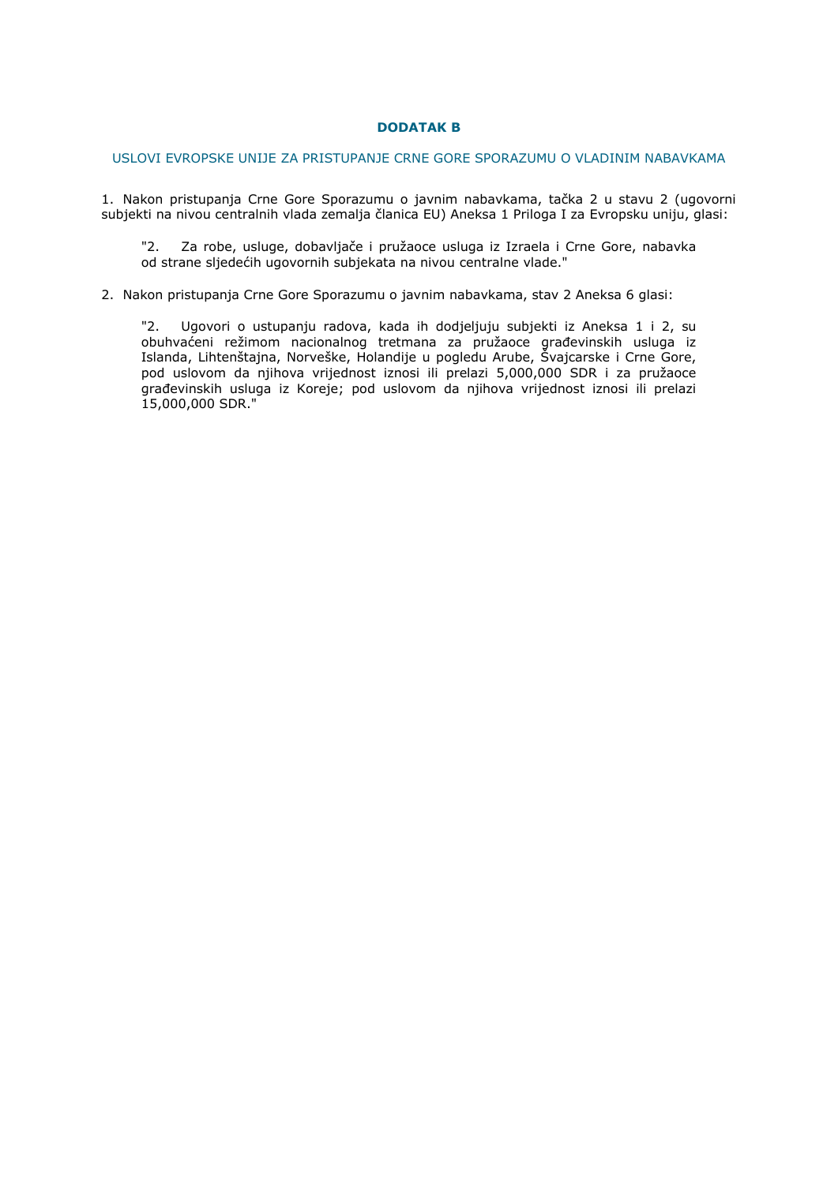# **DODATAK B**

#### USLOVI EVROPSKE UNIJE ZA PRISTUPANJE CRNE GORE SPORAZUMU O VLADINIM NABAVKAMA

1. Nakon pristupanja Crne Gore Sporazumu o javnim nabavkama, tačka 2 u stavu 2 (ugovorni subjekti na nivou centralnih vlada zemalja članica EU) Aneksa 1 Priloga I za Evropsku uniju, glasi:

"2. Za robe, usluge, dobavljače i pružaoce usluga iz Izraela i Crne Gore, nabavka od strane sljedećih ugovornih subjekata na nivou centralne vlade."

#### 2. Nakon pristupanja Crne Gore Sporazumu o javnim nabavkama, stav 2 Aneksa 6 glasi:

"2. Ugovori o ustupanju radova, kada ih dodjeljuju subjekti iz Aneksa 1 i 2, su obuhvaćeni režimom nacionalnog tretmana za pružaoce građevinskih usluga iz Islanda, Lihtenštajna, Norveške, Holandije u pogledu Arube, Švajcarske i Crne Gore, pod uslovom da njihova vrijednost iznosi ili prelazi 5,000,000 SDR i za pružaoce građevinskih usluga iz Koreje; pod uslovom da njihova vrijednost iznosi ili prelazi 15,000,000 SDR."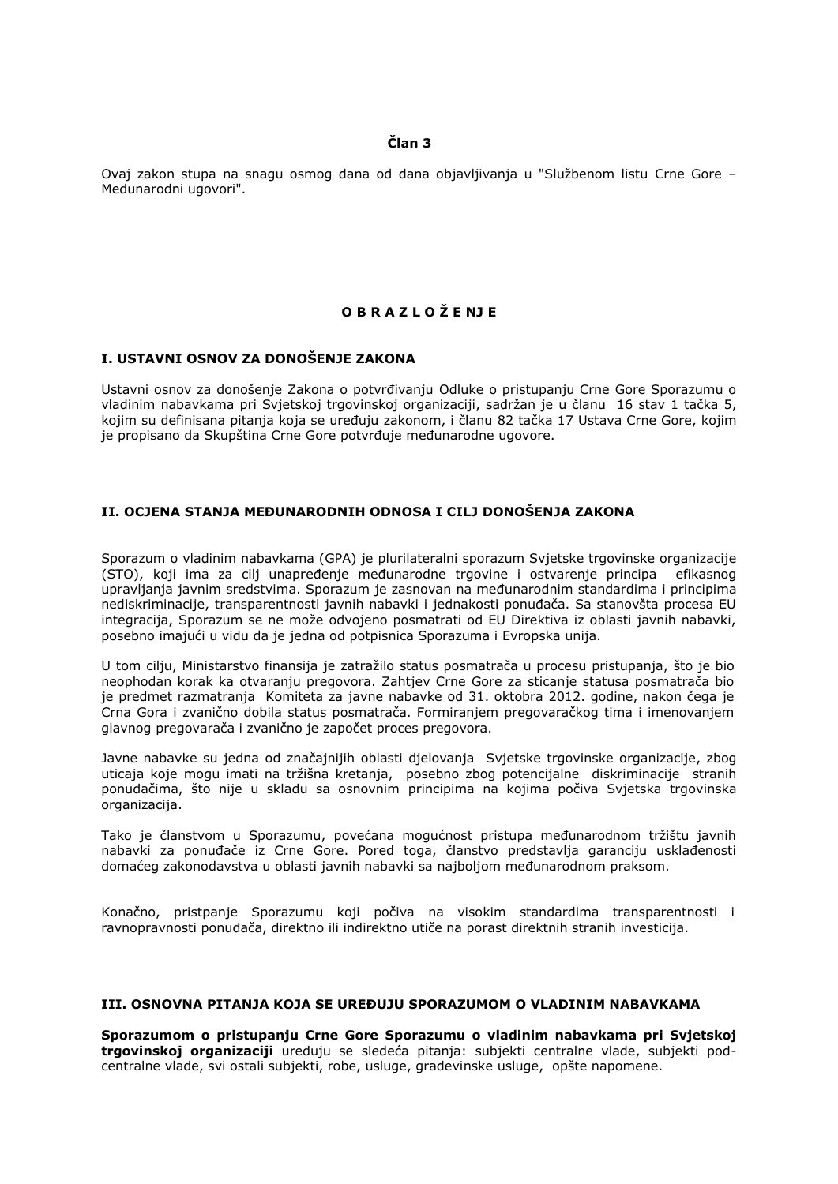# **Član 3**

Ovaj zakon stupa na snagu osmog dana od dana objavljivanja u "Službenom listu Crne Gore – Međunarodni ugovori".

# **O B R A Z L O Ž E NJ E**

# **I. USTAVNI OSNOV ZA DONOŠENJE ZAKONA**

Ustavni osnov za donošenje Zakona o potvrđivanju Odluke o pristupanju Crne Gore Sporazumu o vladinim nabavkama pri Svjetskoj trgovinskoj organizaciji, sadržan je u članu 16 stav 1 tačka 5, kojim su definisana pitanja koja se uređuju zakonom, i članu 82 tačka 17 Ustava Crne Gore, kojim je propisano da Skupština Crne Gore potvrđuje međunarodne ugovore.

# **II. OCJENA STANJA MEĐUNARODNIH ODNOSA I CILJ DONOŠENJA ZAKONA**

Sporazum o vladinim nabavkama (GPA) je plurilateralni sporazum Svjetske trgovinske organizacije (STO), koji ima za cilj unapređenje međunarodne trgovine i ostvarenje principa efikasnog upravljanja javnim sredstvima. Sporazum je zasnovan na međunarodnim standardima i principima nediskriminacije, transparentnosti javnih nabavki i jednakosti ponuđača. Sa stanovšta procesa EU integracija, Sporazum se ne može odvojeno posmatrati od EU Direktiva iz oblasti javnih nabavki, posebno imajući u vidu da je jedna od potpisnica Sporazuma i Evropska unija.

U tom cilju, Ministarstvo finansija je zatražilo status posmatrača u procesu pristupanja, što je bio neophodan korak ka otvaranju pregovora. Zahtjev Crne Gore za sticanje statusa posmatrača bio je predmet razmatranja Komiteta za javne nabavke od 31. oktobra 2012. godine, nakon čega je Crna Gora i zvanično dobila status posmatrača. Formiranjem pregovaračkog tima i imenovanjem glavnog pregovarača i zvanično je započet proces pregovora.

Javne nabavke su jedna od značajnijih oblasti djelovanja Svjetske trgovinske organizacije, zbog uticaja koje mogu imati na tržišna kretanja, posebno zbog potencijalne diskriminacije stranih ponuđačima, što nije u skladu sa osnovnim principima na kojima počiva Svjetska trgovinska organizacija.

Tako je članstvom u Sporazumu, povećana mogućnost pristupa međunarodnom tržištu javnih nabavki za ponuđače iz Crne Gore. Pored toga, članstvo predstavlja garanciju usklađenosti domaćeg zakonodavstva u oblasti javnih nabavki sa najboljom međunarodnom praksom.

Konačno, pristpanje Sporazumu koji počiva na visokim standardima transparentnosti i ravnopravnosti ponuđača, direktno ili indirektno utiče na porast direktnih stranih investicija.

#### **III. OSNOVNA PITANJA KOJA SE UREĐUJU SPORAZUMOM O VLADINIM NABAVKAMA**

**Sporazumom o pristupanju Crne Gore Sporazumu o vladinim nabavkama pri Svjetskoj trgovinskoj organizaciji** uređuju se sledeća pitanja: subjekti centralne vlade, subjekti podcentralne vlade, svi ostali subjekti, robe, usluge, građevinske usluge, opšte napomene.